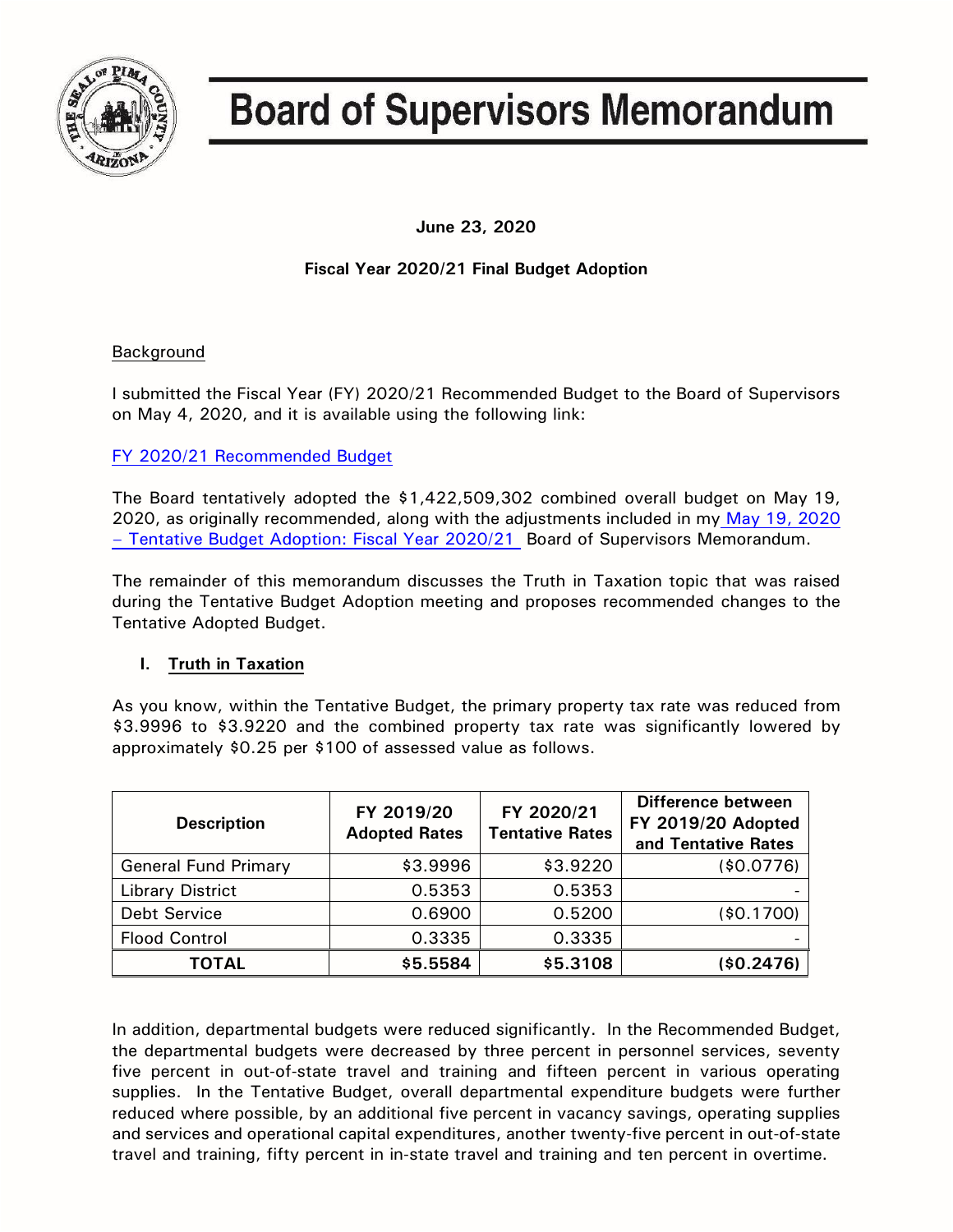

# **Board of Supervisors Memorandum**

**June 23, 2020**

## **Fiscal Year 2020/21 Final Budget Adoption**

## Background

I submitted the Fiscal Year (FY) 2020/21 Recommended Budget to the Board of Supervisors on May 4, 2020, and it is available using the following link:

## [FY 2020/21 Recommended Budget](https://webcms.pima.gov/UserFiles/Servers/Server_6/File/Government/Finance%20and%20Risk%20Management/Recommended/FY21/Reposted%2005_11_2020/FY2021%20Recommended%20Budget%20Book%2005-08-2020.pdf)

The Board tentatively adopted the \$1,422,509,302 combined overall budget on May 19, 2020, as originally recommended, along with the adjustments included in my [May 19, 2020](https://pima.legistar.com/View.ashx?M=F&ID=8439216&GUID=897D8447-9060-4AC4-88C9-7BC775B01BCF)  – [Tentative Budget Adoption: Fiscal Year 2020/21](https://pima.legistar.com/View.ashx?M=F&ID=8439216&GUID=897D8447-9060-4AC4-88C9-7BC775B01BCF) Board of Supervisors Memorandum.

The remainder of this memorandum discusses the Truth in Taxation topic that was raised during the Tentative Budget Adoption meeting and proposes recommended changes to the Tentative Adopted Budget.

## **I. Truth in Taxation**

As you know, within the Tentative Budget, the primary property tax rate was reduced from \$3.9996 to \$3.9220 and the combined property tax rate was significantly lowered by approximately \$0.25 per \$100 of assessed value as follows.

| <b>Description</b>          | FY 2019/20<br><b>Adopted Rates</b> | FY 2020/21<br><b>Tentative Rates</b> | Difference between<br>FY 2019/20 Adopted<br>and Tentative Rates |
|-----------------------------|------------------------------------|--------------------------------------|-----------------------------------------------------------------|
| <b>General Fund Primary</b> | \$3.9996                           | \$3.9220                             | (\$0.0776)                                                      |
| <b>Library District</b>     | 0.5353                             | 0.5353                               |                                                                 |
| <b>Debt Service</b>         | 0.6900                             | 0.5200                               | (\$0.1700)                                                      |
| <b>Flood Control</b>        | 0.3335                             | 0.3335                               |                                                                 |
| <b>TOTAL</b>                | \$5.5584                           | \$5.3108                             | (\$0.2476)                                                      |

In addition, departmental budgets were reduced significantly. In the Recommended Budget, the departmental budgets were decreased by three percent in personnel services, seventy five percent in out-of-state travel and training and fifteen percent in various operating supplies. In the Tentative Budget, overall departmental expenditure budgets were further reduced where possible, by an additional five percent in vacancy savings, operating supplies and services and operational capital expenditures, another twenty-five percent in out-of-state travel and training, fifty percent in in-state travel and training and ten percent in overtime.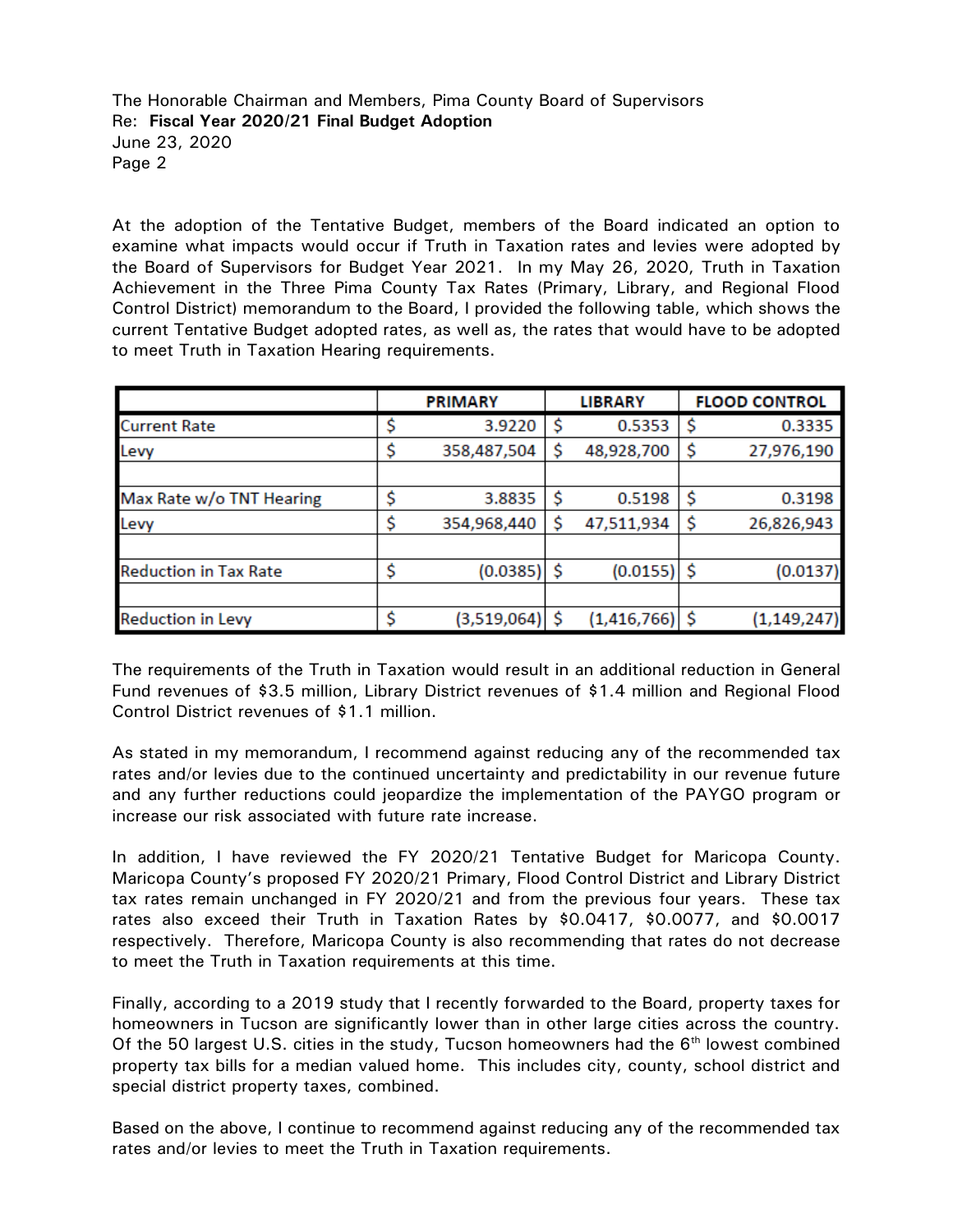At the adoption of the Tentative Budget, members of the Board indicated an option to examine what impacts would occur if Truth in Taxation rates and levies were adopted by the Board of Supervisors for Budget Year 2021. In my May 26, 2020, Truth in Taxation Achievement in the Three Pima County Tax Rates (Primary, Library, and Regional Flood Control District) memorandum to the Board, I provided the following table, which shows the current Tentative Budget adopted rates, as well as, the rates that would have to be adopted to meet Truth in Taxation Hearing requirements.

|                              |    | <b>PRIMARY</b> |    | <b>LIBRARY</b>     | <b>FLOOD CONTROL</b> |
|------------------------------|----|----------------|----|--------------------|----------------------|
| <b>Current Rate</b>          | Ş  | 3.9220         | \$ | 0.5353             | 0.3335               |
| Levy                         | \$ | 358,487,504    | S  | 48,928,700         | 27,976,190           |
|                              |    |                |    |                    |                      |
| Max Rate w/o TNT Hearing     | \$ | 3.8835         |    | 0.5198             | 0.3198               |
| Levy                         | \$ | 354,968,440    |    | 47,511,934         | 26,826,943           |
|                              |    |                |    |                    |                      |
| <b>Reduction in Tax Rate</b> | \$ | (0.0385)       | \$ | $(0.0155)$ \$      | (0.0137)             |
|                              |    |                |    |                    |                      |
| <b>Reduction in Levy</b>     | \$ | (3,519,064)    | ς  | $(1,416,766)$   \$ | (1, 149, 247)        |

The requirements of the Truth in Taxation would result in an additional reduction in General Fund revenues of \$3.5 million, Library District revenues of \$1.4 million and Regional Flood Control District revenues of \$1.1 million.

As stated in my memorandum, I recommend against reducing any of the recommended tax rates and/or levies due to the continued uncertainty and predictability in our revenue future and any further reductions could jeopardize the implementation of the PAYGO program or increase our risk associated with future rate increase.

In addition, I have reviewed the FY 2020/21 Tentative Budget for Maricopa County. Maricopa County's proposed FY 2020/21 Primary, Flood Control District and Library District tax rates remain unchanged in FY 2020/21 and from the previous four years. These tax rates also exceed their Truth in Taxation Rates by \$0.0417, \$0.0077, and \$0.0017 respectively. Therefore, Maricopa County is also recommending that rates do not decrease to meet the Truth in Taxation requirements at this time.

Finally, according to a 2019 study that I recently forwarded to the Board, property taxes for homeowners in Tucson are significantly lower than in other large cities across the country. Of the 50 largest U.S. cities in the study, Tucson homeowners had the  $6<sup>th</sup>$  lowest combined property tax bills for a median valued home. This includes city, county, school district and special district property taxes, combined.

Based on the above, I continue to recommend against reducing any of the recommended tax rates and/or levies to meet the Truth in Taxation requirements.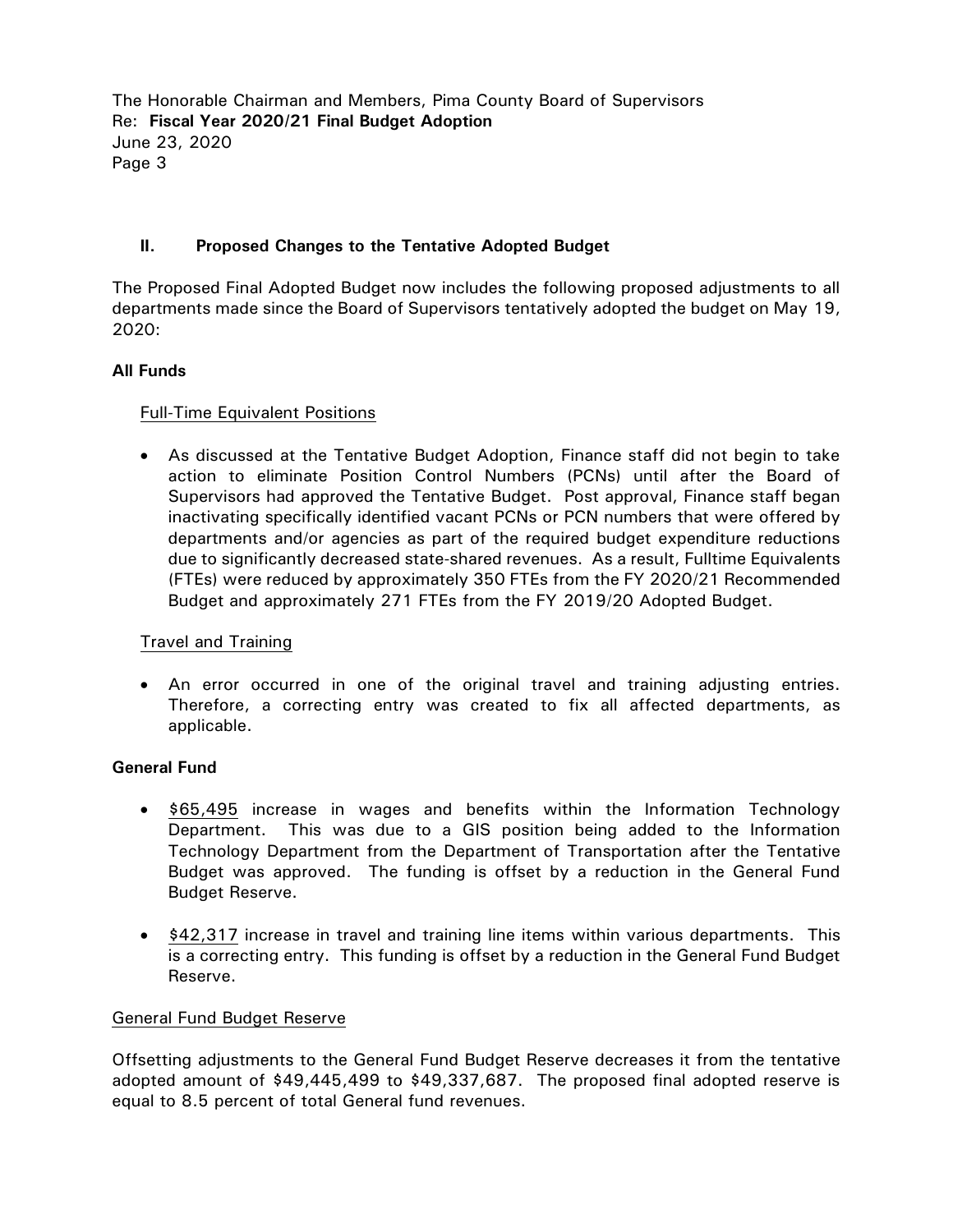## **II. Proposed Changes to the Tentative Adopted Budget**

The Proposed Final Adopted Budget now includes the following proposed adjustments to all departments made since the Board of Supervisors tentatively adopted the budget on May 19, 2020:

## **All Funds**

## Full-Time Equivalent Positions

 As discussed at the Tentative Budget Adoption, Finance staff did not begin to take action to eliminate Position Control Numbers (PCNs) until after the Board of Supervisors had approved the Tentative Budget. Post approval, Finance staff began inactivating specifically identified vacant PCNs or PCN numbers that were offered by departments and/or agencies as part of the required budget expenditure reductions due to significantly decreased state-shared revenues. As a result, Fulltime Equivalents (FTEs) were reduced by approximately 350 FTEs from the FY 2020/21 Recommended Budget and approximately 271 FTEs from the FY 2019/20 Adopted Budget.

## Travel and Training

 An error occurred in one of the original travel and training adjusting entries. Therefore, a correcting entry was created to fix all affected departments, as applicable.

## **General Fund**

- \$65,495 increase in wages and benefits within the Information Technology Department. This was due to a GIS position being added to the Information Technology Department from the Department of Transportation after the Tentative Budget was approved. The funding is offset by a reduction in the General Fund Budget Reserve.
- \$42,317 increase in travel and training line items within various departments. This is a correcting entry. This funding is offset by a reduction in the General Fund Budget Reserve.

## General Fund Budget Reserve

Offsetting adjustments to the General Fund Budget Reserve decreases it from the tentative adopted amount of \$49,445,499 to \$49,337,687. The proposed final adopted reserve is equal to 8.5 percent of total General fund revenues.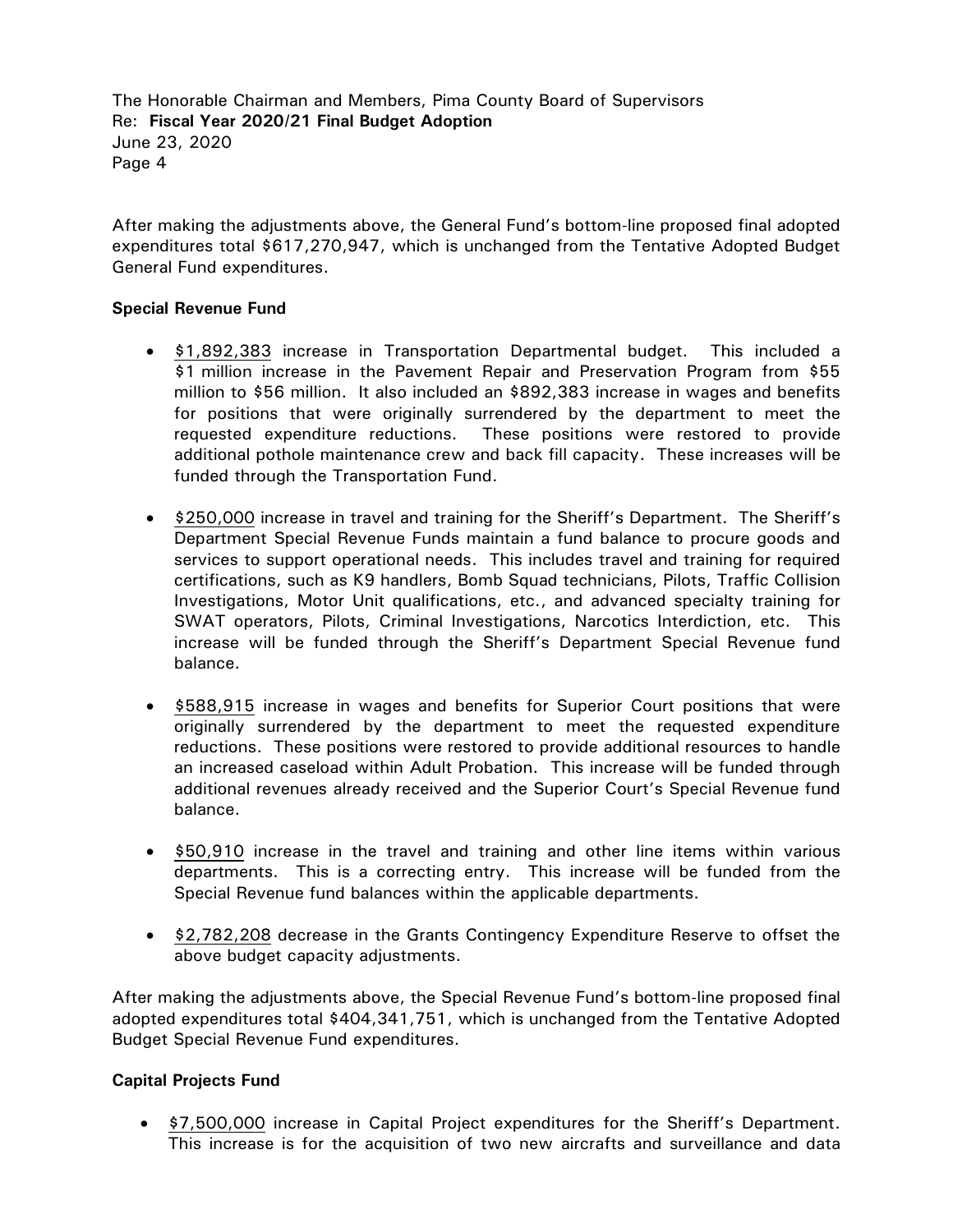After making the adjustments above, the General Fund's bottom-line proposed final adopted expenditures total \$617,270,947, which is unchanged from the Tentative Adopted Budget General Fund expenditures.

## **Special Revenue Fund**

- \$1,892,383 increase in Transportation Departmental budget. This included a \$1 million increase in the Pavement Repair and Preservation Program from \$55 million to \$56 million. It also included an \$892,383 increase in wages and benefits for positions that were originally surrendered by the department to meet the requested expenditure reductions. These positions were restored to provide additional pothole maintenance crew and back fill capacity. These increases will be funded through the Transportation Fund.
- \$250,000 increase in travel and training for the Sheriff's Department. The Sheriff's Department Special Revenue Funds maintain a fund balance to procure goods and services to support operational needs. This includes travel and training for required certifications, such as K9 handlers, Bomb Squad technicians, Pilots, Traffic Collision Investigations, Motor Unit qualifications, etc., and advanced specialty training for SWAT operators, Pilots, Criminal Investigations, Narcotics Interdiction, etc. This increase will be funded through the Sheriff's Department Special Revenue fund balance.
- \$588,915 increase in wages and benefits for Superior Court positions that were originally surrendered by the department to meet the requested expenditure reductions. These positions were restored to provide additional resources to handle an increased caseload within Adult Probation. This increase will be funded through additional revenues already received and the Superior Court's Special Revenue fund balance.
- \$50,910 increase in the travel and training and other line items within various departments. This is a correcting entry. This increase will be funded from the Special Revenue fund balances within the applicable departments.
- \$2,782,208 decrease in the Grants Contingency Expenditure Reserve to offset the above budget capacity adjustments.

After making the adjustments above, the Special Revenue Fund's bottom-line proposed final adopted expenditures total \$404,341,751, which is unchanged from the Tentative Adopted Budget Special Revenue Fund expenditures.

## **Capital Projects Fund**

 \$7,500,000 increase in Capital Project expenditures for the Sheriff's Department. This increase is for the acquisition of two new aircrafts and surveillance and data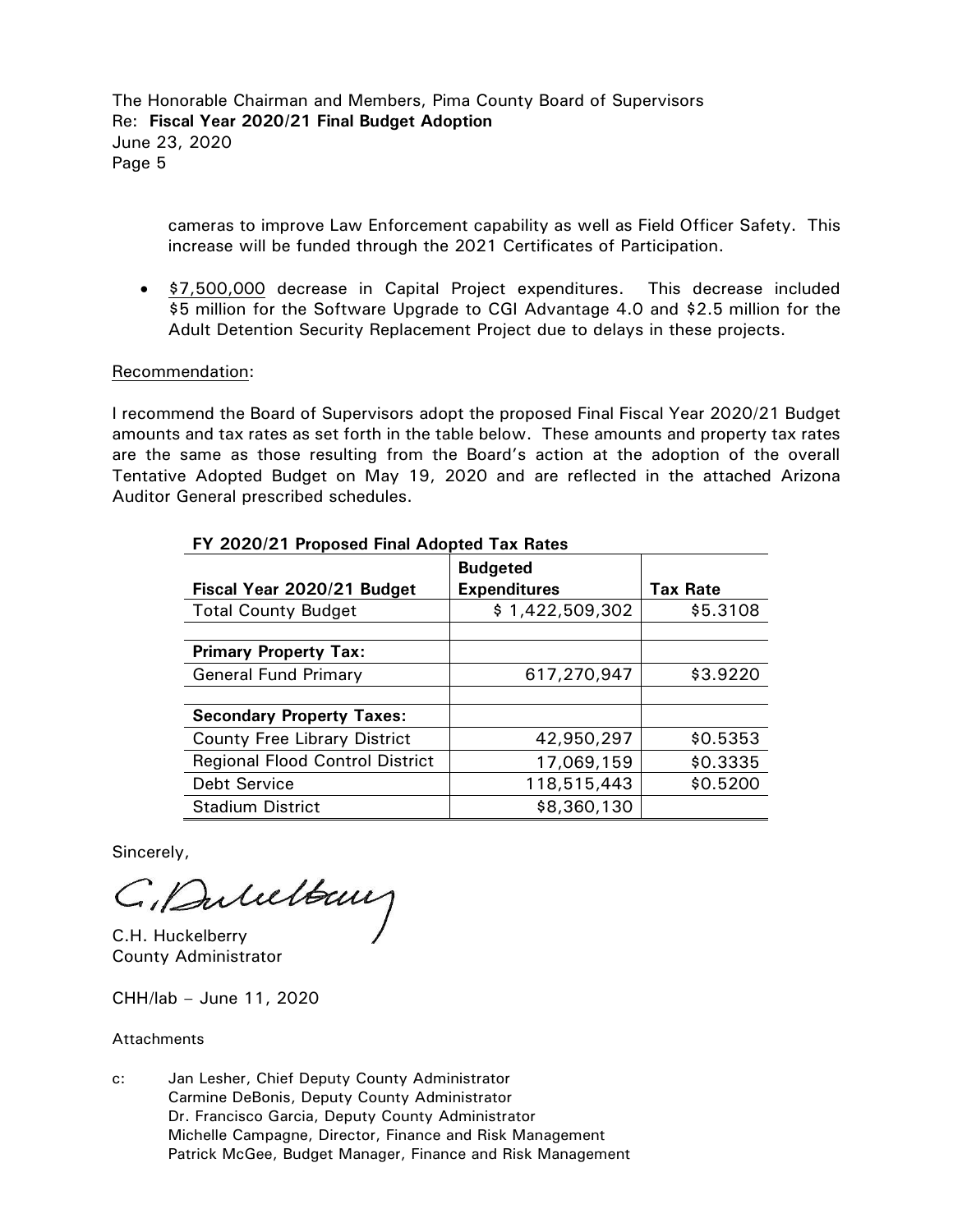cameras to improve Law Enforcement capability as well as Field Officer Safety. This increase will be funded through the 2021 Certificates of Participation.

 \$7,500,000 decrease in Capital Project expenditures. This decrease included \$5 million for the Software Upgrade to CGI Advantage 4.0 and \$2.5 million for the Adult Detention Security Replacement Project due to delays in these projects.

## Recommendation:

I recommend the Board of Supervisors adopt the proposed Final Fiscal Year 2020/21 Budget amounts and tax rates as set forth in the table below. These amounts and property tax rates are the same as those resulting from the Board's action at the adoption of the overall Tentative Adopted Budget on May 19, 2020 and are reflected in the attached Arizona Auditor General prescribed schedules.

| Fiscal Year 2020/21 Budget             | <b>Budgeted</b><br><b>Expenditures</b> | <b>Tax Rate</b> |
|----------------------------------------|----------------------------------------|-----------------|
| <b>Total County Budget</b>             | \$1,422,509,302                        | \$5.3108        |
|                                        |                                        |                 |
| <b>Primary Property Tax:</b>           |                                        |                 |
| <b>General Fund Primary</b>            | 617,270,947                            | \$3.9220        |
|                                        |                                        |                 |
| <b>Secondary Property Taxes:</b>       |                                        |                 |
| <b>County Free Library District</b>    | 42,950,297                             | \$0.5353        |
| <b>Regional Flood Control District</b> | 17,069,159                             | \$0.3335        |
| Debt Service                           | 118,515,443                            | \$0.5200        |
| <b>Stadium District</b>                | \$8,360,130                            |                 |

#### **FY 2020/21 Proposed Final Adopted Tax Rates**

Sincerely,

C. Duluttany

County Administrator

CHH/lab – June 11, 2020

**Attachments** 

c: Jan Lesher, Chief Deputy County Administrator Carmine DeBonis, Deputy County Administrator Dr. Francisco Garcia, Deputy County Administrator Michelle Campagne, Director, Finance and Risk Management Patrick McGee, Budget Manager, Finance and Risk Management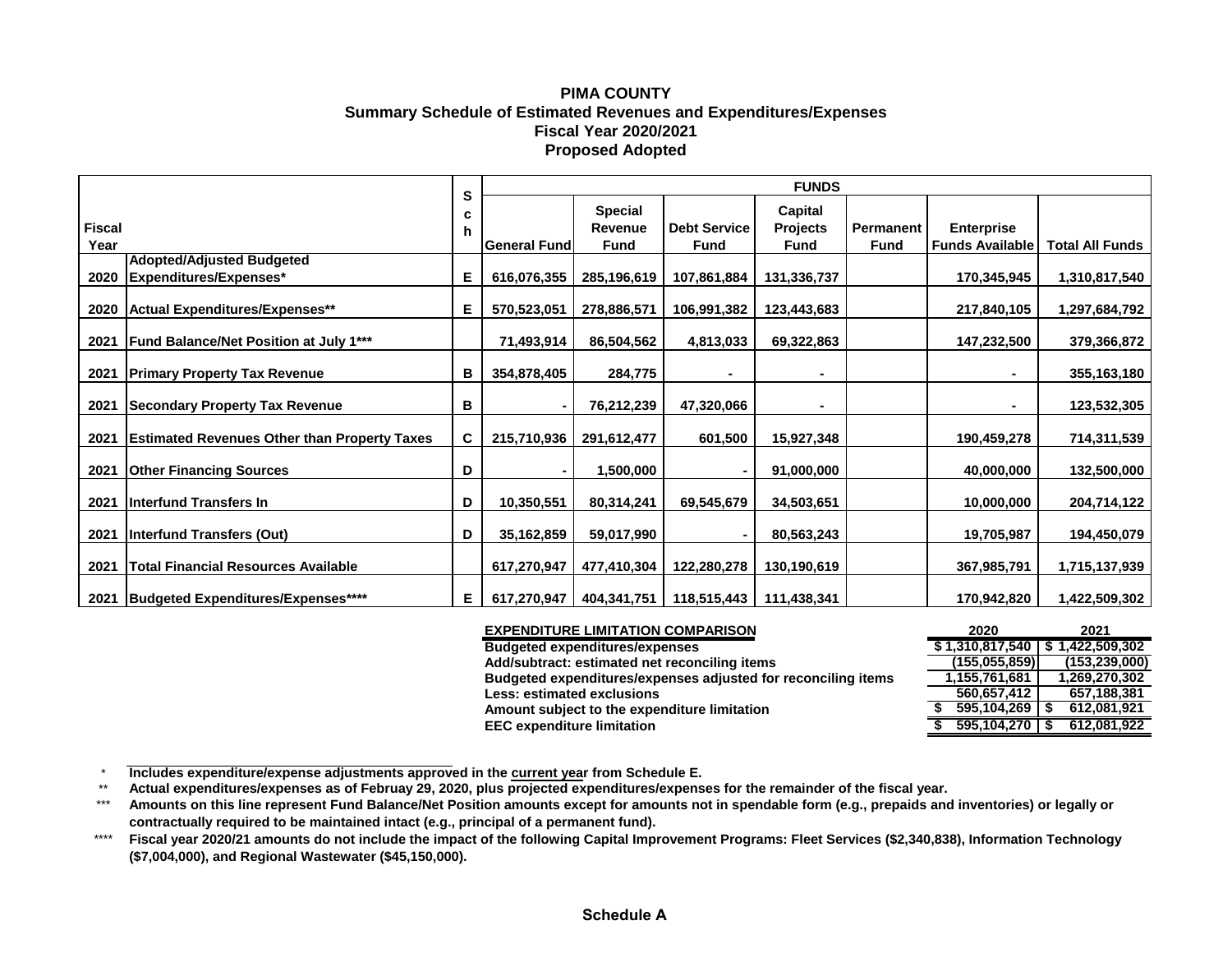## **PIMA COUNTY Summary Schedule of Estimated Revenues and Expenditures/Expenses Fiscal Year 2020/2021 Proposed Adopted**

|               |                                                     |        | <b>FUNDS</b>        |                |                     |                 |             |                        |                        |
|---------------|-----------------------------------------------------|--------|---------------------|----------------|---------------------|-----------------|-------------|------------------------|------------------------|
|               |                                                     | S<br>c |                     | <b>Special</b> |                     | Capital         |             |                        |                        |
| <b>Fiscal</b> |                                                     | n      |                     | Revenue        | <b>Debt Service</b> | <b>Projects</b> | Permanent   | <b>Enterprise</b>      |                        |
| Year          |                                                     |        | <b>General Fund</b> | <b>Fund</b>    | Fund                | <b>Fund</b>     | <b>Fund</b> | <b>Funds Available</b> | <b>Total All Funds</b> |
|               | <b>Adopted/Adjusted Budgeted</b>                    |        |                     |                |                     |                 |             |                        |                        |
| 2020          | Expenditures/Expenses*                              | Е      | 616,076,355         | 285,196,619    | 107,861,884         | 131,336,737     |             | 170,345,945            | 1,310,817,540          |
| 2020          | Actual Expenditures/Expenses**                      | Е      | 570,523,051         | 278,886,571    | 106,991,382         | 123,443,683     |             | 217,840,105            | 1,297,684,792          |
| 2021          | <b>Fund Balance/Net Position at July 1***</b>       |        | 71,493,914          | 86,504,562     | 4,813,033           | 69,322,863      |             | 147,232,500            | 379,366,872            |
| 2021          | <b>Primary Property Tax Revenue</b>                 | в      | 354,878,405         | 284,775        |                     |                 |             |                        | 355,163,180            |
| 2021          | <b>Secondary Property Tax Revenue</b>               | в      |                     | 76,212,239     | 47,320,066          |                 |             | ۰                      | 123,532,305            |
| 2021          | <b>Estimated Revenues Other than Property Taxes</b> | C.     | 215,710,936         | 291,612,477    | 601,500             | 15,927,348      |             | 190,459,278            | 714,311,539            |
| 2021          | <b>Other Financing Sources</b>                      | D      |                     | 1,500,000      |                     | 91,000,000      |             | 40,000,000             | 132,500,000            |
| 2021          | Interfund Transfers In                              | D      | 10,350,551          | 80,314,241     | 69,545,679          | 34,503,651      |             | 10,000,000             | 204,714,122            |
| 2021          | Interfund Transfers (Out)                           | D      | 35,162,859          | 59,017,990     |                     | 80,563,243      |             | 19,705,987             | 194,450,079            |
| 2021          | <b>Total Financial Resources Available</b>          |        | 617,270,947         | 477,410,304    | 122,280,278         | 130,190,619     |             | 367,985,791            | 1,715,137,939          |
| 2021          | Budgeted Expenditures/Expenses****                  | Е.     | 617,270,947         | 404,341,751    | 118,515,443         | 111,438,341     |             | 170,942,820            | 1,422,509,302          |

| <b>EXPENDITURE LIMITATION COMPARISON</b>                      | 2020            | 2021            |
|---------------------------------------------------------------|-----------------|-----------------|
| <b>Budgeted expenditures/expenses</b>                         | \$1,310,817,540 | 1,422,509,302   |
| Add/subtract: estimated net reconciling items                 | (155.055.859)   | (153, 239, 000) |
| Budgeted expenditures/expenses adjusted for reconciling items | 1,155,761,681   | 1,269,270,302   |
| <b>Less: estimated exclusions</b>                             | 560,657,412     | 657,188,381     |
| Amount subject to the expenditure limitation                  | 595,104,269     | 612,081,921     |
| <b>EEC expenditure limitation</b>                             | 595.104.270     | 612,081,922     |
|                                                               |                 |                 |

\* **Includes expenditure/expense adjustments approved in the current year from Schedule E.** 

\*\* **Actual expenditures/expenses as of Februay 29, 2020, plus projected expenditures/expenses for the remainder of the fiscal year.**

\*\*\* **Amounts on this line represent Fund Balance/Net Position amounts except for amounts not in spendable form (e.g., prepaids and inventories) or legally or contractually required to be maintained intact (e.g., principal of a permanent fund).**

\*\*\*\* **Fiscal year 2020/21 amounts do not include the impact of the following Capital Improvement Programs: Fleet Services (\$2,340,838), Information Technology (\$7,004,000), and Regional Wastewater (\$45,150,000).**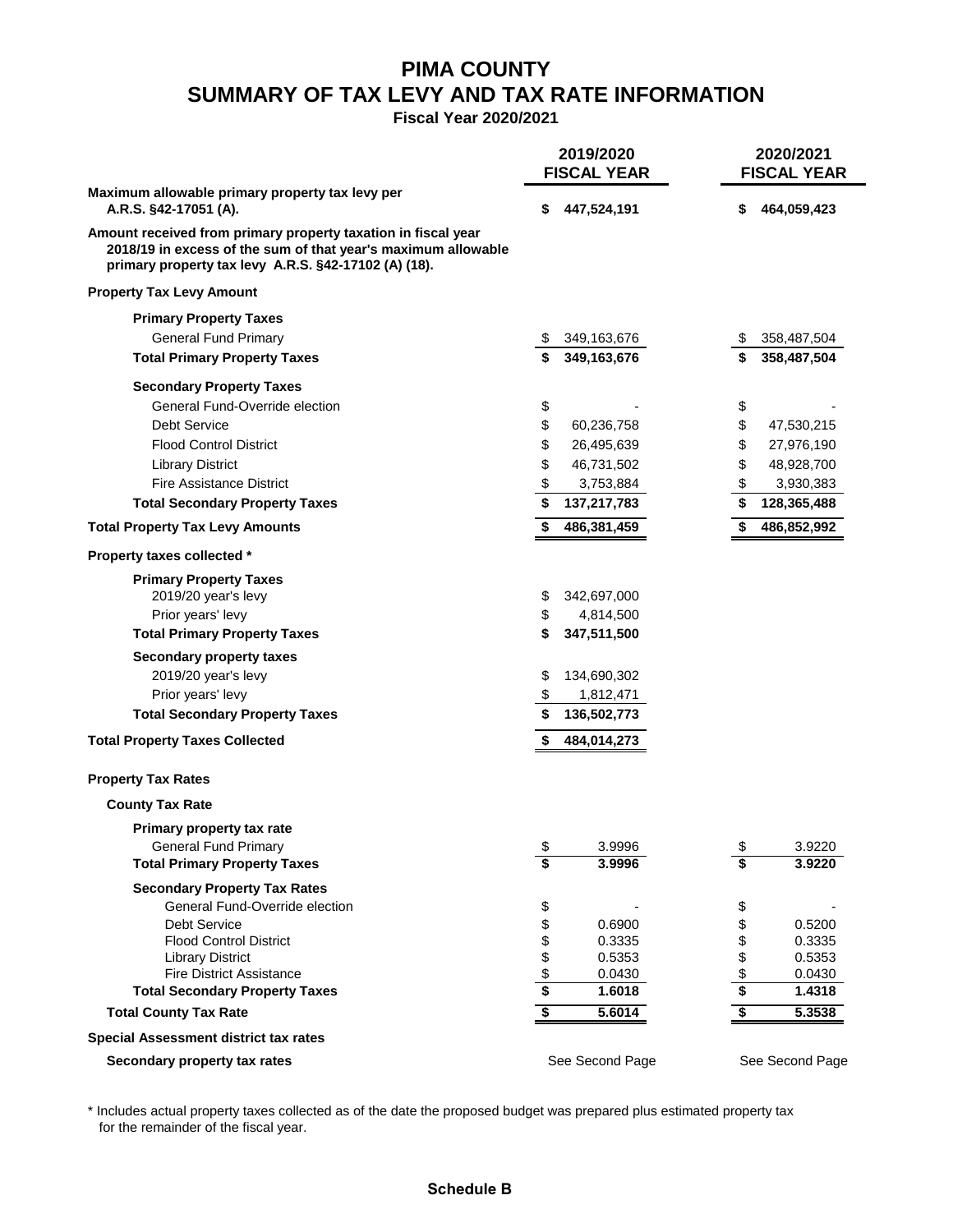## **PIMA COUNTY SUMMARY OF TAX LEVY AND TAX RATE INFORMATION**

**Fiscal Year 2020/2021**

|                                                                                                                                                                                        |          | 2019/2020<br><b>FISCAL YEAR</b> | 2020/2021<br><b>FISCAL YEAR</b>      |                  |  |
|----------------------------------------------------------------------------------------------------------------------------------------------------------------------------------------|----------|---------------------------------|--------------------------------------|------------------|--|
| Maximum allowable primary property tax levy per<br>A.R.S. §42-17051 (A).                                                                                                               | S        | 447,524,191                     | \$                                   | 464,059,423      |  |
| Amount received from primary property taxation in fiscal year<br>2018/19 in excess of the sum of that year's maximum allowable<br>primary property tax levy A.R.S. §42-17102 (A) (18). |          |                                 |                                      |                  |  |
| <b>Property Tax Levy Amount</b>                                                                                                                                                        |          |                                 |                                      |                  |  |
| <b>Primary Property Taxes</b>                                                                                                                                                          |          |                                 |                                      |                  |  |
| <b>General Fund Primary</b>                                                                                                                                                            |          | 349,163,676                     |                                      | 358,487,504      |  |
| <b>Total Primary Property Taxes</b>                                                                                                                                                    |          | 349,163,676                     |                                      | 358,487,504      |  |
| <b>Secondary Property Taxes</b>                                                                                                                                                        |          |                                 |                                      |                  |  |
| General Fund-Override election                                                                                                                                                         | \$       |                                 | \$                                   |                  |  |
| <b>Debt Service</b>                                                                                                                                                                    | \$       | 60,236,758                      | \$                                   | 47,530,215       |  |
| <b>Flood Control District</b>                                                                                                                                                          | \$       | 26,495,639                      | \$                                   | 27,976,190       |  |
| <b>Library District</b>                                                                                                                                                                | \$       | 46,731,502                      | \$                                   | 48,928,700       |  |
| <b>Fire Assistance District</b>                                                                                                                                                        | \$       | 3,753,884                       | \$                                   | 3,930,383        |  |
| <b>Total Secondary Property Taxes</b>                                                                                                                                                  |          | 137,217,783                     | \$                                   | 128,365,488      |  |
| <b>Total Property Tax Levy Amounts</b>                                                                                                                                                 |          | 486,381,459                     | S                                    | 486,852,992      |  |
| Property taxes collected *                                                                                                                                                             |          |                                 |                                      |                  |  |
| <b>Primary Property Taxes</b>                                                                                                                                                          |          |                                 |                                      |                  |  |
| 2019/20 year's levy                                                                                                                                                                    | \$       | 342,697,000                     |                                      |                  |  |
| Prior years' levy                                                                                                                                                                      | \$       | 4,814,500                       |                                      |                  |  |
| <b>Total Primary Property Taxes</b>                                                                                                                                                    |          | 347,511,500                     |                                      |                  |  |
| <b>Secondary property taxes</b>                                                                                                                                                        |          |                                 |                                      |                  |  |
| 2019/20 year's levy                                                                                                                                                                    | \$       | 134,690,302                     |                                      |                  |  |
| Prior years' levy                                                                                                                                                                      | \$       | 1,812,471                       |                                      |                  |  |
| <b>Total Secondary Property Taxes</b>                                                                                                                                                  | \$       | 136,502,773                     |                                      |                  |  |
| <b>Total Property Taxes Collected</b>                                                                                                                                                  | \$       | 484,014,273                     |                                      |                  |  |
| <b>Property Tax Rates</b>                                                                                                                                                              |          |                                 |                                      |                  |  |
| <b>County Tax Rate</b>                                                                                                                                                                 |          |                                 |                                      |                  |  |
| Primary property tax rate                                                                                                                                                              |          |                                 |                                      |                  |  |
| <b>General Fund Primary</b>                                                                                                                                                            |          | 3.9996                          | \$                                   | 3.9220           |  |
| <b>Total Primary Property Taxes</b>                                                                                                                                                    | \$       | 3.9996                          | \$                                   | 3.9220           |  |
| <b>Secondary Property Tax Rates</b>                                                                                                                                                    |          |                                 |                                      |                  |  |
| General Fund-Override election                                                                                                                                                         |          |                                 | \$                                   |                  |  |
| <b>Debt Service</b>                                                                                                                                                                    |          | 0.6900                          | \$                                   | 0.5200           |  |
| <b>Flood Control District</b>                                                                                                                                                          | \$\$\$   | 0.3335                          | \$                                   | 0.3335           |  |
| <b>Library District</b><br><b>Fire District Assistance</b>                                                                                                                             |          | 0.5353                          | \$                                   | 0.5353           |  |
| <b>Total Secondary Property Taxes</b>                                                                                                                                                  | \$<br>\$ | 0.0430<br>1.6018                | \$<br>\$                             | 0.0430<br>1.4318 |  |
| <b>Total County Tax Rate</b>                                                                                                                                                           | \$       | 5.6014                          | $\overline{\boldsymbol{\mathsf{s}}}$ | 5.3538           |  |
| <b>Special Assessment district tax rates</b>                                                                                                                                           |          |                                 |                                      |                  |  |
| Secondary property tax rates                                                                                                                                                           |          | See Second Page                 |                                      | See Second Page  |  |

\* Includes actual property taxes collected as of the date the proposed budget was prepared plus estimated property tax for the remainder of the fiscal year.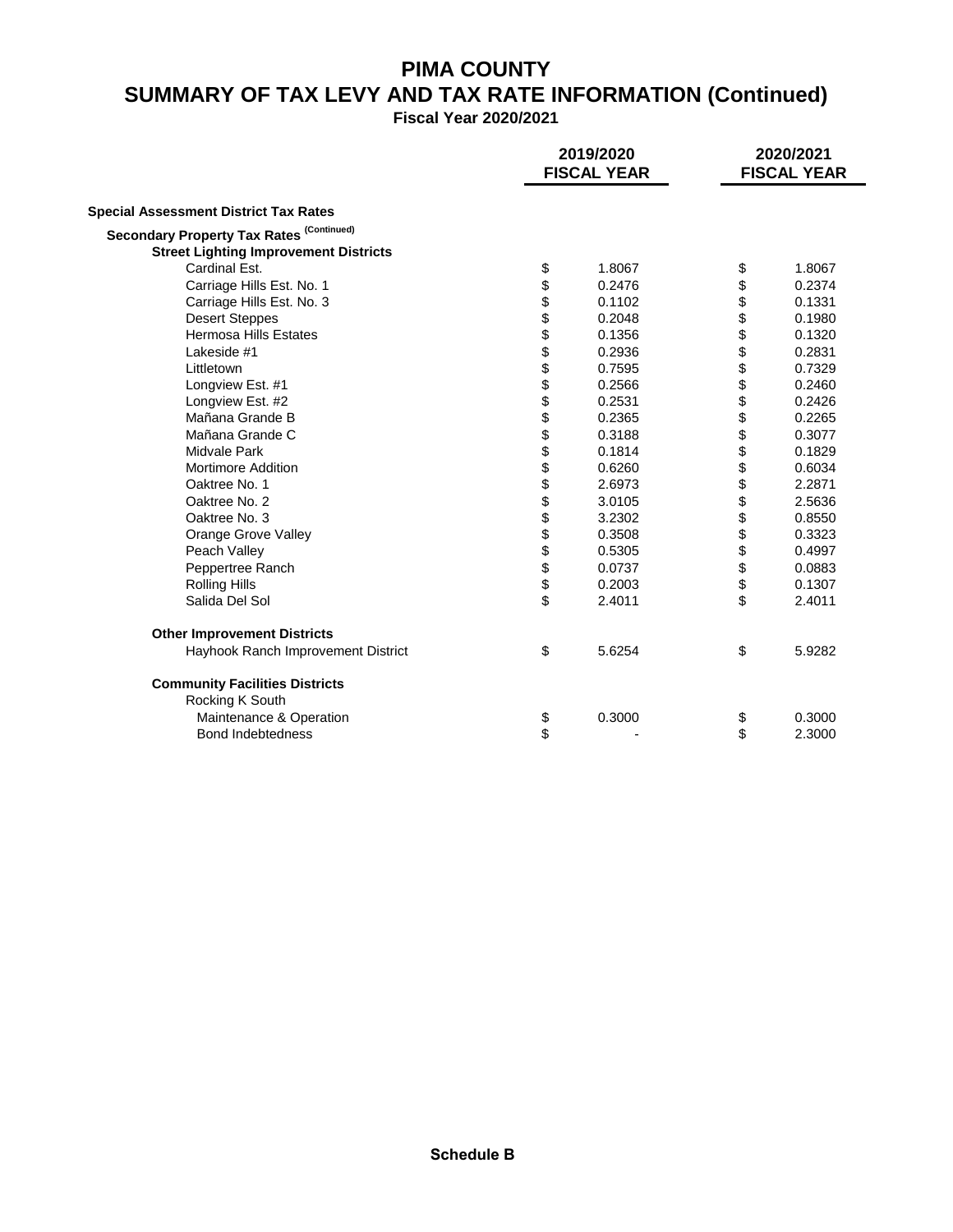# **PIMA COUNTY SUMMARY OF TAX LEVY AND TAX RATE INFORMATION (Continued)**

**Fiscal Year 2020/2021**

|                                              | 2019/2020<br><b>FISCAL YEAR</b> |        | 2020/2021<br><b>FISCAL YEAR</b> |        |
|----------------------------------------------|---------------------------------|--------|---------------------------------|--------|
| <b>Special Assessment District Tax Rates</b> |                                 |        |                                 |        |
| Secondary Property Tax Rates (Continued)     |                                 |        |                                 |        |
| <b>Street Lighting Improvement Districts</b> |                                 |        |                                 |        |
| Cardinal Est.                                |                                 | 1.8067 | \$                              | 1.8067 |
| Carriage Hills Est. No. 1                    | \$                              | 0.2476 | \$                              | 0.2374 |
| Carriage Hills Est. No. 3                    |                                 | 0.1102 | \$                              | 0.1331 |
| <b>Desert Steppes</b>                        |                                 | 0.2048 | \$                              | 0.1980 |
| <b>Hermosa Hills Estates</b>                 | ୫୫୫ ୫୫ ୫୫ ୫୫ ୫୫ ୫୫ ୫୫ ୫୫ ୫୫ ୫   | 0.1356 | \$                              | 0.1320 |
| Lakeside #1                                  |                                 | 0.2936 | \$                              | 0.2831 |
| Littletown                                   |                                 | 0.7595 |                                 | 0.7329 |
| Longview Est. #1                             |                                 | 0.2566 | \$                              | 0.2460 |
| Longview Est. #2                             |                                 | 0.2531 |                                 | 0.2426 |
| Mañana Grande B                              |                                 | 0.2365 | \$\$                            | 0.2265 |
| Mañana Grande C                              |                                 | 0.3188 |                                 | 0.3077 |
| Midvale Park                                 |                                 | 0.1814 | \$                              | 0.1829 |
| <b>Mortimore Addition</b>                    |                                 | 0.6260 | \$                              | 0.6034 |
| Oaktree No. 1                                |                                 | 2.6973 |                                 | 2.2871 |
| Oaktree No. 2                                |                                 | 3.0105 | \$                              | 2.5636 |
| Oaktree No. 3                                |                                 | 3.2302 | \$                              | 0.8550 |
| Orange Grove Valley                          |                                 | 0.3508 | \$                              | 0.3323 |
| Peach Valley                                 |                                 | 0.5305 | \$                              | 0.4997 |
| Peppertree Ranch                             |                                 | 0.0737 | \$                              | 0.0883 |
| <b>Rolling Hills</b>                         |                                 | 0.2003 | \$                              | 0.1307 |
| Salida Del Sol                               |                                 | 2.4011 | \$                              | 2.4011 |
| <b>Other Improvement Districts</b>           |                                 |        |                                 |        |
| Hayhook Ranch Improvement District           | \$                              | 5.6254 | \$                              | 5.9282 |
| <b>Community Facilities Districts</b>        |                                 |        |                                 |        |
| Rocking K South                              |                                 |        |                                 |        |
| Maintenance & Operation                      | \$                              | 0.3000 | \$                              | 0.3000 |
| <b>Bond Indebtedness</b>                     | \$                              |        | \$                              | 2.3000 |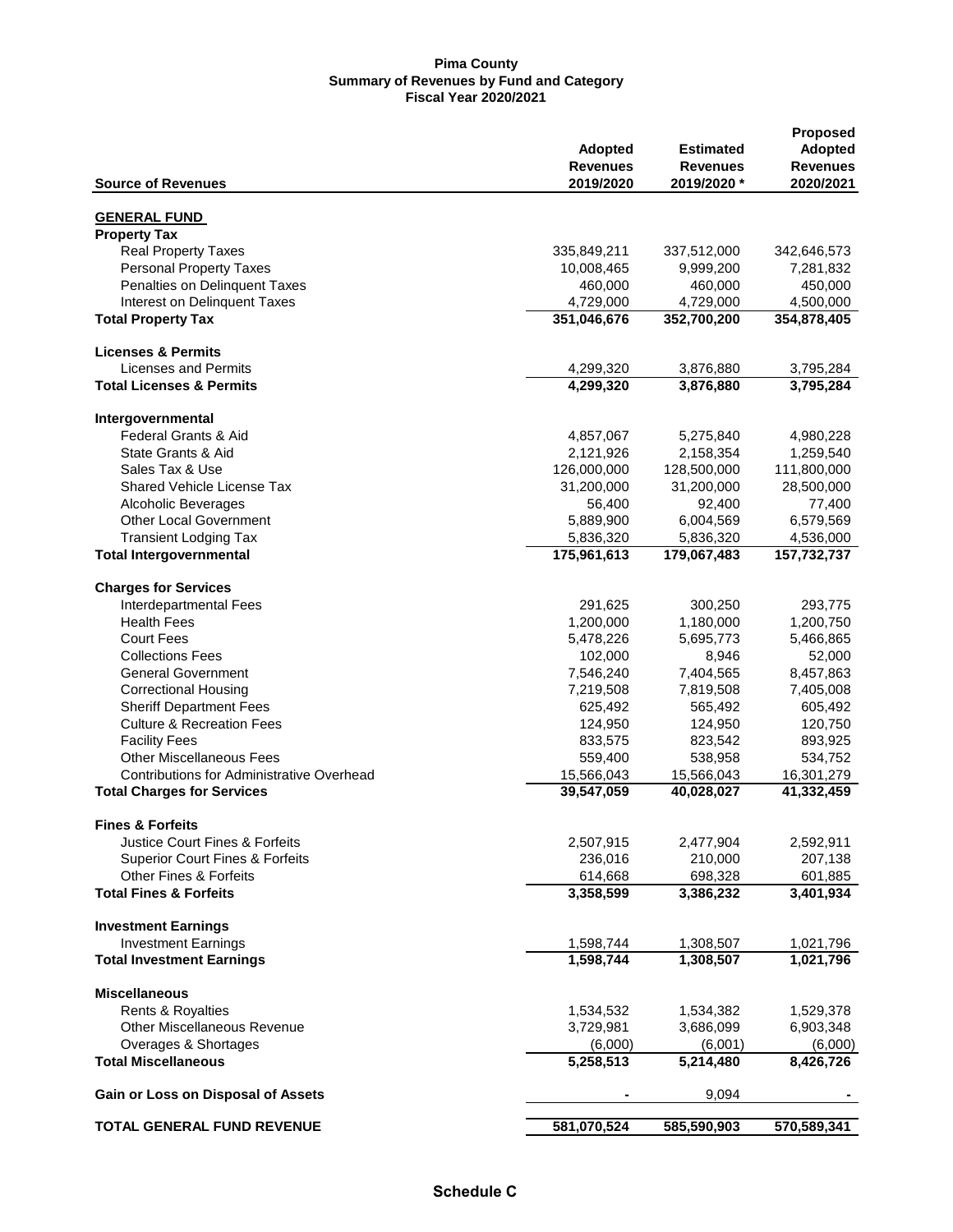|                                                         | <b>Adopted</b>                    | <b>Estimated</b>               | <b>Proposed</b>              |
|---------------------------------------------------------|-----------------------------------|--------------------------------|------------------------------|
|                                                         |                                   |                                | <b>Adopted</b>               |
| <b>Source of Revenues</b>                               | <b>Revenues</b><br>2019/2020      | <b>Revenues</b><br>2019/2020 * | <b>Revenues</b><br>2020/2021 |
| <b>GENERAL FUND</b>                                     |                                   |                                |                              |
| <b>Property Tax</b>                                     |                                   |                                |                              |
| <b>Real Property Taxes</b>                              | 335,849,211                       | 337,512,000                    | 342,646,573                  |
| <b>Personal Property Taxes</b>                          | 10,008,465                        | 9,999,200                      | 7,281,832                    |
| Penalties on Delinquent Taxes                           | 460,000                           | 460,000                        | 450,000                      |
| Interest on Delinquent Taxes                            | 4,729,000                         | 4,729,000                      | 4,500,000                    |
| <b>Total Property Tax</b>                               | 351,046,676                       | 352,700,200                    | 354,878,405                  |
|                                                         |                                   |                                |                              |
| <b>Licenses &amp; Permits</b>                           |                                   |                                |                              |
| Licenses and Permits                                    | 4,299,320                         | 3,876,880                      | 3,795,284                    |
| <b>Total Licenses &amp; Permits</b>                     | 4,299,320                         | 3,876,880                      | 3,795,284                    |
|                                                         |                                   |                                |                              |
| Intergovernmental                                       |                                   |                                |                              |
| Federal Grants & Aid                                    | 4,857,067                         | 5,275,840                      | 4,980,228                    |
| State Grants & Aid                                      | 2,121,926                         | 2,158,354                      | 1,259,540                    |
| Sales Tax & Use                                         | 126,000,000                       | 128,500,000                    | 111,800,000                  |
| <b>Shared Vehicle License Tax</b>                       | 31,200,000                        | 31,200,000                     | 28,500,000                   |
| Alcoholic Beverages                                     | 56,400                            | 92,400                         | 77,400                       |
| <b>Other Local Government</b>                           | 5,889,900                         | 6,004,569                      | 6,579,569                    |
| <b>Transient Lodging Tax</b>                            | 5,836,320                         | 5,836,320                      | 4,536,000                    |
| <b>Total Intergovernmental</b>                          | 175,961,613                       | 179,067,483                    | 157,732,737                  |
|                                                         |                                   |                                |                              |
| <b>Charges for Services</b>                             |                                   |                                |                              |
| Interdepartmental Fees                                  | 291,625                           | 300,250                        | 293,775                      |
| <b>Health Fees</b>                                      | 1,200,000                         | 1,180,000                      | 1,200,750                    |
| <b>Court Fees</b>                                       | 5,478,226                         | 5,695,773                      | 5,466,865                    |
| <b>Collections Fees</b>                                 | 102,000                           | 8,946                          | 52,000                       |
| <b>General Government</b>                               | 7,546,240                         | 7,404,565                      | 8,457,863                    |
| <b>Correctional Housing</b>                             | 7,219,508                         | 7,819,508                      | 7,405,008                    |
| <b>Sheriff Department Fees</b>                          | 625,492                           | 565,492                        | 605,492                      |
| <b>Culture &amp; Recreation Fees</b>                    | 124,950                           | 124,950                        | 120,750                      |
| <b>Facility Fees</b>                                    | 833,575                           | 823,542                        | 893,925                      |
| <b>Other Miscellaneous Fees</b>                         | 559,400                           | 538,958                        | 534,752                      |
| <b>Contributions for Administrative Overhead</b>        | 15,566,043                        | 15,566,043                     | 16,301,279                   |
| <b>Total Charges for Services</b>                       | 39,547,059                        | 40,028,027                     | 41,332,459                   |
| <b>Fines &amp; Forfeits</b>                             |                                   |                                |                              |
| <b>Justice Court Fines &amp; Forfeits</b>               | 2,507,915                         | 2,477,904                      | 2,592,911                    |
| <b>Superior Court Fines &amp; Forfeits</b>              | 236,016                           | 210,000                        | 207,138                      |
| <b>Other Fines &amp; Forfeits</b>                       | 614,668                           | 698,328                        | 601,885                      |
| <b>Total Fines &amp; Forfeits</b>                       | 3,358,599                         | 3,386,232                      | 3,401,934                    |
|                                                         |                                   |                                |                              |
| <b>Investment Earnings</b>                              |                                   |                                |                              |
| <b>Investment Earnings</b>                              | 1,598,744                         | 1,308,507                      | 1,021,796                    |
| <b>Total Investment Earnings</b>                        | 1,598,744                         | 1,308,507                      | 1,021,796                    |
| <b>Miscellaneous</b>                                    |                                   |                                |                              |
|                                                         |                                   |                                |                              |
| Rents & Royalties<br><b>Other Miscellaneous Revenue</b> | 1,534,532<br>3,729,981            | 1,534,382<br>3,686,099         | 1,529,378<br>6,903,348       |
|                                                         |                                   |                                |                              |
| Overages & Shortages<br><b>Total Miscellaneous</b>      | (6,000)<br>$\overline{5,}258,513$ | (6,001)<br>5,214,480           | (6,000)<br>8,426,726         |
|                                                         |                                   |                                |                              |
| Gain or Loss on Disposal of Assets                      |                                   | 9,094                          |                              |
| <b>TOTAL GENERAL FUND REVENUE</b>                       | 581,070,524                       | 585,590,903                    | 570,589,341                  |
|                                                         |                                   |                                |                              |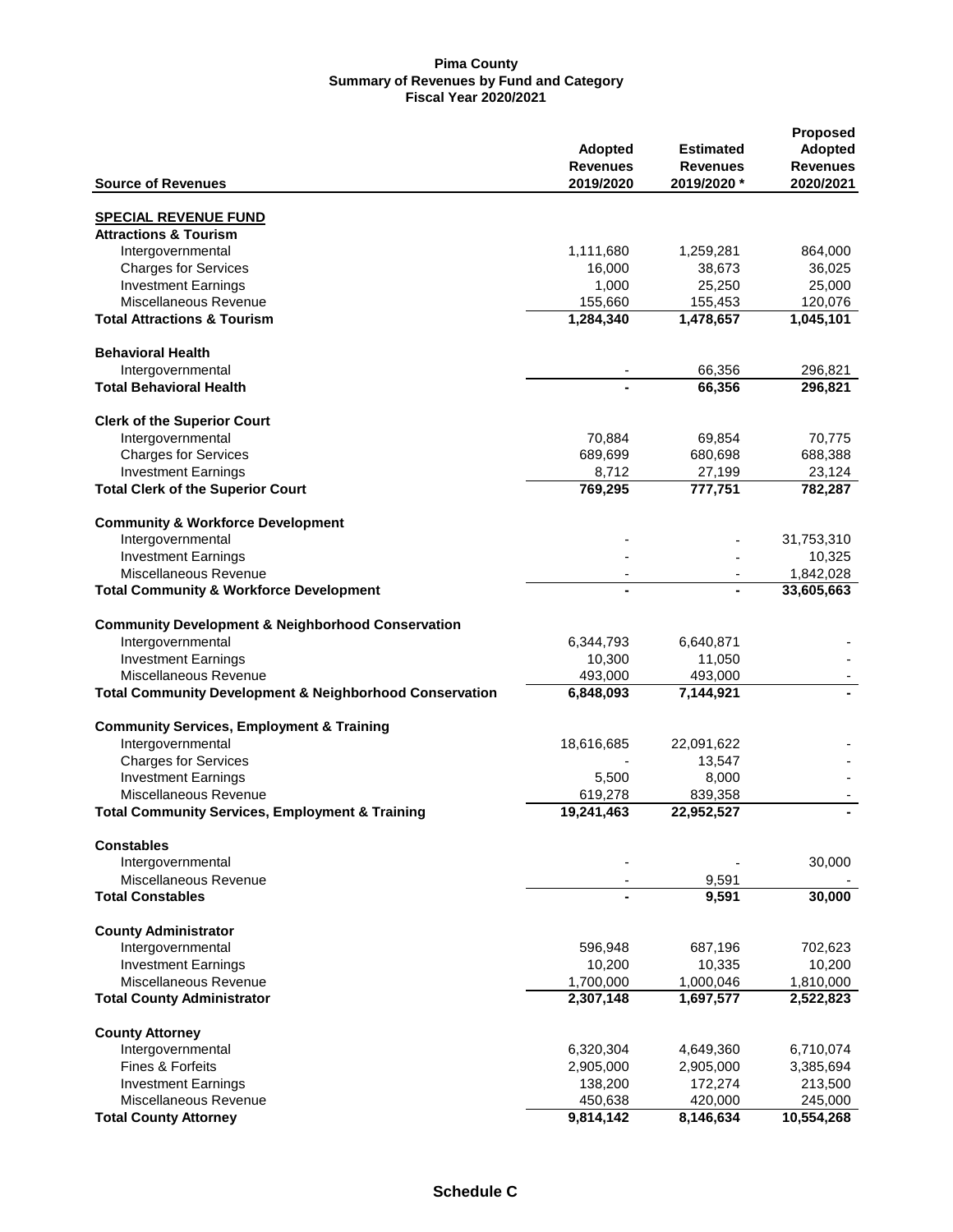|                                                                    |                        |                        | <b>Proposed</b>        |
|--------------------------------------------------------------------|------------------------|------------------------|------------------------|
|                                                                    | <b>Adopted</b>         | <b>Estimated</b>       | Adopted                |
|                                                                    | <b>Revenues</b>        | <b>Revenues</b>        | <b>Revenues</b>        |
| <b>Source of Revenues</b>                                          | 2019/2020              | 2019/2020 *            | 2020/2021              |
|                                                                    |                        |                        |                        |
| <b>SPECIAL REVENUE FUND</b>                                        |                        |                        |                        |
| <b>Attractions &amp; Tourism</b>                                   |                        |                        |                        |
| Intergovernmental                                                  | 1,111,680              | 1,259,281              | 864,000                |
| <b>Charges for Services</b>                                        | 16,000                 | 38,673                 | 36,025                 |
| <b>Investment Earnings</b>                                         | 1,000                  | 25,250                 | 25,000                 |
| Miscellaneous Revenue                                              | 155,660                | 155,453                | 120,076                |
| <b>Total Attractions &amp; Tourism</b>                             | 1,284,340              | 1,478,657              | 1,045,101              |
| <b>Behavioral Health</b>                                           |                        |                        |                        |
| Intergovernmental                                                  |                        | 66,356                 | 296,821                |
| <b>Total Behavioral Health</b>                                     |                        | 66,356                 | 296,821                |
|                                                                    |                        |                        |                        |
| <b>Clerk of the Superior Court</b>                                 |                        |                        |                        |
| Intergovernmental                                                  | 70,884                 | 69,854                 | 70,775                 |
| <b>Charges for Services</b>                                        | 689,699                | 680,698                | 688,388                |
| <b>Investment Earnings</b>                                         | 8,712                  | 27,199                 | 23,124                 |
| <b>Total Clerk of the Superior Court</b>                           | 769,295                | 777,751                | 782,287                |
| <b>Community &amp; Workforce Development</b>                       |                        |                        |                        |
| Intergovernmental                                                  |                        |                        | 31,753,310             |
| <b>Investment Earnings</b>                                         |                        |                        | 10,325                 |
| Miscellaneous Revenue                                              |                        |                        | 1,842,028              |
| <b>Total Community &amp; Workforce Development</b>                 | $\frac{1}{2}$          |                        | 33,605,663             |
|                                                                    |                        |                        |                        |
| <b>Community Development &amp; Neighborhood Conservation</b>       |                        |                        |                        |
| Intergovernmental                                                  | 6,344,793              | 6,640,871              |                        |
| <b>Investment Earnings</b>                                         | 10,300                 | 11,050                 |                        |
| Miscellaneous Revenue                                              | 493,000                | 493,000                |                        |
|                                                                    |                        |                        |                        |
| <b>Total Community Development &amp; Neighborhood Conservation</b> | 6,848,093              | 7,144,921              |                        |
| <b>Community Services, Employment &amp; Training</b>               |                        |                        |                        |
| Intergovernmental                                                  | 18,616,685             | 22,091,622             |                        |
| <b>Charges for Services</b>                                        |                        | 13,547                 |                        |
| <b>Investment Earnings</b>                                         | 5,500                  | 8,000                  |                        |
| Miscellaneous Revenue                                              | 619,278                | 839,358                |                        |
| <b>Total Community Services, Employment &amp; Training</b>         | 19,241,463             | 22,952,527             |                        |
|                                                                    |                        |                        |                        |
| <b>Constables</b>                                                  |                        |                        |                        |
| Intergovernmental                                                  |                        |                        | 30,000                 |
| Miscellaneous Revenue                                              |                        | 9,591                  |                        |
| <b>Total Constables</b>                                            |                        | 9,591                  | 30,000                 |
| <b>County Administrator</b>                                        |                        |                        |                        |
| Intergovernmental                                                  | 596,948                | 687,196                | 702,623                |
| <b>Investment Earnings</b>                                         | 10,200                 | 10,335                 | 10,200                 |
|                                                                    |                        |                        |                        |
| Miscellaneous Revenue<br><b>Total County Administrator</b>         | 1,700,000<br>2,307,148 | 1,000,046<br>1,697,577 | 1,810,000<br>2,522,823 |
|                                                                    |                        |                        |                        |
| <b>County Attorney</b>                                             |                        |                        |                        |
| Intergovernmental                                                  | 6,320,304              | 4,649,360              | 6,710,074              |
| Fines & Forfeits                                                   | 2,905,000              | 2,905,000              | 3,385,694              |
| <b>Investment Earnings</b>                                         | 138,200                | 172,274                | 213,500                |
| Miscellaneous Revenue                                              | 450,638                | 420,000                | 245,000                |
| <b>Total County Attorney</b>                                       | 9,814,142              | 8,146,634              | 10,554,268             |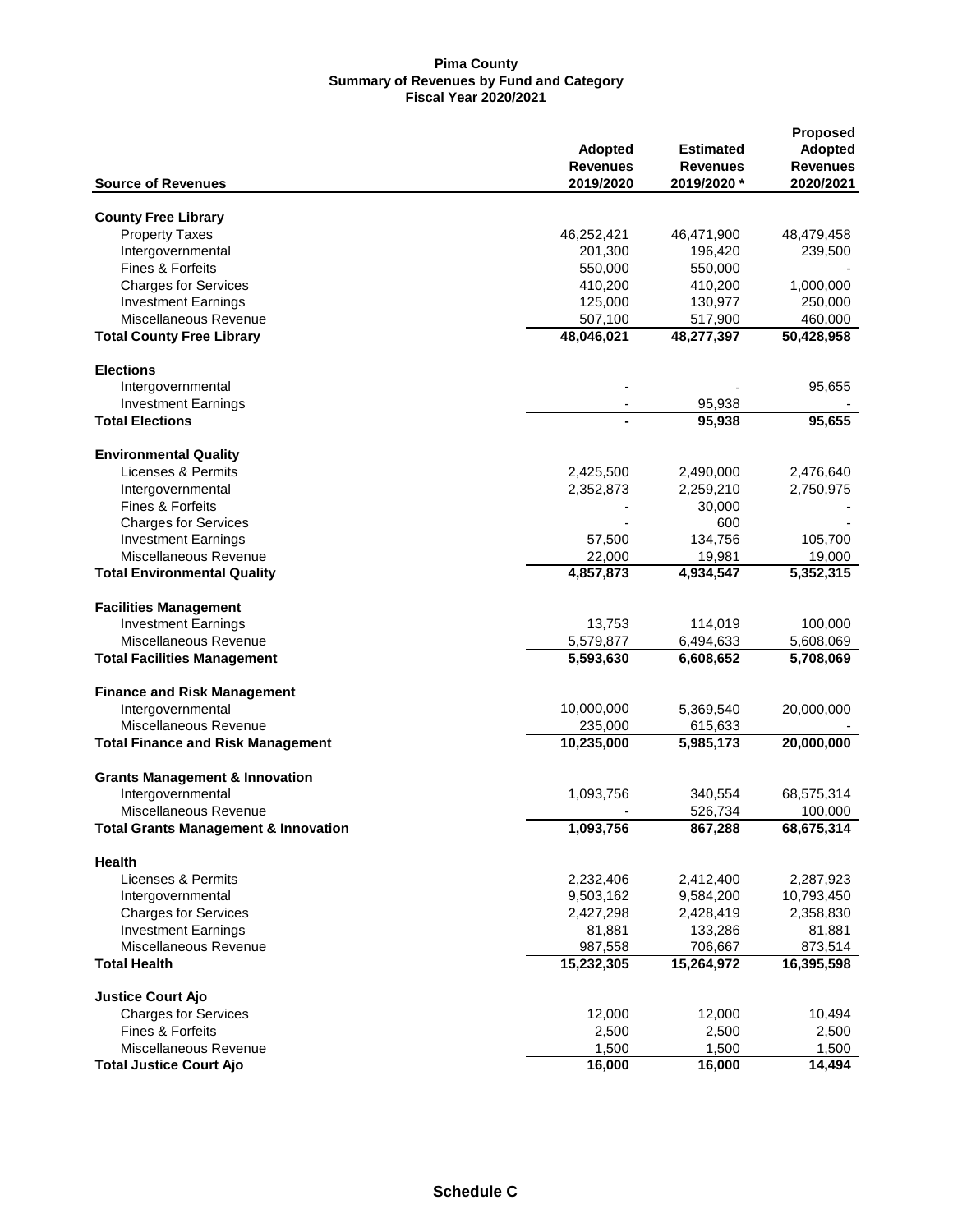|                                                 |                       |                  | <b>Proposed</b> |
|-------------------------------------------------|-----------------------|------------------|-----------------|
|                                                 | <b>Adopted</b>        | <b>Estimated</b> | <b>Adopted</b>  |
|                                                 | <b>Revenues</b>       | <b>Revenues</b>  | <b>Revenues</b> |
| <b>Source of Revenues</b>                       | 2019/2020             | 2019/2020 *      | 2020/2021       |
| <b>County Free Library</b>                      |                       |                  |                 |
| <b>Property Taxes</b>                           | 46,252,421            | 46,471,900       | 48,479,458      |
| Intergovernmental                               | 201,300               | 196,420          | 239,500         |
| Fines & Forfeits                                | 550,000               | 550,000          |                 |
| <b>Charges for Services</b>                     |                       |                  |                 |
|                                                 | 410,200               | 410,200          | 1,000,000       |
| <b>Investment Earnings</b>                      | 125,000               | 130,977          | 250,000         |
| Miscellaneous Revenue                           | 507,100               | 517,900          | 460,000         |
| <b>Total County Free Library</b>                | 48,046,021            | 48,277,397       | 50,428,958      |
| <b>Elections</b>                                |                       |                  |                 |
| Intergovernmental                               |                       |                  | 95,655          |
| <b>Investment Earnings</b>                      |                       | 95,938           |                 |
| <b>Total Elections</b>                          |                       | 95,938           | 95,655          |
| <b>Environmental Quality</b>                    |                       |                  |                 |
| Licenses & Permits                              | 2,425,500             | 2,490,000        | 2,476,640       |
| Intergovernmental                               |                       | 2,259,210        |                 |
| <b>Fines &amp; Forfeits</b>                     | 2,352,873             |                  | 2,750,975       |
|                                                 |                       | 30,000           |                 |
| <b>Charges for Services</b>                     |                       | 600              |                 |
| <b>Investment Earnings</b>                      | 57,500                | 134,756          | 105,700         |
| Miscellaneous Revenue                           | 22,000                | 19,981           | 19,000          |
| <b>Total Environmental Quality</b>              | 4,857,873             | 4,934,547        | 5,352,315       |
| <b>Facilities Management</b>                    |                       |                  |                 |
| <b>Investment Earnings</b>                      | 13,753                | 114,019          | 100,000         |
| Miscellaneous Revenue                           | 5,579,877             | 6,494,633        | 5,608,069       |
| <b>Total Facilities Management</b>              | 5,593,630             | 6,608,652        | 5,708,069       |
| <b>Finance and Risk Management</b>              |                       |                  |                 |
| Intergovernmental                               | 10,000,000            | 5,369,540        | 20,000,000      |
| Miscellaneous Revenue                           |                       |                  |                 |
|                                                 | 235,000<br>10,235,000 | 615,633          |                 |
| <b>Total Finance and Risk Management</b>        |                       | 5,985,173        | 20,000,000      |
| <b>Grants Management &amp; Innovation</b>       |                       |                  |                 |
| Intergovernmental                               | 1,093,756             | 340,554          | 68,575,314      |
| Miscellaneous Revenue                           |                       | 526,734          | 100,000         |
| <b>Total Grants Management &amp; Innovation</b> | 1,093,756             | 867,288          | 68,675,314      |
| Health                                          |                       |                  |                 |
| Licenses & Permits                              | 2,232,406             | 2,412,400        | 2,287,923       |
| Intergovernmental                               | 9,503,162             | 9,584,200        | 10,793,450      |
| <b>Charges for Services</b>                     | 2,427,298             | 2,428,419        | 2,358,830       |
| <b>Investment Earnings</b>                      | 81,881                | 133,286          | 81,881          |
| Miscellaneous Revenue                           | 987,558               | 706,667          | 873,514         |
| <b>Total Health</b>                             | 15,232,305            | 15,264,972       | 16,395,598      |
|                                                 |                       |                  |                 |
| <b>Justice Court Ajo</b>                        |                       |                  |                 |
| <b>Charges for Services</b>                     | 12,000                | 12,000           | 10,494          |
| <b>Fines &amp; Forfeits</b>                     | 2,500                 | 2,500            | 2,500           |
| Miscellaneous Revenue                           | 1,500                 | 1,500            | 1,500           |
| <b>Total Justice Court Ajo</b>                  | 16,000                | 16,000           | 14,494          |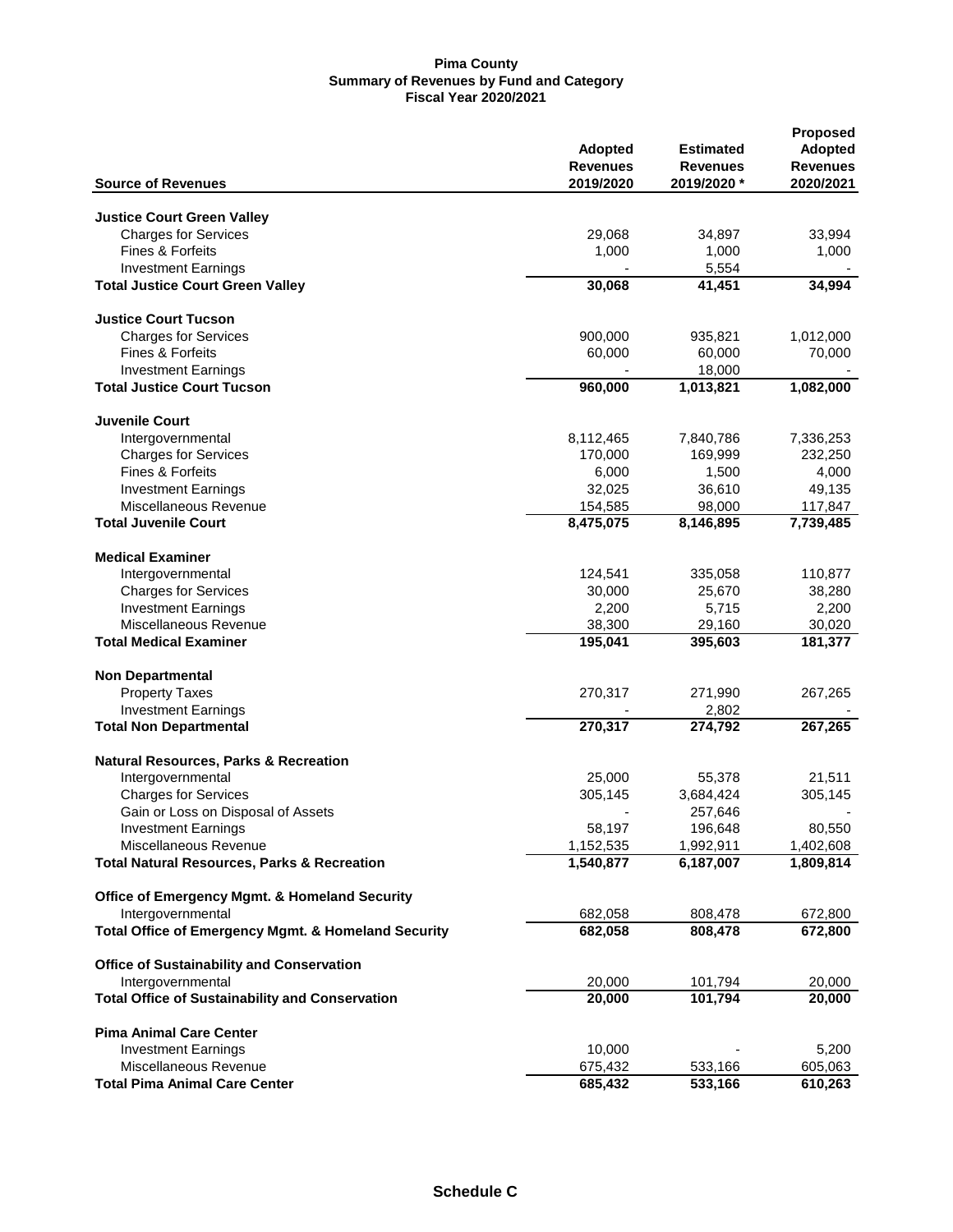| <b>Source of Revenues</b>                              | <b>Adopted</b><br><b>Revenues</b><br>2019/2020 | <b>Estimated</b><br><b>Revenues</b><br>2019/2020* | <b>Proposed</b><br><b>Adopted</b><br><b>Revenues</b><br>2020/2021 |
|--------------------------------------------------------|------------------------------------------------|---------------------------------------------------|-------------------------------------------------------------------|
|                                                        |                                                |                                                   |                                                                   |
| <b>Justice Court Green Valley</b>                      |                                                |                                                   |                                                                   |
| <b>Charges for Services</b>                            | 29,068                                         | 34,897                                            | 33,994                                                            |
| <b>Fines &amp; Forfeits</b>                            | 1,000                                          | 1,000                                             | 1,000                                                             |
| <b>Investment Earnings</b>                             |                                                | 5,554                                             |                                                                   |
| <b>Total Justice Court Green Valley</b>                | 30,068                                         | 41,451                                            | 34,994                                                            |
| <b>Justice Court Tucson</b>                            |                                                |                                                   |                                                                   |
| <b>Charges for Services</b>                            | 900,000                                        | 935,821                                           | 1,012,000                                                         |
| <b>Fines &amp; Forfeits</b>                            | 60,000                                         | 60,000                                            | 70,000                                                            |
| <b>Investment Earnings</b>                             |                                                | 18,000                                            |                                                                   |
| <b>Total Justice Court Tucson</b>                      | 960,000                                        | 1,013,821                                         | 1,082,000                                                         |
| <b>Juvenile Court</b>                                  |                                                |                                                   |                                                                   |
| Intergovernmental                                      | 8,112,465                                      | 7,840,786                                         | 7,336,253                                                         |
| <b>Charges for Services</b>                            | 170,000                                        | 169,999                                           | 232,250                                                           |
| <b>Fines &amp; Forfeits</b>                            | 6,000                                          | 1,500                                             | 4,000                                                             |
| <b>Investment Earnings</b>                             | 32,025                                         | 36,610                                            | 49,135                                                            |
| Miscellaneous Revenue                                  | 154,585                                        | 98,000                                            | 117,847                                                           |
| <b>Total Juvenile Court</b>                            | 8,475,075                                      | 8,146,895                                         | 7,739,485                                                         |
| <b>Medical Examiner</b>                                |                                                |                                                   |                                                                   |
| Intergovernmental                                      | 124,541                                        | 335,058                                           | 110,877                                                           |
| <b>Charges for Services</b>                            | 30,000                                         | 25,670                                            | 38,280                                                            |
| <b>Investment Earnings</b>                             | 2,200                                          | 5,715                                             | 2,200                                                             |
| Miscellaneous Revenue                                  | 38,300                                         | 29,160                                            | 30,020                                                            |
| <b>Total Medical Examiner</b>                          | 195,041                                        | 395,603                                           | 181,377                                                           |
| <b>Non Departmental</b>                                |                                                |                                                   |                                                                   |
| <b>Property Taxes</b>                                  | 270,317                                        | 271,990                                           | 267,265                                                           |
| <b>Investment Earnings</b>                             |                                                | 2,802                                             |                                                                   |
| <b>Total Non Departmental</b>                          | 270,317                                        | 274,792                                           | 267,265                                                           |
| <b>Natural Resources, Parks &amp; Recreation</b>       |                                                |                                                   |                                                                   |
| Intergovernmental                                      | 25,000                                         | 55,378                                            | 21,511                                                            |
| <b>Charges for Services</b>                            | 305,145                                        | 3,684,424                                         | 305,145                                                           |
| Gain or Loss on Disposal of Assets                     |                                                | 257,646                                           |                                                                   |
| Investment Earnings                                    | 58,197                                         | 196,648                                           | 80,550                                                            |
| Miscellaneous Revenue                                  | 1,152,535                                      | 1,992,911                                         | 1,402,608                                                         |
| <b>Total Natural Resources, Parks &amp; Recreation</b> | 1,540,877                                      | 6,187,007                                         | 1,809,814                                                         |
| Office of Emergency Mgmt. & Homeland Security          |                                                |                                                   |                                                                   |
| Intergovernmental                                      | 682,058                                        | 808,478                                           | 672,800                                                           |
| Total Office of Emergency Mgmt. & Homeland Security    | 682,058                                        | 808,478                                           | 672,800                                                           |
| <b>Office of Sustainability and Conservation</b>       |                                                |                                                   |                                                                   |
| Intergovernmental                                      | 20,000                                         | 101,794                                           | 20,000                                                            |
| <b>Total Office of Sustainability and Conservation</b> | 20,000                                         | 101,794                                           | 20,000                                                            |
| <b>Pima Animal Care Center</b>                         |                                                |                                                   |                                                                   |
| <b>Investment Earnings</b>                             | 10,000                                         |                                                   | 5,200                                                             |
| Miscellaneous Revenue                                  | 675,432                                        | 533,166                                           | 605,063                                                           |
| <b>Total Pima Animal Care Center</b>                   | 685,432                                        | 533,166                                           | 610,263                                                           |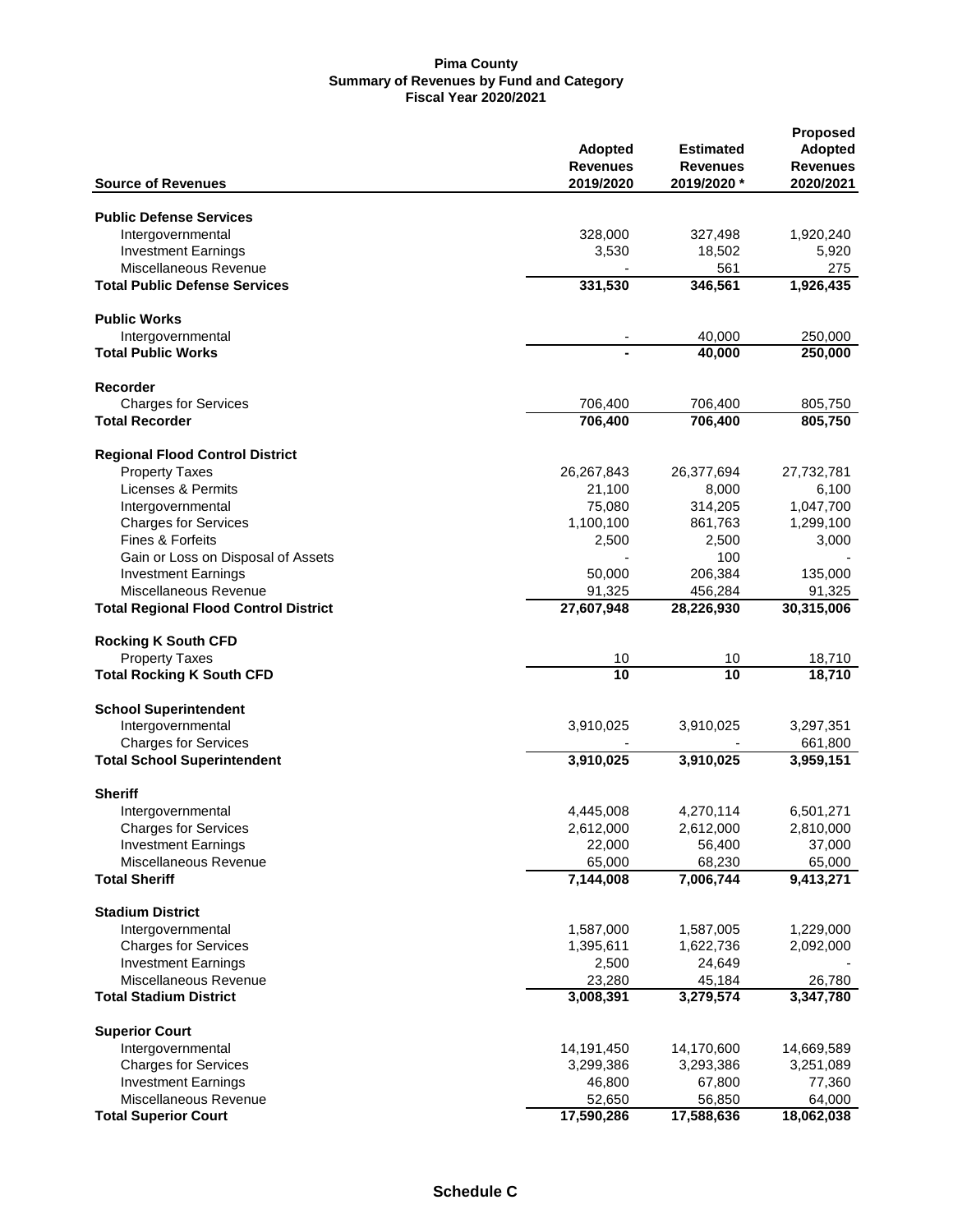|                                              |                 |                  | <b>Proposed</b> |
|----------------------------------------------|-----------------|------------------|-----------------|
|                                              | <b>Adopted</b>  | <b>Estimated</b> | <b>Adopted</b>  |
|                                              | <b>Revenues</b> | <b>Revenues</b>  | <b>Revenues</b> |
| <b>Source of Revenues</b>                    | 2019/2020       | 2019/2020 *      | 2020/2021       |
| <b>Public Defense Services</b>               |                 |                  |                 |
|                                              |                 |                  |                 |
| Intergovernmental                            | 328,000         | 327,498          | 1,920,240       |
| <b>Investment Earnings</b>                   | 3,530           | 18,502           | 5,920           |
| Miscellaneous Revenue                        |                 | 561              | 275             |
| <b>Total Public Defense Services</b>         | 331,530         | 346,561          | 1,926,435       |
| <b>Public Works</b>                          |                 |                  |                 |
| Intergovernmental                            |                 | 40,000           | 250,000         |
| <b>Total Public Works</b>                    |                 | 40,000           | 250,000         |
| Recorder                                     |                 |                  |                 |
|                                              |                 |                  |                 |
| <b>Charges for Services</b>                  | 706,400         | 706,400          | 805,750         |
| <b>Total Recorder</b>                        | 706,400         | 706,400          | 805,750         |
| <b>Regional Flood Control District</b>       |                 |                  |                 |
| <b>Property Taxes</b>                        | 26,267,843      | 26,377,694       | 27,732,781      |
| Licenses & Permits                           | 21,100          | 8,000            | 6,100           |
| Intergovernmental                            | 75,080          | 314,205          | 1,047,700       |
| <b>Charges for Services</b>                  | 1,100,100       | 861,763          | 1,299,100       |
| Fines & Forfeits                             | 2,500           | 2,500            | 3,000           |
| Gain or Loss on Disposal of Assets           |                 | 100              |                 |
| <b>Investment Earnings</b>                   | 50,000          | 206,384          | 135,000         |
| Miscellaneous Revenue                        |                 |                  |                 |
|                                              | 91,325          | 456,284          | 91,325          |
| <b>Total Regional Flood Control District</b> | 27,607,948      | 28,226,930       | 30,315,006      |
| <b>Rocking K South CFD</b>                   |                 |                  |                 |
| <b>Property Taxes</b>                        | 10              | 10               | 18,710          |
| <b>Total Rocking K South CFD</b>             | 10              | 10               | 18,710          |
| <b>School Superintendent</b>                 |                 |                  |                 |
| Intergovernmental                            | 3,910,025       | 3,910,025        | 3,297,351       |
| <b>Charges for Services</b>                  |                 |                  | 661,800         |
| <b>Total School Superintendent</b>           | 3,910,025       | 3,910,025        | 3,959,151       |
|                                              |                 |                  |                 |
| <b>Sheriff</b><br>Intergovernmental          | 4,445,008       | 4,270,114        | 6,501,271       |
| <b>Charges for Services</b>                  | 2,612,000       | 2,612,000        | 2,810,000       |
|                                              |                 |                  |                 |
| <b>Investment Earnings</b>                   | 22,000          | 56,400           | 37,000          |
| Miscellaneous Revenue                        | 65,000          | 68,230           | 65,000          |
| <b>Total Sheriff</b>                         | 7,144,008       | 7,006,744        | 9,413,271       |
| <b>Stadium District</b>                      |                 |                  |                 |
| Intergovernmental                            | 1,587,000       | 1,587,005        | 1,229,000       |
| <b>Charges for Services</b>                  | 1,395,611       | 1,622,736        | 2,092,000       |
| <b>Investment Earnings</b>                   | 2,500           | 24,649           |                 |
| Miscellaneous Revenue                        | 23,280          | 45,184           | 26,780          |
| <b>Total Stadium District</b>                | 3,008,391       | 3,279,574        | 3,347,780       |
|                                              |                 |                  |                 |
| <b>Superior Court</b>                        |                 |                  |                 |
| Intergovernmental                            | 14,191,450      | 14,170,600       | 14,669,589      |
| <b>Charges for Services</b>                  | 3,299,386       | 3,293,386        | 3,251,089       |
| <b>Investment Earnings</b>                   | 46,800          | 67,800           | 77,360          |
| Miscellaneous Revenue                        | 52,650          | 56,850           | 64,000          |
| <b>Total Superior Court</b>                  | 17,590,286      | 17,588,636       | 18,062,038      |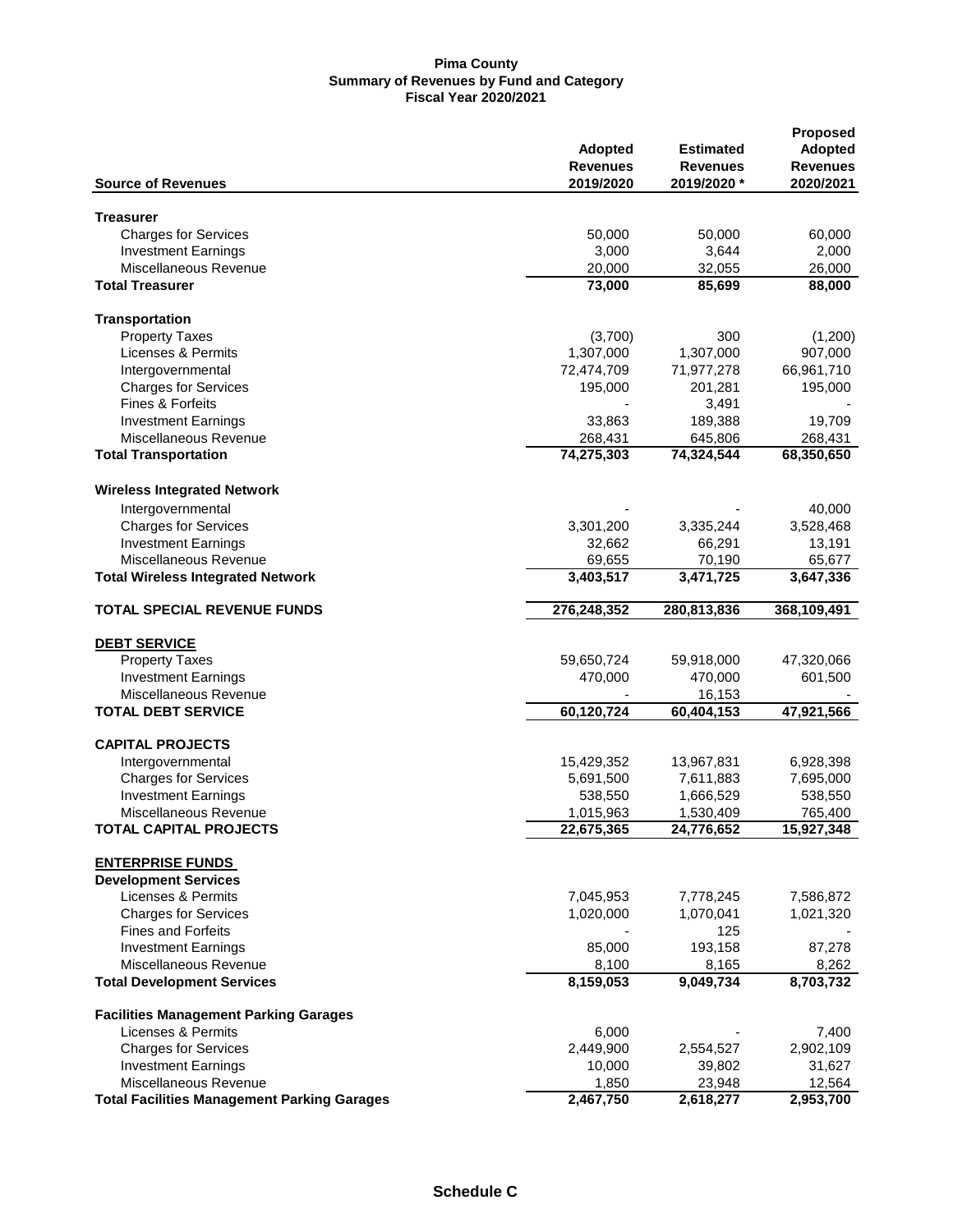|                                                    | <b>Adopted</b><br><b>Revenues</b> | <b>Estimated</b><br>Revenues | <b>Proposed</b><br><b>Adopted</b><br><b>Revenues</b> |
|----------------------------------------------------|-----------------------------------|------------------------------|------------------------------------------------------|
| <b>Source of Revenues</b>                          | 2019/2020                         | 2019/2020 *                  | 2020/2021                                            |
| <b>Treasurer</b>                                   |                                   |                              |                                                      |
| <b>Charges for Services</b>                        | 50,000                            | 50,000                       | 60,000                                               |
| <b>Investment Earnings</b>                         | 3,000                             | 3,644                        | 2,000                                                |
| Miscellaneous Revenue                              | 20,000                            | 32,055                       | 26,000                                               |
| <b>Total Treasurer</b>                             | 73,000                            | 85,699                       | 88,000                                               |
| <b>Transportation</b>                              |                                   |                              |                                                      |
| <b>Property Taxes</b>                              | (3,700)                           | 300                          | (1,200)                                              |
| Licenses & Permits                                 | 1,307,000                         | 1,307,000                    | 907,000                                              |
| Intergovernmental                                  | 72,474,709                        | 71,977,278                   | 66,961,710                                           |
| <b>Charges for Services</b>                        | 195,000                           | 201,281                      | 195,000                                              |
| <b>Fines &amp; Forfeits</b>                        |                                   | 3,491                        |                                                      |
| <b>Investment Earnings</b>                         | 33,863                            | 189,388                      | 19,709                                               |
| Miscellaneous Revenue                              | 268,431                           | 645,806                      | 268,431                                              |
| <b>Total Transportation</b>                        | $\overline{74}, 275, 303$         | 74,324,544                   | 68,350,650                                           |
| <b>Wireless Integrated Network</b>                 |                                   |                              |                                                      |
| Intergovernmental                                  |                                   |                              | 40,000                                               |
| <b>Charges for Services</b>                        | 3,301,200                         | 3,335,244                    | 3,528,468                                            |
| <b>Investment Earnings</b>                         | 32,662                            | 66,291                       | 13,191                                               |
| Miscellaneous Revenue                              | 69,655                            | 70,190                       | 65,677                                               |
| <b>Total Wireless Integrated Network</b>           | 3,403,517                         | 3,471,725                    | 3,647,336                                            |
| <b>TOTAL SPECIAL REVENUE FUNDS</b>                 | 276,248,352                       | 280,813,836                  | 368,109,491                                          |
| <b>DEBT SERVICE</b>                                |                                   |                              |                                                      |
| <b>Property Taxes</b>                              | 59,650,724                        | 59,918,000                   | 47,320,066                                           |
| <b>Investment Earnings</b>                         | 470,000                           | 470,000                      | 601,500                                              |
| Miscellaneous Revenue                              |                                   | 16,153                       |                                                      |
| <b>TOTAL DEBT SERVICE</b>                          | 60,120,724                        | 60,404,153                   | 47,921,566                                           |
| <b>CAPITAL PROJECTS</b>                            |                                   |                              |                                                      |
| Intergovernmental                                  | 15,429,352                        | 13,967,831                   | 6,928,398                                            |
| <b>Charges for Services</b>                        | 5,691,500                         | 7,611,883                    | 7,695,000                                            |
| <b>Investment Earnings</b>                         | 538,550                           | 1,666,529                    | 538,550                                              |
| Miscellaneous Revenue                              | 1,015,963                         | 1,530,409                    | 765,400                                              |
| TOTAL CAPITAL PROJECTS                             | 22,675,365                        | 24,776,652                   | 15,927,348                                           |
| <b>ENTERPRISE FUNDS</b>                            |                                   |                              |                                                      |
| <b>Development Services</b>                        |                                   |                              |                                                      |
| Licenses & Permits                                 | 7,045,953                         | 7,778,245                    | 7,586,872                                            |
| <b>Charges for Services</b>                        | 1,020,000                         | 1,070,041                    | 1,021,320                                            |
| <b>Fines and Forfeits</b>                          |                                   | 125                          |                                                      |
| <b>Investment Earnings</b>                         | 85,000                            | 193,158                      | 87,278                                               |
| Miscellaneous Revenue                              | 8,100                             | 8,165                        | 8,262                                                |
| <b>Total Development Services</b>                  | 8,159,053                         | 9,049,734                    | 8,703,732                                            |
| <b>Facilities Management Parking Garages</b>       |                                   |                              |                                                      |
| Licenses & Permits                                 | 6,000                             |                              | 7,400                                                |
| <b>Charges for Services</b>                        | 2,449,900                         | 2,554,527                    | 2,902,109                                            |
| <b>Investment Earnings</b>                         | 10,000                            | 39,802                       | 31,627                                               |
| Miscellaneous Revenue                              | 1,850                             | 23,948                       | 12,564                                               |
| <b>Total Facilities Management Parking Garages</b> | 2,467,750                         | 2,618,277                    | 2,953,700                                            |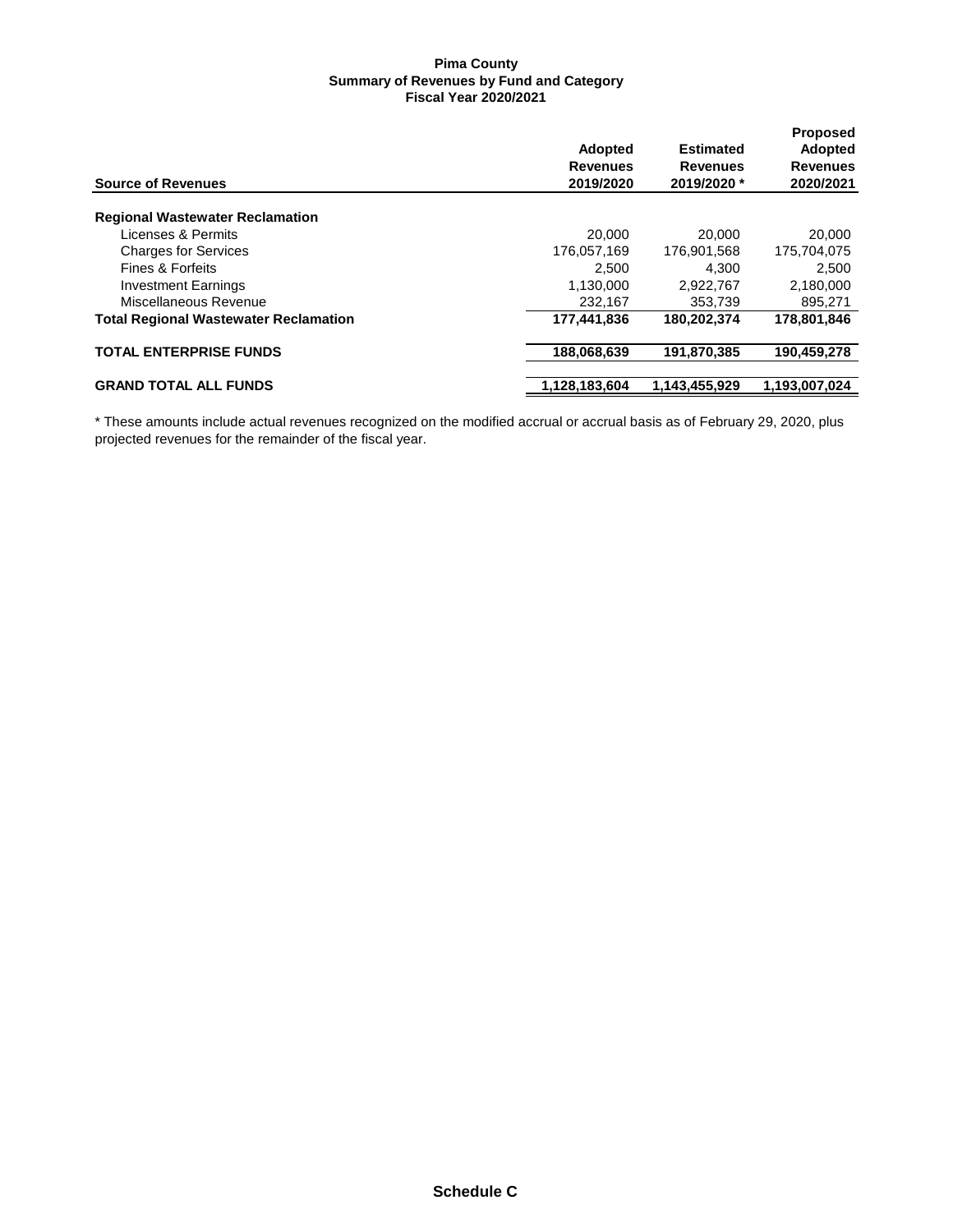| <b>Source of Revenues</b>                    | <b>Adopted</b><br><b>Revenues</b><br>2019/2020 | <b>Estimated</b><br><b>Revenues</b><br>2019/2020 * | <b>Proposed</b><br>Adopted<br><b>Revenues</b><br>2020/2021 |
|----------------------------------------------|------------------------------------------------|----------------------------------------------------|------------------------------------------------------------|
| <b>Regional Wastewater Reclamation</b>       |                                                |                                                    |                                                            |
| Licenses & Permits                           | 20,000                                         | 20,000                                             | 20,000                                                     |
| <b>Charges for Services</b>                  | 176,057,169                                    | 176,901,568                                        | 175,704,075                                                |
| Fines & Forfeits                             | 2.500                                          | 4.300                                              | 2,500                                                      |
| <b>Investment Earnings</b>                   | 1,130,000                                      | 2.922.767                                          | 2,180,000                                                  |
| Miscellaneous Revenue                        | 232.167                                        | 353.739                                            | 895,271                                                    |
| <b>Total Regional Wastewater Reclamation</b> | 177,441,836                                    | 180,202,374                                        | 178,801,846                                                |
| <b>TOTAL ENTERPRISE FUNDS</b>                | 188,068,639                                    | 191,870,385                                        | 190,459,278                                                |
| <b>GRAND TOTAL ALL FUNDS</b>                 | 1,128,183,604                                  | 1,143,455,929                                      | 1,193,007,024                                              |

\* These amounts include actual revenues recognized on the modified accrual or accrual basis as of February 29, 2020, plus projected revenues for the remainder of the fiscal year.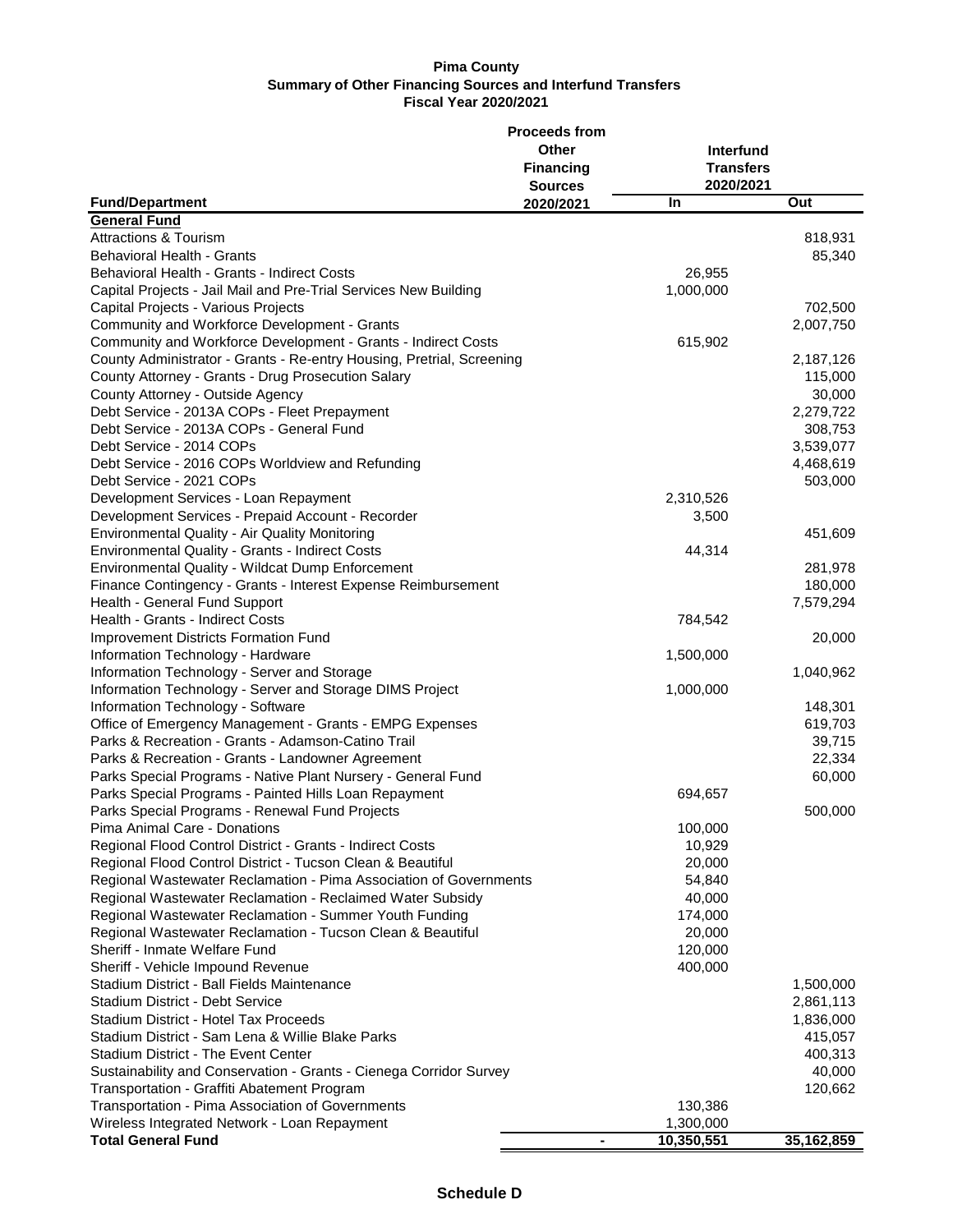|                                                                       | <b>Proceeds from</b> |            |            |
|-----------------------------------------------------------------------|----------------------|------------|------------|
|                                                                       | Other                | Interfund  |            |
|                                                                       | <b>Financing</b>     | Transfers  |            |
|                                                                       | <b>Sources</b>       | 2020/2021  |            |
| <b>Fund/Department</b>                                                | 2020/2021            | <b>In</b>  | Out        |
| <b>General Fund</b>                                                   |                      |            |            |
|                                                                       |                      |            |            |
| <b>Attractions &amp; Tourism</b>                                      |                      |            | 818,931    |
| Behavioral Health - Grants                                            |                      |            | 85,340     |
| Behavioral Health - Grants - Indirect Costs                           |                      | 26,955     |            |
| Capital Projects - Jail Mail and Pre-Trial Services New Building      |                      | 1,000,000  |            |
| Capital Projects - Various Projects                                   |                      |            | 702,500    |
| Community and Workforce Development - Grants                          |                      |            | 2,007,750  |
| Community and Workforce Development - Grants - Indirect Costs         |                      | 615,902    |            |
| County Administrator - Grants - Re-entry Housing, Pretrial, Screening |                      |            | 2,187,126  |
| County Attorney - Grants - Drug Prosecution Salary                    |                      |            | 115,000    |
| County Attorney - Outside Agency                                      |                      |            | 30,000     |
| Debt Service - 2013A COPs - Fleet Prepayment                          |                      |            | 2,279,722  |
| Debt Service - 2013A COPs - General Fund                              |                      |            | 308,753    |
| Debt Service - 2014 COPs                                              |                      |            | 3,539,077  |
| Debt Service - 2016 COPs Worldview and Refunding                      |                      |            | 4,468,619  |
| Debt Service - 2021 COPs                                              |                      |            | 503,000    |
| Development Services - Loan Repayment                                 |                      | 2,310,526  |            |
| Development Services - Prepaid Account - Recorder                     |                      | 3,500      |            |
| Environmental Quality - Air Quality Monitoring                        |                      |            | 451,609    |
| <b>Environmental Quality - Grants - Indirect Costs</b>                |                      | 44,314     |            |
| Environmental Quality - Wildcat Dump Enforcement                      |                      |            | 281,978    |
| Finance Contingency - Grants - Interest Expense Reimbursement         |                      |            | 180,000    |
| Health - General Fund Support                                         |                      |            | 7,579,294  |
| Health - Grants - Indirect Costs                                      |                      | 784,542    |            |
| <b>Improvement Districts Formation Fund</b>                           |                      |            | 20,000     |
| Information Technology - Hardware                                     |                      | 1,500,000  |            |
| Information Technology - Server and Storage                           |                      |            | 1,040,962  |
|                                                                       |                      |            |            |
| Information Technology - Server and Storage DIMS Project              |                      | 1,000,000  |            |
| Information Technology - Software                                     |                      |            | 148,301    |
| Office of Emergency Management - Grants - EMPG Expenses               |                      |            | 619,703    |
| Parks & Recreation - Grants - Adamson-Catino Trail                    |                      |            | 39,715     |
| Parks & Recreation - Grants - Landowner Agreement                     |                      |            | 22,334     |
| Parks Special Programs - Native Plant Nursery - General Fund          |                      |            | 60,000     |
| Parks Special Programs - Painted Hills Loan Repayment                 |                      | 694,657    |            |
| Parks Special Programs - Renewal Fund Projects                        |                      |            | 500,000    |
| Pima Animal Care - Donations                                          |                      | 100,000    |            |
| Regional Flood Control District - Grants - Indirect Costs             |                      | 10,929     |            |
| Regional Flood Control District - Tucson Clean & Beautiful            |                      | 20,000     |            |
| Regional Wastewater Reclamation - Pima Association of Governments     |                      | 54,840     |            |
| Regional Wastewater Reclamation - Reclaimed Water Subsidy             |                      | 40,000     |            |
| Regional Wastewater Reclamation - Summer Youth Funding                |                      | 174,000    |            |
| Regional Wastewater Reclamation - Tucson Clean & Beautiful            |                      | 20,000     |            |
| Sheriff - Inmate Welfare Fund                                         |                      | 120,000    |            |
| Sheriff - Vehicle Impound Revenue                                     |                      | 400,000    |            |
| Stadium District - Ball Fields Maintenance                            |                      |            | 1,500,000  |
| Stadium District - Debt Service                                       |                      |            | 2,861,113  |
| Stadium District - Hotel Tax Proceeds                                 |                      |            | 1,836,000  |
| Stadium District - Sam Lena & Willie Blake Parks                      |                      |            | 415,057    |
| Stadium District - The Event Center                                   |                      |            | 400,313    |
| Sustainability and Conservation - Grants - Cienega Corridor Survey    |                      |            | 40,000     |
| Transportation - Graffiti Abatement Program                           |                      |            | 120,662    |
| Transportation - Pima Association of Governments                      |                      | 130,386    |            |
| Wireless Integrated Network - Loan Repayment                          |                      | 1,300,000  |            |
| <b>Total General Fund</b>                                             |                      | 10,350,551 | 35,162,859 |
|                                                                       |                      |            |            |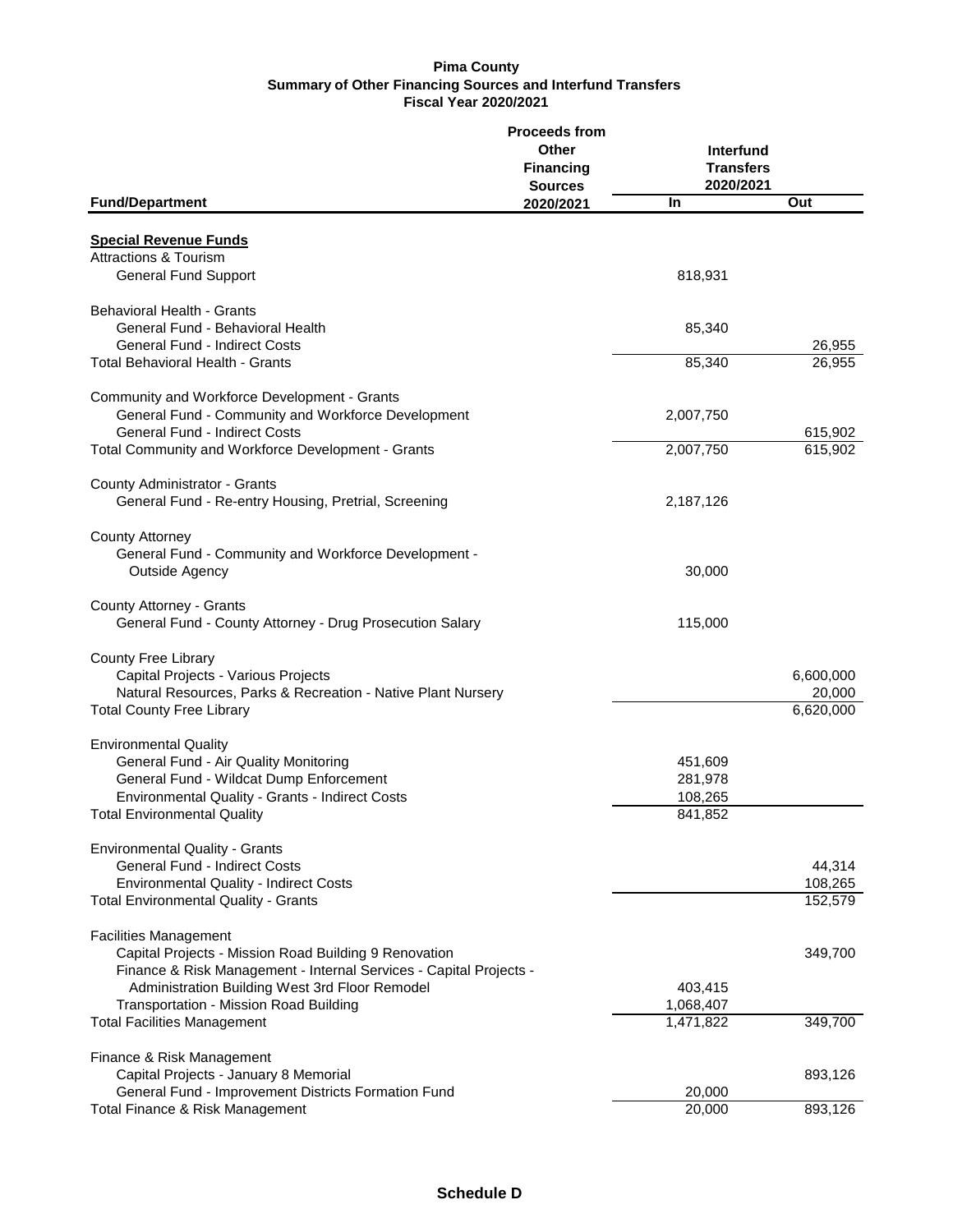|                                                                                                                                                                                                               | <b>Proceeds from</b><br>Other<br><b>Financing</b><br><b>Sources</b> | Interfund<br><b>Transfers</b><br>2020/2021 |                                  |
|---------------------------------------------------------------------------------------------------------------------------------------------------------------------------------------------------------------|---------------------------------------------------------------------|--------------------------------------------|----------------------------------|
| <b>Fund/Department</b>                                                                                                                                                                                        | 2020/2021                                                           | <b>In</b>                                  | Out                              |
| <b>Special Revenue Funds</b><br><b>Attractions &amp; Tourism</b>                                                                                                                                              |                                                                     |                                            |                                  |
| <b>General Fund Support</b>                                                                                                                                                                                   |                                                                     | 818,931                                    |                                  |
| Behavioral Health - Grants<br>General Fund - Behavioral Health                                                                                                                                                |                                                                     | 85,340                                     |                                  |
| General Fund - Indirect Costs<br><b>Total Behavioral Health - Grants</b>                                                                                                                                      |                                                                     | 85,340                                     | 26,955<br>26,955                 |
| Community and Workforce Development - Grants<br>General Fund - Community and Workforce Development<br><b>General Fund - Indirect Costs</b>                                                                    |                                                                     | 2,007,750                                  | 615,902                          |
| Total Community and Workforce Development - Grants                                                                                                                                                            |                                                                     | 2,007,750                                  | 615,902                          |
| County Administrator - Grants<br>General Fund - Re-entry Housing, Pretrial, Screening                                                                                                                         |                                                                     | 2,187,126                                  |                                  |
| <b>County Attorney</b><br>General Fund - Community and Workforce Development -<br>Outside Agency                                                                                                              |                                                                     | 30,000                                     |                                  |
| County Attorney - Grants<br>General Fund - County Attorney - Drug Prosecution Salary                                                                                                                          |                                                                     | 115,000                                    |                                  |
| <b>County Free Library</b><br>Capital Projects - Various Projects<br>Natural Resources, Parks & Recreation - Native Plant Nursery<br><b>Total County Free Library</b>                                         |                                                                     |                                            | 6,600,000<br>20,000<br>6,620,000 |
| <b>Environmental Quality</b><br>General Fund - Air Quality Monitoring<br>General Fund - Wildcat Dump Enforcement<br>Environmental Quality - Grants - Indirect Costs<br><b>Total Environmental Quality</b>     |                                                                     | 451,609<br>281,978<br>108,265<br>841,852   |                                  |
| <b>Environmental Quality - Grants</b><br><b>General Fund - Indirect Costs</b><br><b>Environmental Quality - Indirect Costs</b><br><b>Total Environmental Quality - Grants</b>                                 |                                                                     |                                            | 44,314<br>108,265<br>152,579     |
| <b>Facilities Management</b><br>Capital Projects - Mission Road Building 9 Renovation<br>Finance & Risk Management - Internal Services - Capital Projects -<br>Administration Building West 3rd Floor Remodel |                                                                     | 403,415                                    | 349,700                          |
| Transportation - Mission Road Building<br><b>Total Facilities Management</b>                                                                                                                                  |                                                                     | 1,068,407<br>1,471,822                     | 349,700                          |
| Finance & Risk Management<br>Capital Projects - January 8 Memorial                                                                                                                                            |                                                                     |                                            | 893,126                          |
| General Fund - Improvement Districts Formation Fund<br>Total Finance & Risk Management                                                                                                                        |                                                                     | 20,000<br>20,000                           | 893,126                          |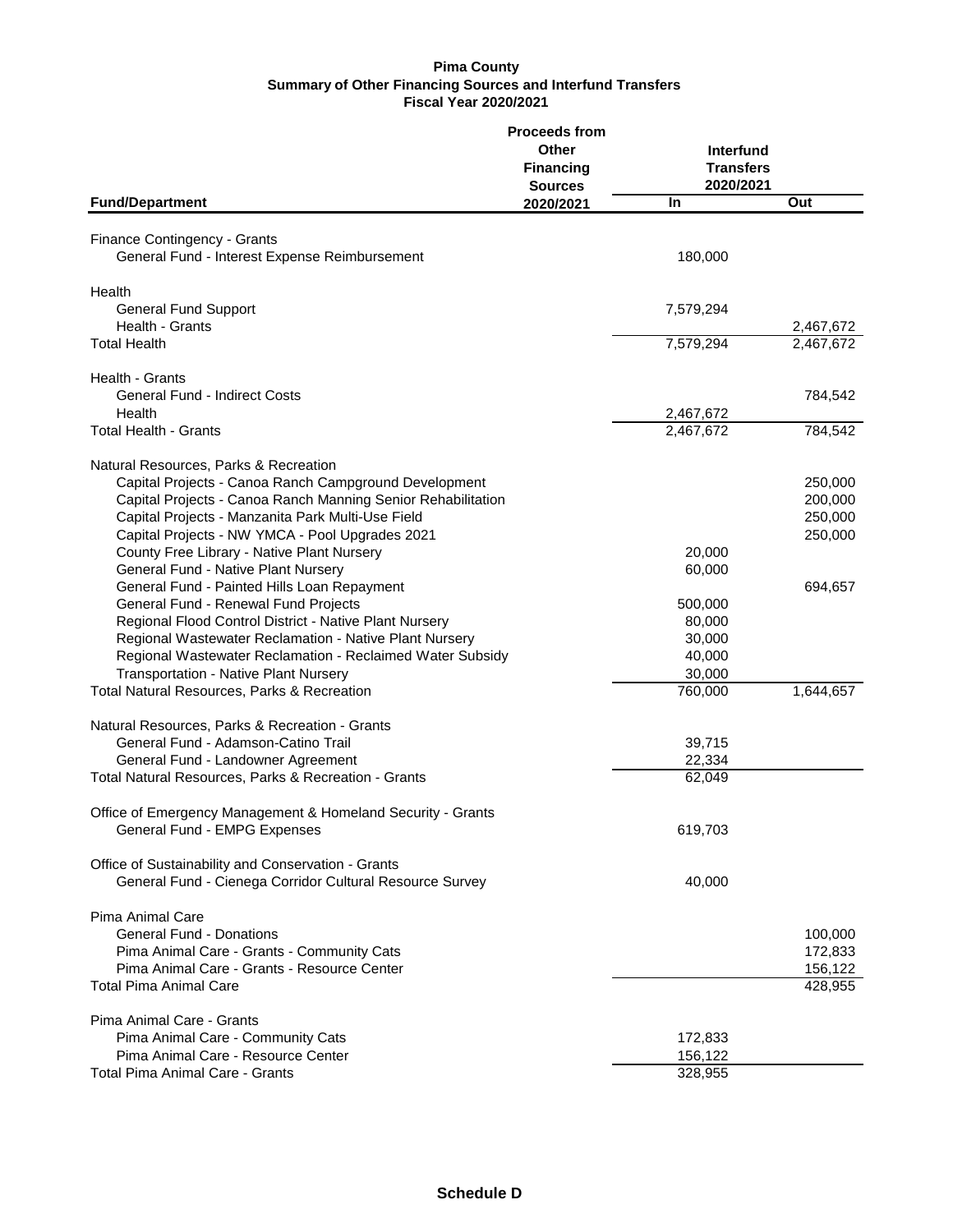|                                                              | <b>Proceeds from</b> |                  |                        |
|--------------------------------------------------------------|----------------------|------------------|------------------------|
|                                                              | Other                | Interfund        |                        |
|                                                              | <b>Financing</b>     | <b>Transfers</b> |                        |
|                                                              | <b>Sources</b>       | 2020/2021        |                        |
| <b>Fund/Department</b>                                       | 2020/2021            | In               | Out                    |
| Finance Contingency - Grants                                 |                      |                  |                        |
| General Fund - Interest Expense Reimbursement                |                      | 180,000          |                        |
|                                                              |                      |                  |                        |
| Health                                                       |                      |                  |                        |
| <b>General Fund Support</b><br>Health - Grants               |                      | 7,579,294        |                        |
| <b>Total Health</b>                                          |                      | 7,579,294        | 2,467,672<br>2,467,672 |
|                                                              |                      |                  |                        |
| Health - Grants                                              |                      |                  |                        |
| <b>General Fund - Indirect Costs</b>                         |                      |                  | 784,542                |
| Health                                                       |                      | 2,467,672        |                        |
| <b>Total Health - Grants</b>                                 |                      | 2,467,672        | 784,542                |
| Natural Resources, Parks & Recreation                        |                      |                  |                        |
| Capital Projects - Canoa Ranch Campground Development        |                      |                  | 250,000                |
| Capital Projects - Canoa Ranch Manning Senior Rehabilitation |                      |                  | 200,000                |
| Capital Projects - Manzanita Park Multi-Use Field            |                      |                  | 250,000                |
| Capital Projects - NW YMCA - Pool Upgrades 2021              |                      |                  | 250,000                |
| County Free Library - Native Plant Nursery                   |                      | 20,000           |                        |
| General Fund - Native Plant Nursery                          |                      | 60,000           |                        |
| General Fund - Painted Hills Loan Repayment                  |                      |                  | 694,657                |
| General Fund - Renewal Fund Projects                         |                      | 500,000          |                        |
| Regional Flood Control District - Native Plant Nursery       |                      | 80,000           |                        |
| Regional Wastewater Reclamation - Native Plant Nursery       |                      | 30,000           |                        |
| Regional Wastewater Reclamation - Reclaimed Water Subsidy    |                      | 40,000           |                        |
| Transportation - Native Plant Nursery                        |                      | 30,000           |                        |
| Total Natural Resources, Parks & Recreation                  |                      | 760,000          | 1,644,657              |
| Natural Resources, Parks & Recreation - Grants               |                      |                  |                        |
| General Fund - Adamson-Catino Trail                          |                      | 39,715           |                        |
| General Fund - Landowner Agreement                           |                      | 22,334           |                        |
| Total Natural Resources, Parks & Recreation - Grants         |                      | 62,049           |                        |
| Office of Emergency Management & Homeland Security - Grants  |                      |                  |                        |
| General Fund - EMPG Expenses                                 |                      | 619,703          |                        |
| Office of Sustainability and Conservation - Grants           |                      |                  |                        |
| General Fund - Cienega Corridor Cultural Resource Survey     |                      | 40,000           |                        |
| Pima Animal Care                                             |                      |                  |                        |
| <b>General Fund - Donations</b>                              |                      |                  | 100,000                |
| Pima Animal Care - Grants - Community Cats                   |                      |                  | 172,833                |
| Pima Animal Care - Grants - Resource Center                  |                      |                  | 156,122                |
| <b>Total Pima Animal Care</b>                                |                      |                  | 428,955                |
| Pima Animal Care - Grants                                    |                      |                  |                        |
| Pima Animal Care - Community Cats                            |                      | 172,833          |                        |
| Pima Animal Care - Resource Center                           |                      | 156,122          |                        |
| Total Pima Animal Care - Grants                              |                      | 328,955          |                        |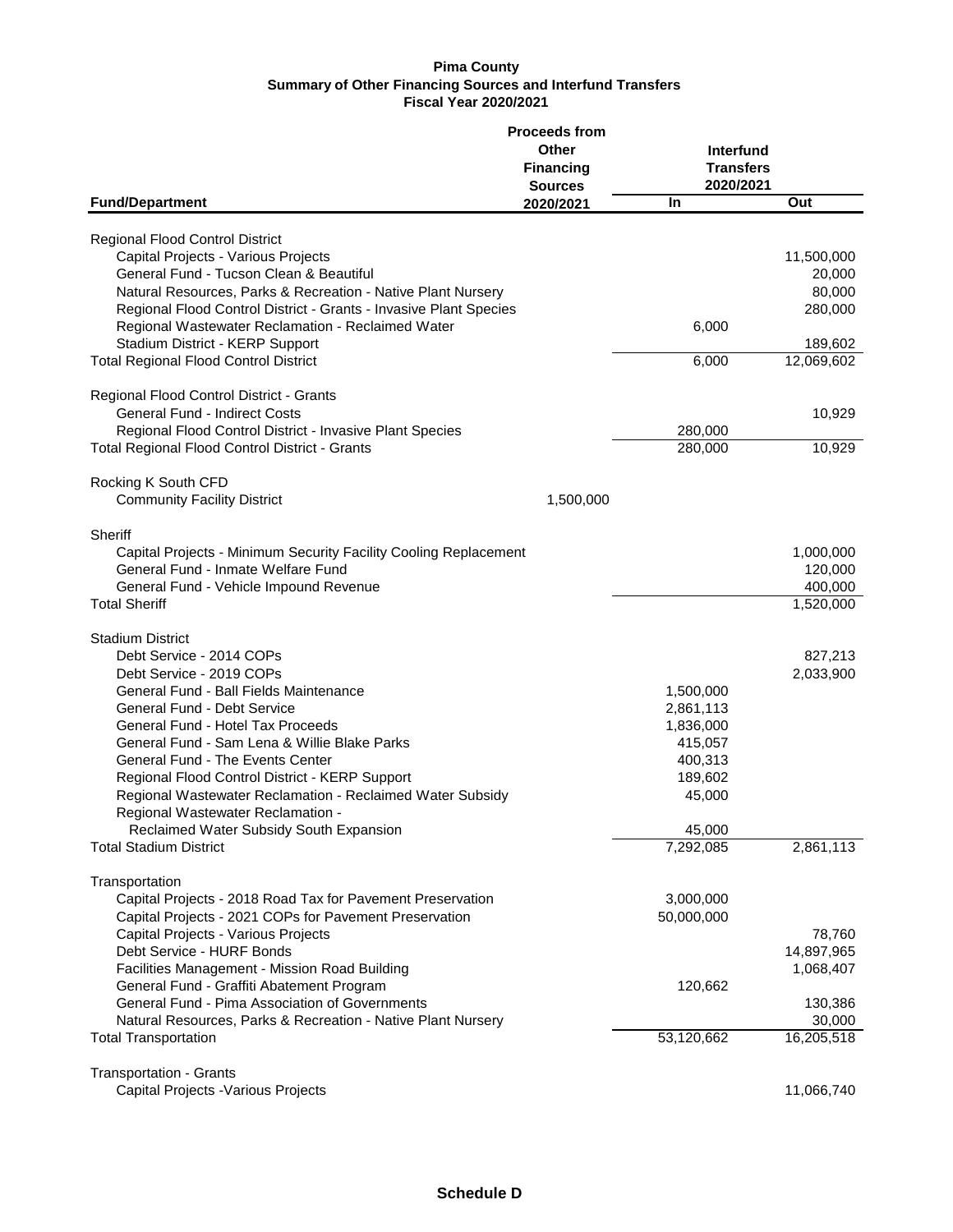|                                                                             | <b>Proceeds from</b> |                  |            |
|-----------------------------------------------------------------------------|----------------------|------------------|------------|
|                                                                             | Other                | Interfund        |            |
|                                                                             | <b>Financing</b>     | <b>Transfers</b> |            |
|                                                                             | <b>Sources</b>       | 2020/2021        |            |
| <b>Fund/Department</b>                                                      | 2020/2021            | In               | Out        |
|                                                                             |                      |                  |            |
| Regional Flood Control District                                             |                      |                  |            |
| Capital Projects - Various Projects                                         |                      |                  | 11,500,000 |
| General Fund - Tucson Clean & Beautiful                                     |                      |                  | 20,000     |
| Natural Resources, Parks & Recreation - Native Plant Nursery                |                      |                  | 80,000     |
| Regional Flood Control District - Grants - Invasive Plant Species           |                      |                  | 280,000    |
| Regional Wastewater Reclamation - Reclaimed Water                           |                      | 6,000            |            |
| Stadium District - KERP Support                                             |                      |                  | 189,602    |
| <b>Total Regional Flood Control District</b>                                |                      | 6,000            | 12,069,602 |
|                                                                             |                      |                  |            |
| Regional Flood Control District - Grants                                    |                      |                  |            |
| General Fund - Indirect Costs                                               |                      |                  | 10,929     |
| Regional Flood Control District - Invasive Plant Species                    |                      | 280,000          |            |
| Total Regional Flood Control District - Grants                              |                      | 280,000          | 10,929     |
|                                                                             |                      |                  |            |
| Rocking K South CFD                                                         |                      |                  |            |
| <b>Community Facility District</b>                                          | 1,500,000            |                  |            |
|                                                                             |                      |                  |            |
| Sheriff<br>Capital Projects - Minimum Security Facility Cooling Replacement |                      |                  | 1,000,000  |
|                                                                             |                      |                  |            |
| General Fund - Inmate Welfare Fund                                          |                      |                  | 120,000    |
| General Fund - Vehicle Impound Revenue                                      |                      |                  | 400,000    |
| <b>Total Sheriff</b>                                                        |                      |                  | 1,520,000  |
| <b>Stadium District</b>                                                     |                      |                  |            |
| Debt Service - 2014 COPs                                                    |                      |                  | 827,213    |
| Debt Service - 2019 COPs                                                    |                      |                  | 2,033,900  |
| General Fund - Ball Fields Maintenance                                      |                      |                  |            |
|                                                                             |                      | 1,500,000        |            |
| General Fund - Debt Service                                                 |                      | 2,861,113        |            |
| General Fund - Hotel Tax Proceeds                                           |                      | 1,836,000        |            |
| General Fund - Sam Lena & Willie Blake Parks                                |                      | 415,057          |            |
| General Fund - The Events Center                                            |                      | 400,313          |            |
| Regional Flood Control District - KERP Support                              |                      | 189,602          |            |
| Regional Wastewater Reclamation - Reclaimed Water Subsidy                   |                      | 45,000           |            |
| Regional Wastewater Reclamation -                                           |                      |                  |            |
| <b>Reclaimed Water Subsidy South Expansion</b>                              |                      | 45,000           |            |
| <b>Total Stadium District</b>                                               |                      | 7,292,085        | 2,861,113  |
| Transportation                                                              |                      |                  |            |
| Capital Projects - 2018 Road Tax for Pavement Preservation                  |                      | 3,000,000        |            |
| Capital Projects - 2021 COPs for Pavement Preservation                      |                      | 50,000,000       |            |
|                                                                             |                      |                  |            |
| Capital Projects - Various Projects                                         |                      |                  | 78,760     |
| Debt Service - HURF Bonds                                                   |                      |                  | 14,897,965 |
| Facilities Management - Mission Road Building                               |                      |                  | 1,068,407  |
| General Fund - Graffiti Abatement Program                                   |                      | 120,662          |            |
| General Fund - Pima Association of Governments                              |                      |                  | 130,386    |
| Natural Resources, Parks & Recreation - Native Plant Nursery                |                      |                  | 30,000     |
| <b>Total Transportation</b>                                                 |                      | 53,120,662       | 16,205,518 |
|                                                                             |                      |                  |            |
| <b>Transportation - Grants</b>                                              |                      |                  |            |
| Capital Projects - Various Projects                                         |                      |                  | 11,066,740 |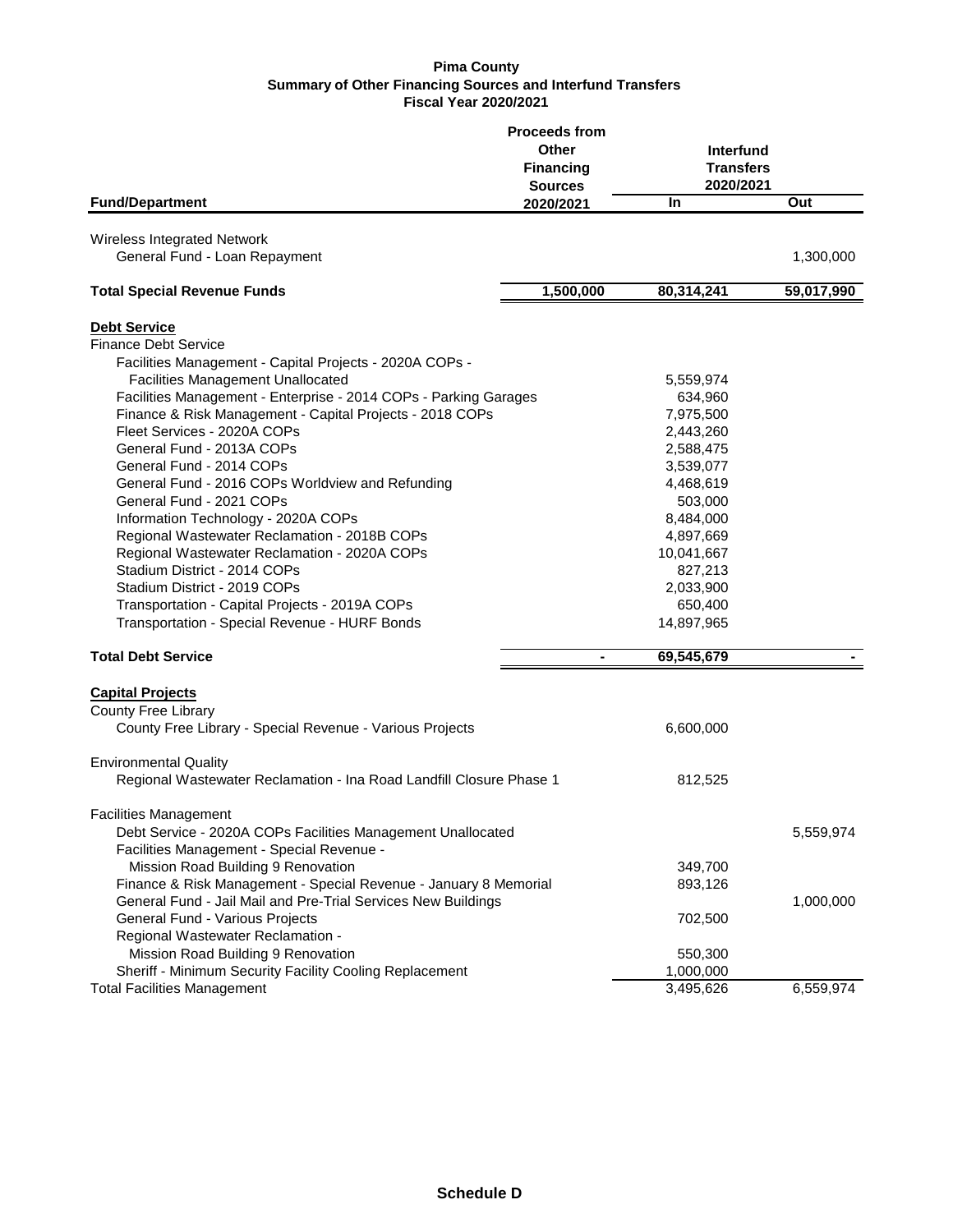|                                                                     | <b>Proceeds from</b> |                  |            |
|---------------------------------------------------------------------|----------------------|------------------|------------|
|                                                                     | Other                | Interfund        |            |
|                                                                     | <b>Financing</b>     | <b>Transfers</b> |            |
|                                                                     | <b>Sources</b>       | 2020/2021        |            |
| <b>Fund/Department</b>                                              | 2020/2021            | In               | Out        |
| Wireless Integrated Network                                         |                      |                  |            |
| General Fund - Loan Repayment                                       |                      |                  | 1,300,000  |
|                                                                     |                      |                  |            |
| <b>Total Special Revenue Funds</b>                                  | 1,500,000            | 80,314,241       | 59,017,990 |
| <b>Debt Service</b>                                                 |                      |                  |            |
| <b>Finance Debt Service</b>                                         |                      |                  |            |
| Facilities Management - Capital Projects - 2020A COPs -             |                      |                  |            |
| <b>Facilities Management Unallocated</b>                            |                      | 5,559,974        |            |
| Facilities Management - Enterprise - 2014 COPs - Parking Garages    |                      | 634,960          |            |
| Finance & Risk Management - Capital Projects - 2018 COPs            |                      | 7,975,500        |            |
| Fleet Services - 2020A COPs                                         |                      | 2,443,260        |            |
| General Fund - 2013A COPs                                           |                      | 2,588,475        |            |
| General Fund - 2014 COPs                                            |                      | 3,539,077        |            |
| General Fund - 2016 COPs Worldview and Refunding                    |                      | 4,468,619        |            |
| General Fund - 2021 COPs                                            |                      | 503,000          |            |
| Information Technology - 2020A COPs                                 |                      | 8,484,000        |            |
| Regional Wastewater Reclamation - 2018B COPs                        |                      | 4,897,669        |            |
| Regional Wastewater Reclamation - 2020A COPs                        |                      | 10,041,667       |            |
| Stadium District - 2014 COPs                                        |                      | 827,213          |            |
| Stadium District - 2019 COPs                                        |                      | 2,033,900        |            |
| Transportation - Capital Projects - 2019A COPs                      |                      | 650,400          |            |
| Transportation - Special Revenue - HURF Bonds                       |                      | 14,897,965       |            |
|                                                                     |                      |                  |            |
| <b>Total Debt Service</b>                                           |                      | 69,545,679       |            |
| <b>Capital Projects</b>                                             |                      |                  |            |
| <b>County Free Library</b>                                          |                      |                  |            |
| County Free Library - Special Revenue - Various Projects            |                      | 6,600,000        |            |
| <b>Environmental Quality</b>                                        |                      |                  |            |
| Regional Wastewater Reclamation - Ina Road Landfill Closure Phase 1 |                      | 812,525          |            |
| <b>Facilities Management</b>                                        |                      |                  |            |
| Debt Service - 2020A COPs Facilities Management Unallocated         |                      |                  | 5,559,974  |
| Facilities Management - Special Revenue -                           |                      |                  |            |
| Mission Road Building 9 Renovation                                  |                      | 349,700          |            |
| Finance & Risk Management - Special Revenue - January 8 Memorial    |                      | 893,126          |            |
| General Fund - Jail Mail and Pre-Trial Services New Buildings       |                      |                  | 1,000,000  |
| General Fund - Various Projects                                     |                      | 702,500          |            |
| Regional Wastewater Reclamation -                                   |                      |                  |            |
| Mission Road Building 9 Renovation                                  |                      | 550,300          |            |
| Sheriff - Minimum Security Facility Cooling Replacement             |                      | 1,000,000        |            |
| <b>Total Facilities Management</b>                                  |                      | 3,495,626        | 6,559,974  |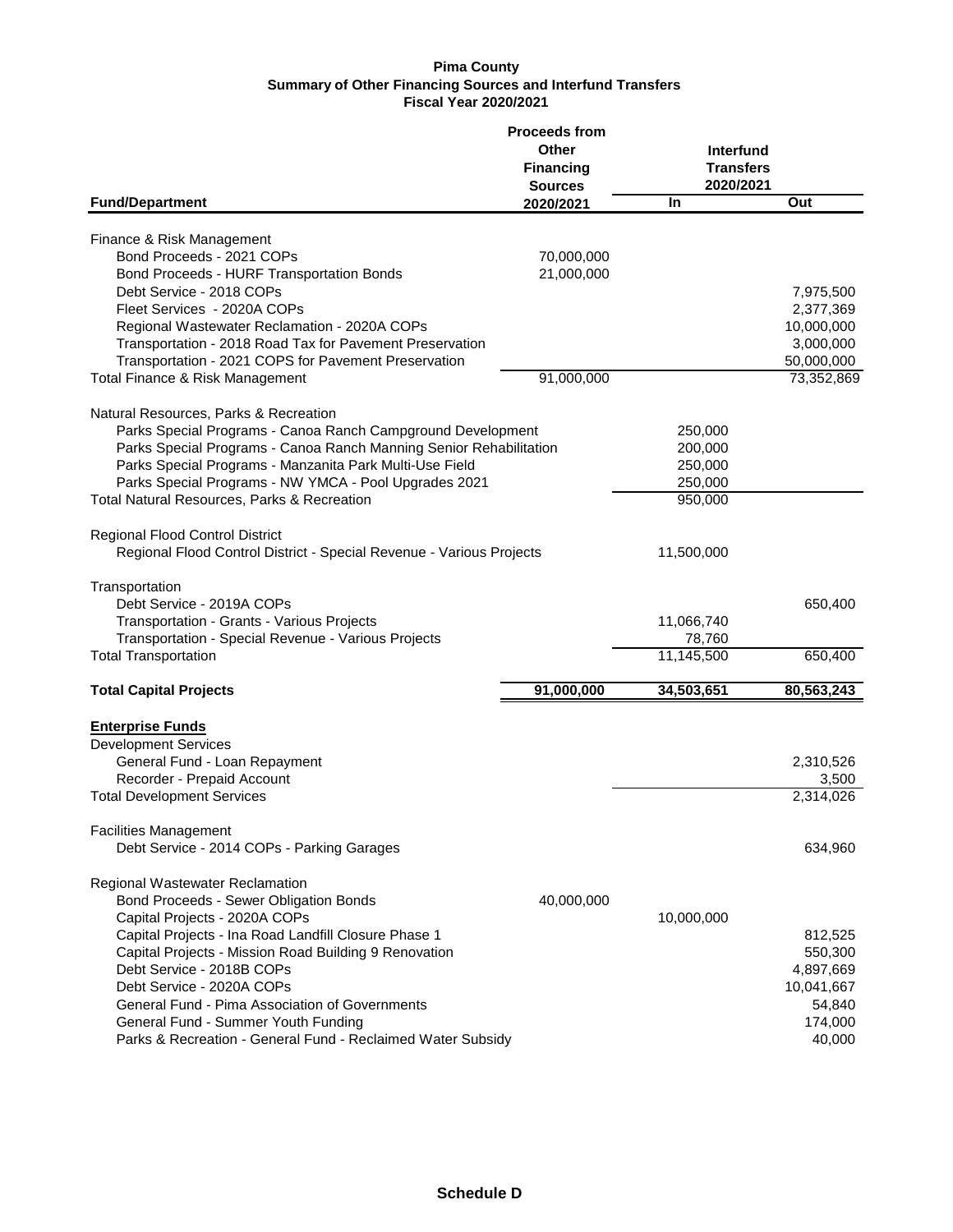|                                                                                                                                                                                        | <b>Proceeds from</b><br>Other<br><b>Financing</b><br><b>Sources</b> | Interfund<br><b>Transfers</b><br>2020/2021 |                                      |
|----------------------------------------------------------------------------------------------------------------------------------------------------------------------------------------|---------------------------------------------------------------------|--------------------------------------------|--------------------------------------|
| <b>Fund/Department</b>                                                                                                                                                                 | 2020/2021                                                           | <b>In</b>                                  | Out                                  |
| Finance & Risk Management                                                                                                                                                              |                                                                     |                                            |                                      |
| Bond Proceeds - 2021 COPs<br>Bond Proceeds - HURF Transportation Bonds                                                                                                                 | 70,000,000<br>21,000,000                                            |                                            |                                      |
| Debt Service - 2018 COPs<br>Fleet Services - 2020A COPs<br>Regional Wastewater Reclamation - 2020A COPs                                                                                |                                                                     |                                            | 7,975,500<br>2,377,369<br>10,000,000 |
| Transportation - 2018 Road Tax for Pavement Preservation<br>Transportation - 2021 COPS for Pavement Preservation                                                                       |                                                                     |                                            | 3,000,000<br>50,000,000              |
| Total Finance & Risk Management                                                                                                                                                        | 91,000,000                                                          |                                            | 73,352,869                           |
| Natural Resources, Parks & Recreation<br>Parks Special Programs - Canoa Ranch Campground Development                                                                                   |                                                                     | 250,000                                    |                                      |
| Parks Special Programs - Canoa Ranch Manning Senior Rehabilitation<br>Parks Special Programs - Manzanita Park Multi-Use Field<br>Parks Special Programs - NW YMCA - Pool Upgrades 2021 |                                                                     | 200,000<br>250,000<br>250,000              |                                      |
| Total Natural Resources, Parks & Recreation                                                                                                                                            |                                                                     | 950,000                                    |                                      |
| Regional Flood Control District<br>Regional Flood Control District - Special Revenue - Various Projects                                                                                |                                                                     | 11,500,000                                 |                                      |
| Transportation<br>Debt Service - 2019A COPs                                                                                                                                            |                                                                     |                                            | 650,400                              |
| Transportation - Grants - Various Projects<br>Transportation - Special Revenue - Various Projects                                                                                      |                                                                     | 11,066,740<br>78,760                       |                                      |
| <b>Total Transportation</b>                                                                                                                                                            |                                                                     | 11,145,500                                 | 650,400                              |
| <b>Total Capital Projects</b>                                                                                                                                                          | 91,000,000                                                          | 34,503,651                                 | 80,563,243                           |
| <b>Enterprise Funds</b><br><b>Development Services</b>                                                                                                                                 |                                                                     |                                            |                                      |
| General Fund - Loan Repayment<br>Recorder - Prepaid Account                                                                                                                            |                                                                     |                                            | 2,310,526<br>3,500                   |
| <b>Total Development Services</b>                                                                                                                                                      |                                                                     |                                            | 2,314,026                            |
| <b>Facilities Management</b><br>Debt Service - 2014 COPs - Parking Garages                                                                                                             |                                                                     |                                            | 634,960                              |
| Regional Wastewater Reclamation                                                                                                                                                        |                                                                     |                                            |                                      |
| Bond Proceeds - Sewer Obligation Bonds<br>Capital Projects - 2020A COPs                                                                                                                | 40,000,000                                                          | 10,000,000                                 |                                      |
| Capital Projects - Ina Road Landfill Closure Phase 1                                                                                                                                   |                                                                     |                                            | 812,525                              |
| Capital Projects - Mission Road Building 9 Renovation                                                                                                                                  |                                                                     |                                            | 550,300                              |
| Debt Service - 2018B COPs                                                                                                                                                              |                                                                     |                                            | 4,897,669                            |
| Debt Service - 2020A COPs<br>General Fund - Pima Association of Governments                                                                                                            |                                                                     |                                            | 10,041,667<br>54,840                 |
| General Fund - Summer Youth Funding                                                                                                                                                    |                                                                     |                                            | 174,000                              |
| Parks & Recreation - General Fund - Reclaimed Water Subsidy                                                                                                                            |                                                                     |                                            | 40,000                               |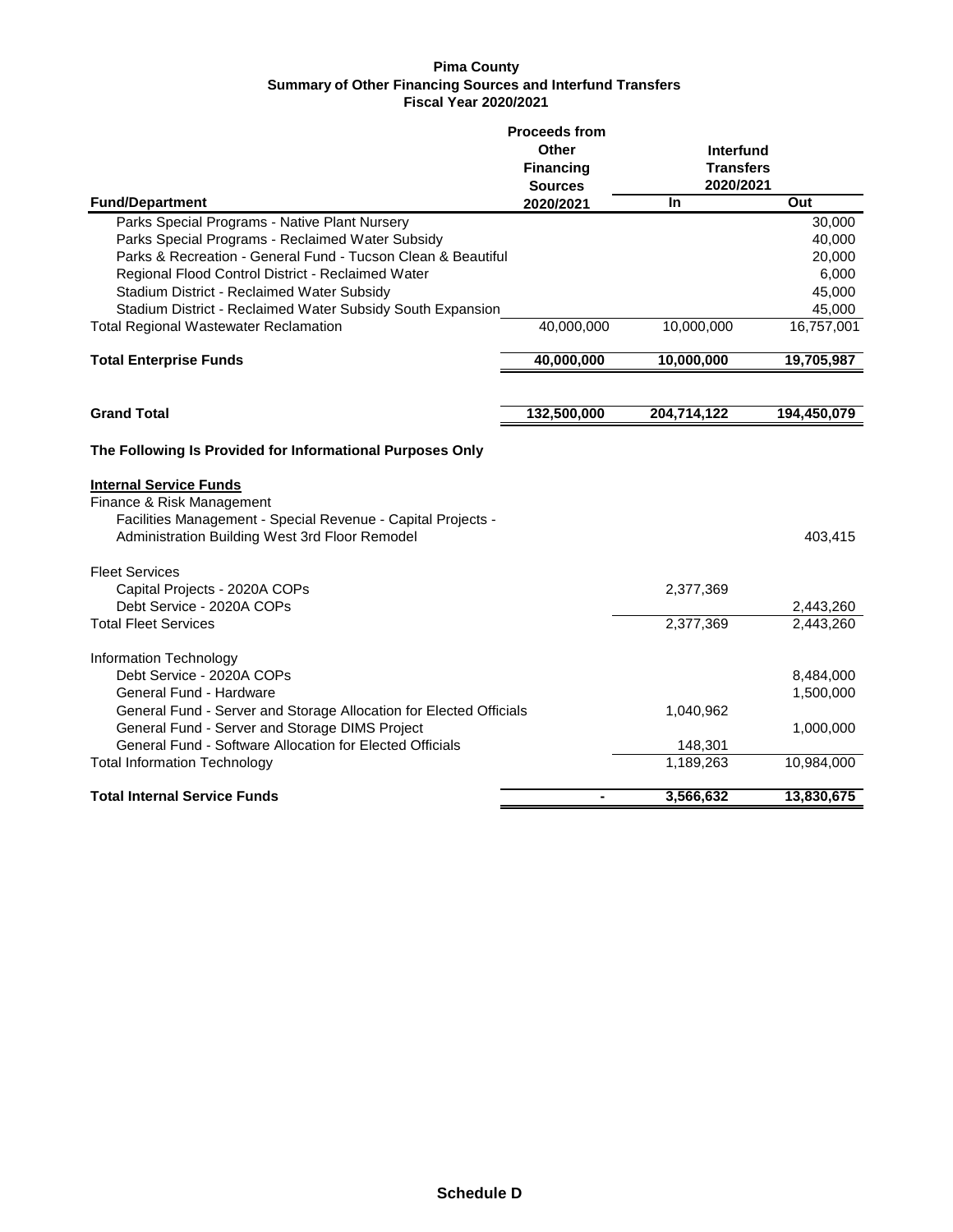|                                                                                                                                                                              | <b>Proceeds from</b> |                                            |             |
|------------------------------------------------------------------------------------------------------------------------------------------------------------------------------|----------------------|--------------------------------------------|-------------|
|                                                                                                                                                                              | Other                | Interfund<br><b>Transfers</b><br>2020/2021 |             |
|                                                                                                                                                                              | <b>Financing</b>     |                                            |             |
|                                                                                                                                                                              | <b>Sources</b>       |                                            |             |
| <b>Fund/Department</b>                                                                                                                                                       | 2020/2021            | In                                         | Out         |
| Parks Special Programs - Native Plant Nursery                                                                                                                                |                      |                                            | 30,000      |
| Parks Special Programs - Reclaimed Water Subsidy                                                                                                                             |                      |                                            | 40,000      |
| Parks & Recreation - General Fund - Tucson Clean & Beautiful                                                                                                                 |                      |                                            | 20,000      |
| Regional Flood Control District - Reclaimed Water                                                                                                                            |                      |                                            | 6,000       |
| Stadium District - Reclaimed Water Subsidy                                                                                                                                   |                      |                                            | 45,000      |
| Stadium District - Reclaimed Water Subsidy South Expansion                                                                                                                   |                      |                                            | 45,000      |
| <b>Total Regional Wastewater Reclamation</b>                                                                                                                                 | 40,000,000           | 10,000,000                                 | 16,757,001  |
| <b>Total Enterprise Funds</b>                                                                                                                                                | 40,000,000           | 10,000,000                                 | 19,705,987  |
|                                                                                                                                                                              |                      |                                            |             |
| <b>Grand Total</b>                                                                                                                                                           | 132,500,000          | 204,714,122                                | 194,450,079 |
| The Following Is Provided for Informational Purposes Only                                                                                                                    |                      |                                            |             |
| <b>Internal Service Funds</b><br>Finance & Risk Management<br>Facilities Management - Special Revenue - Capital Projects -<br>Administration Building West 3rd Floor Remodel |                      |                                            | 403,415     |
| <b>Fleet Services</b>                                                                                                                                                        |                      |                                            |             |
| Capital Projects - 2020A COPs                                                                                                                                                |                      | 2,377,369                                  |             |
| Debt Service - 2020A COPs                                                                                                                                                    |                      |                                            | 2,443,260   |
| <b>Total Fleet Services</b>                                                                                                                                                  |                      | 2,377,369                                  | 2,443,260   |
|                                                                                                                                                                              |                      |                                            |             |
| Information Technology                                                                                                                                                       |                      |                                            |             |
| Debt Service - 2020A COPs                                                                                                                                                    |                      |                                            | 8,484,000   |
| General Fund - Hardware                                                                                                                                                      |                      |                                            | 1,500,000   |
| General Fund - Server and Storage Allocation for Elected Officials                                                                                                           |                      | 1,040,962                                  |             |
| General Fund - Server and Storage DIMS Project                                                                                                                               |                      |                                            | 1,000,000   |
| General Fund - Software Allocation for Elected Officials                                                                                                                     |                      | 148,301                                    |             |
| <b>Total Information Technology</b>                                                                                                                                          |                      | 1,189,263                                  | 10,984,000  |
| <b>Total Internal Service Funds</b>                                                                                                                                          |                      | 3,566,632                                  | 13,830,675  |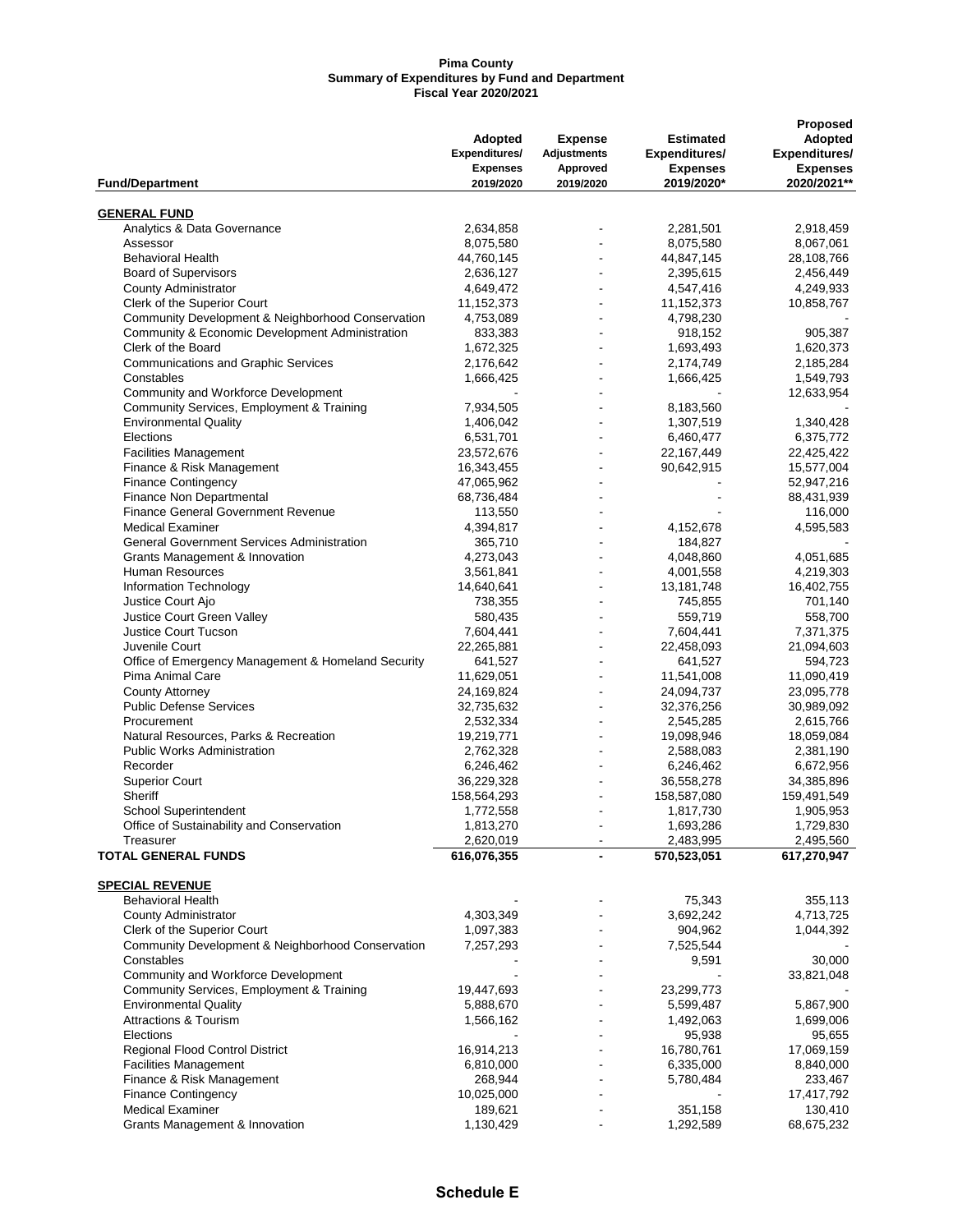#### **Pima County Summary of Expenditures by Fund and Department Fiscal Year 2020/2021**

|                                                    |                 |                          |                  | Proposed             |
|----------------------------------------------------|-----------------|--------------------------|------------------|----------------------|
|                                                    | <b>Adopted</b>  | <b>Expense</b>           | <b>Estimated</b> | Adopted              |
|                                                    | Expenditures/   | <b>Adjustments</b>       | Expenditures/    | <b>Expenditures/</b> |
|                                                    | <b>Expenses</b> | Approved                 | <b>Expenses</b>  | <b>Expenses</b>      |
|                                                    | 2019/2020       | 2019/2020                |                  |                      |
| <b>Fund/Department</b>                             |                 |                          | 2019/2020*       | 2020/2021**          |
|                                                    |                 |                          |                  |                      |
| <b>GENERAL FUND</b>                                |                 |                          |                  |                      |
| Analytics & Data Governance                        | 2,634,858       |                          | 2,281,501        | 2,918,459            |
| Assessor                                           | 8,075,580       |                          | 8,075,580        | 8,067,061            |
| <b>Behavioral Health</b>                           | 44,760,145      |                          | 44,847,145       | 28,108,766           |
| <b>Board of Supervisors</b>                        | 2,636,127       | $\blacksquare$           | 2,395,615        | 2,456,449            |
| <b>County Administrator</b>                        | 4,649,472       |                          | 4,547,416        | 4,249,933            |
| Clerk of the Superior Court                        | 11,152,373      |                          | 11, 152, 373     | 10,858,767           |
|                                                    | 4,753,089       |                          |                  |                      |
| Community Development & Neighborhood Conservation  |                 |                          | 4,798,230        |                      |
| Community & Economic Development Administration    | 833,383         |                          | 918,152          | 905,387              |
| Clerk of the Board                                 | 1,672,325       | $\blacksquare$           | 1,693,493        | 1,620,373            |
| <b>Communications and Graphic Services</b>         | 2,176,642       |                          | 2,174,749        | 2,185,284            |
| Constables                                         | 1,666,425       |                          | 1,666,425        | 1,549,793            |
| Community and Workforce Development                |                 |                          |                  | 12,633,954           |
| Community Services, Employment & Training          | 7,934,505       |                          | 8,183,560        |                      |
|                                                    |                 |                          |                  |                      |
| <b>Environmental Quality</b>                       | 1,406,042       | $\overline{\phantom{a}}$ | 1,307,519        | 1,340,428            |
| Elections                                          | 6,531,701       |                          | 6,460,477        | 6,375,772            |
| <b>Facilities Management</b>                       | 23,572,676      |                          | 22,167,449       | 22,425,422           |
| Finance & Risk Management                          | 16,343,455      |                          | 90,642,915       | 15,577,004           |
| <b>Finance Contingency</b>                         | 47,065,962      |                          |                  | 52,947,216           |
| Finance Non Departmental                           | 68,736,484      | $\blacksquare$           |                  | 88,431,939           |
|                                                    |                 |                          |                  |                      |
| Finance General Government Revenue                 | 113,550         |                          |                  | 116,000              |
| <b>Medical Examiner</b>                            | 4,394,817       |                          | 4,152,678        | 4,595,583            |
| <b>General Government Services Administration</b>  | 365,710         |                          | 184,827          |                      |
| Grants Management & Innovation                     | 4,273,043       |                          | 4,048,860        | 4,051,685            |
| Human Resources                                    | 3,561,841       | $\blacksquare$           | 4,001,558        | 4,219,303            |
| Information Technology                             | 14,640,641      |                          | 13,181,748       | 16,402,755           |
| Justice Court Ajo                                  |                 |                          |                  |                      |
|                                                    | 738,355         |                          | 745,855          | 701,140              |
| Justice Court Green Valley                         | 580,435         |                          | 559,719          | 558,700              |
| <b>Justice Court Tucson</b>                        | 7,604,441       | $\blacksquare$           | 7,604,441        | 7,371,375            |
| Juvenile Court                                     | 22,265,881      | $\overline{\phantom{a}}$ | 22,458,093       | 21,094,603           |
| Office of Emergency Management & Homeland Security | 641,527         |                          | 641,527          | 594,723              |
| Pima Animal Care                                   | 11,629,051      | $\blacksquare$           | 11,541,008       | 11,090,419           |
| <b>County Attorney</b>                             | 24,169,824      |                          | 24,094,737       | 23,095,778           |
|                                                    |                 |                          |                  |                      |
| <b>Public Defense Services</b>                     | 32,735,632      |                          | 32,376,256       | 30,989,092           |
| Procurement                                        | 2,532,334       | $\overline{\phantom{a}}$ | 2,545,285        | 2,615,766            |
| Natural Resources, Parks & Recreation              | 19,219,771      |                          | 19,098,946       | 18,059,084           |
| <b>Public Works Administration</b>                 | 2,762,328       |                          | 2,588,083        | 2,381,190            |
| Recorder                                           | 6,246,462       |                          | 6,246,462        | 6,672,956            |
| <b>Superior Court</b>                              | 36,229,328      |                          | 36,558,278       | 34,385,896           |
|                                                    |                 |                          |                  |                      |
| Sheriff                                            | 158,564,293     | $\blacksquare$           | 158,587,080      | 159,491,549          |
| <b>School Superintendent</b>                       | 1,772,558       |                          | 1,817,730        | 1,905,953            |
| Office of Sustainability and Conservation          | 1,813,270       |                          | 1,693,286        | 1,729,830            |
| Treasurer                                          | 2,620,019       |                          | 2,483,995        | 2,495,560            |
| <b>TOTAL GENERAL FUNDS</b>                         | 616,076,355     |                          | 570,523,051      | 617,270,947          |
|                                                    |                 |                          |                  |                      |
| <b>SPECIAL REVENUE</b>                             |                 |                          |                  |                      |
| <b>Behavioral Health</b>                           |                 |                          | 75,343           | 355,113              |
|                                                    |                 |                          |                  |                      |
| <b>County Administrator</b>                        | 4,303,349       |                          | 3,692,242        | 4,713,725            |
| Clerk of the Superior Court                        | 1,097,383       |                          | 904,962          | 1,044,392            |
| Community Development & Neighborhood Conservation  | 7,257,293       |                          | 7,525,544        |                      |
| Constables                                         |                 |                          | 9,591            | 30,000               |
| Community and Workforce Development                |                 |                          |                  | 33,821,048           |
| Community Services, Employment & Training          | 19,447,693      |                          | 23,299,773       |                      |
|                                                    |                 |                          |                  |                      |
| <b>Environmental Quality</b>                       | 5,888,670       |                          | 5,599,487        | 5,867,900            |
| <b>Attractions &amp; Tourism</b>                   | 1,566,162       |                          | 1,492,063        | 1,699,006            |
| Elections                                          |                 |                          | 95,938           | 95,655               |
| Regional Flood Control District                    | 16,914,213      |                          | 16,780,761       | 17,069,159           |
| <b>Facilities Management</b>                       | 6,810,000       |                          | 6,335,000        | 8,840,000            |
| Finance & Risk Management                          | 268,944         |                          | 5,780,484        |                      |
|                                                    |                 |                          |                  | 233,467              |
| <b>Finance Contingency</b>                         | 10,025,000      |                          |                  | 17,417,792           |
| <b>Medical Examiner</b>                            | 189,621         |                          | 351,158          | 130,410              |
| Grants Management & Innovation                     | 1,130,429       |                          | 1,292,589        | 68,675,232           |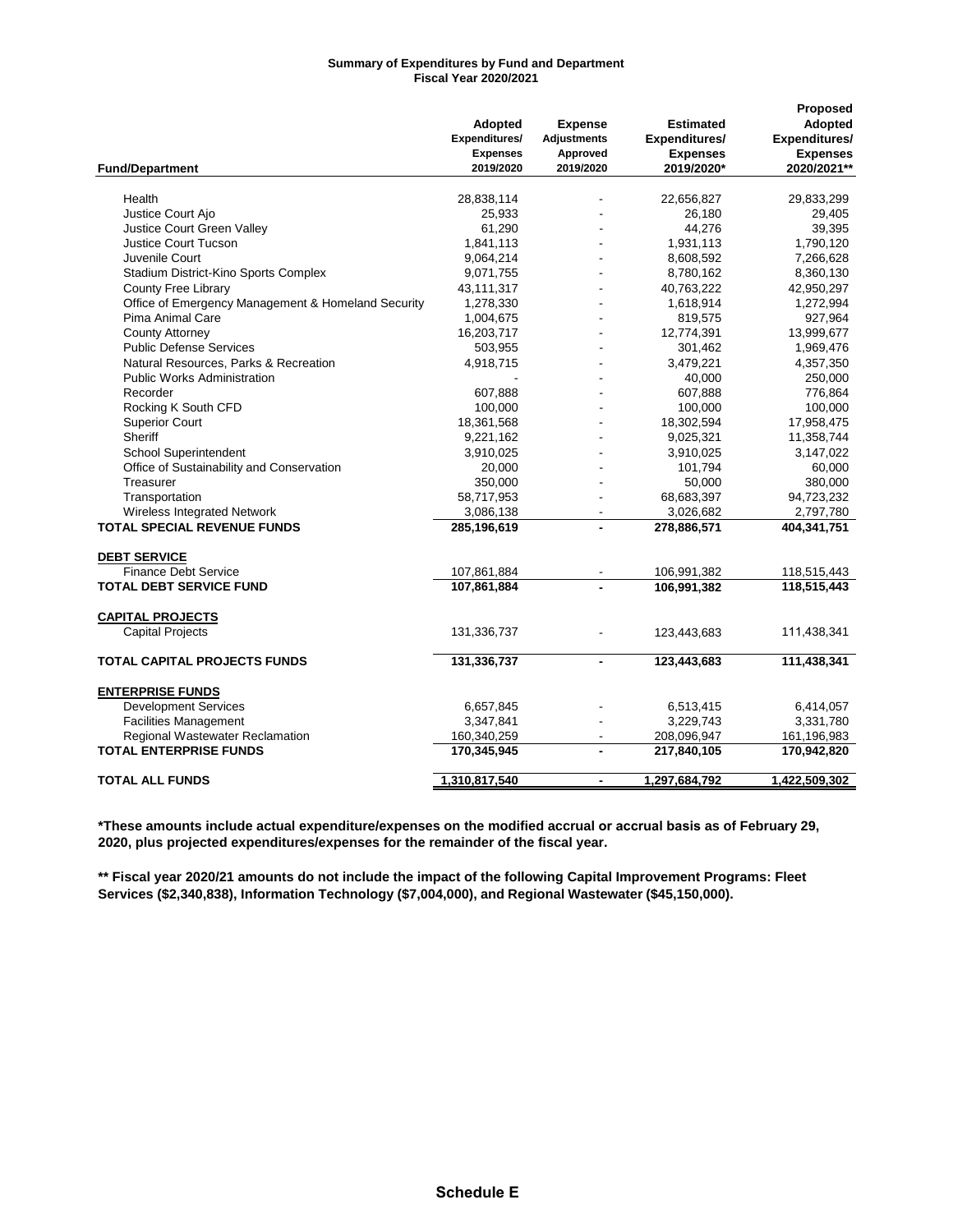#### **Summary of Expenditures by Fund and Department Fiscal Year 2020/2021**

|                                                    |                 |                    |                  | Proposed        |
|----------------------------------------------------|-----------------|--------------------|------------------|-----------------|
|                                                    | <b>Adopted</b>  | <b>Expense</b>     | <b>Estimated</b> | Adopted         |
|                                                    | Expenditures/   | <b>Adjustments</b> | Expenditures/    | Expenditures/   |
|                                                    | <b>Expenses</b> | Approved           | <b>Expenses</b>  | <b>Expenses</b> |
|                                                    | 2019/2020       | 2019/2020          | 2019/2020*       | 2020/2021**     |
| <b>Fund/Department</b>                             |                 |                    |                  |                 |
| Health                                             | 28,838,114      |                    | 22,656,827       | 29,833,299      |
| Justice Court Ajo                                  | 25,933          |                    | 26,180           | 29,405          |
| <b>Justice Court Green Valley</b>                  | 61,290          |                    | 44,276           | 39,395          |
| <b>Justice Court Tucson</b>                        | 1,841,113       |                    | 1,931,113        | 1,790,120       |
| Juvenile Court                                     | 9,064,214       |                    | 8,608,592        | 7,266,628       |
| Stadium District-Kino Sports Complex               | 9,071,755       |                    | 8,780,162        | 8,360,130       |
|                                                    |                 |                    |                  |                 |
| <b>County Free Library</b>                         | 43,111,317      |                    | 40,763,222       | 42,950,297      |
| Office of Emergency Management & Homeland Security | 1,278,330       |                    | 1,618,914        | 1,272,994       |
| Pima Animal Care                                   | 1,004,675       |                    | 819,575          | 927,964         |
| <b>County Attorney</b>                             | 16,203,717      |                    | 12,774,391       | 13,999,677      |
| <b>Public Defense Services</b>                     | 503,955         |                    | 301,462          | 1,969,476       |
| Natural Resources, Parks & Recreation              | 4,918,715       |                    | 3,479,221        | 4,357,350       |
| <b>Public Works Administration</b>                 |                 |                    | 40,000           | 250,000         |
| Recorder                                           | 607,888         |                    | 607,888          | 776,864         |
| Rocking K South CFD                                | 100,000         |                    | 100,000          | 100,000         |
| <b>Superior Court</b>                              | 18,361,568      |                    | 18,302,594       | 17,958,475      |
| Sheriff                                            | 9,221,162       |                    | 9,025,321        | 11,358,744      |
| <b>School Superintendent</b>                       | 3,910,025       |                    | 3,910,025        | 3,147,022       |
| Office of Sustainability and Conservation          | 20,000          |                    | 101,794          | 60,000          |
| Treasurer                                          | 350,000         |                    | 50,000           | 380,000         |
| Transportation                                     | 58,717,953      |                    | 68,683,397       | 94,723,232      |
| Wireless Integrated Network                        | 3,086,138       |                    | 3,026,682        | 2,797,780       |
| <b>TOTAL SPECIAL REVENUE FUNDS</b>                 |                 |                    |                  | 404,341,751     |
|                                                    | 285,196,619     |                    | 278,886,571      |                 |
| <b>DEBT SERVICE</b>                                |                 |                    |                  |                 |
| <b>Finance Debt Service</b>                        | 107,861,884     |                    | 106,991,382      | 118,515,443     |
| <b>TOTAL DEBT SERVICE FUND</b>                     | 107,861,884     |                    | 106,991,382      | 118,515,443     |
|                                                    |                 |                    |                  |                 |
| <b>CAPITAL PROJECTS</b>                            |                 |                    |                  |                 |
| <b>Capital Projects</b>                            | 131,336,737     |                    | 123,443,683      | 111,438,341     |
| <b>TOTAL CAPITAL PROJECTS FUNDS</b>                | 131,336,737     |                    | 123,443,683      | 111,438,341     |
| <b>ENTERPRISE FUNDS</b>                            |                 |                    |                  |                 |
| <b>Development Services</b>                        | 6,657,845       |                    | 6,513,415        | 6,414,057       |
| <b>Facilities Management</b>                       | 3,347,841       |                    | 3,229,743        | 3,331,780       |
|                                                    |                 |                    |                  |                 |
| <b>Regional Wastewater Reclamation</b>             | 160,340,259     |                    | 208,096,947      | 161,196,983     |
| <b>TOTAL ENTERPRISE FUNDS</b>                      | 170,345,945     | $\blacksquare$     | 217,840,105      | 170,942,820     |
| <b>TOTAL ALL FUNDS</b>                             | 1,310,817,540   |                    | 1,297,684,792    | 1,422,509,302   |

**\*These amounts include actual expenditure/expenses on the modified accrual or accrual basis as of February 29, 2020, plus projected expenditures/expenses for the remainder of the fiscal year.**

**\*\* Fiscal year 2020/21 amounts do not include the impact of the following Capital Improvement Programs: Fleet Services (\$2,340,838), Information Technology (\$7,004,000), and Regional Wastewater (\$45,150,000).**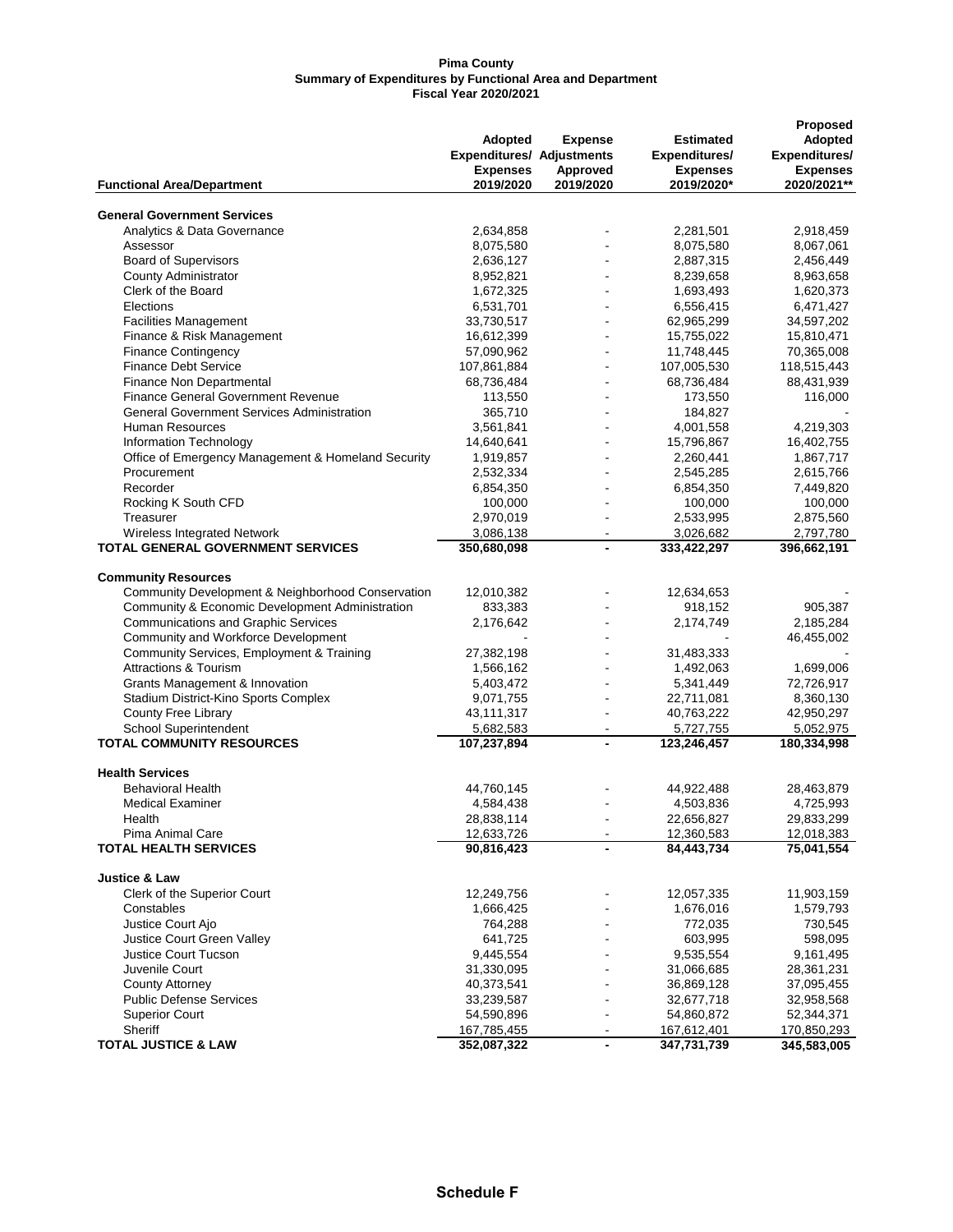#### **Pima County Summary of Expenditures by Functional Area and Department Fiscal Year 2020/2021**

|                                                                   |                                  |                          |                  | Proposed             |
|-------------------------------------------------------------------|----------------------------------|--------------------------|------------------|----------------------|
|                                                                   | <b>Adopted</b>                   | <b>Expense</b>           | <b>Estimated</b> | Adopted              |
|                                                                   | <b>Expenditures/ Adjustments</b> |                          | Expenditures/    | <b>Expenditures/</b> |
|                                                                   | <b>Expenses</b>                  | Approved                 | <b>Expenses</b>  | <b>Expenses</b>      |
| <b>Functional Area/Department</b>                                 | 2019/2020                        | 2019/2020                | 2019/2020*       | 2020/2021**          |
|                                                                   |                                  |                          |                  |                      |
| <b>General Government Services</b><br>Analytics & Data Governance | 2,634,858                        |                          | 2,281,501        | 2,918,459            |
| Assessor                                                          | 8,075,580                        |                          | 8,075,580        | 8,067,061            |
|                                                                   |                                  |                          |                  |                      |
| <b>Board of Supervisors</b><br><b>County Administrator</b>        | 2,636,127                        |                          | 2,887,315        | 2,456,449            |
|                                                                   | 8,952,821                        |                          | 8,239,658        | 8,963,658            |
| Clerk of the Board                                                | 1,672,325                        |                          | 1,693,493        | 1,620,373            |
| Elections                                                         | 6,531,701                        | $\blacksquare$           | 6,556,415        | 6,471,427            |
| <b>Facilities Management</b>                                      | 33,730,517                       |                          | 62,965,299       | 34,597,202           |
| Finance & Risk Management                                         | 16,612,399                       | $\blacksquare$           | 15,755,022       | 15,810,471           |
| <b>Finance Contingency</b>                                        | 57,090,962                       |                          | 11,748,445       | 70,365,008           |
| <b>Finance Debt Service</b>                                       | 107,861,884                      |                          | 107,005,530      | 118,515,443          |
| Finance Non Departmental                                          | 68,736,484                       | $\overline{\phantom{a}}$ | 68,736,484       | 88,431,939           |
| <b>Finance General Government Revenue</b>                         | 113,550                          |                          | 173,550          | 116,000              |
| <b>General Government Services Administration</b>                 | 365,710                          |                          | 184,827          |                      |
| <b>Human Resources</b>                                            | 3,561,841                        | $\overline{\phantom{a}}$ | 4,001,558        | 4,219,303            |
| Information Technology                                            | 14,640,641                       |                          | 15,796,867       | 16,402,755           |
| Office of Emergency Management & Homeland Security                | 1,919,857                        |                          | 2,260,441        | 1,867,717            |
| Procurement                                                       | 2,532,334                        |                          | 2,545,285        | 2,615,766            |
| Recorder                                                          | 6,854,350                        |                          | 6,854,350        | 7,449,820            |
| Rocking K South CFD                                               | 100,000                          |                          | 100,000          | 100,000              |
| Treasurer                                                         | 2,970,019                        |                          | 2,533,995        | 2,875,560            |
| Wireless Integrated Network                                       | 3,086,138                        | $\blacksquare$           | 3,026,682        | 2,797,780            |
| TOTAL GENERAL GOVERNMENT SERVICES                                 | 350,680,098                      | $\overline{\phantom{a}}$ | 333,422,297      | 396,662,191          |
| <b>Community Resources</b>                                        |                                  |                          |                  |                      |
| Community Development & Neighborhood Conservation                 | 12,010,382                       |                          | 12,634,653       |                      |
| Community & Economic Development Administration                   | 833,383                          |                          | 918,152          | 905,387              |
| <b>Communications and Graphic Services</b>                        | 2,176,642                        |                          | 2,174,749        | 2,185,284            |
| Community and Workforce Development                               |                                  |                          |                  | 46,455,002           |
| Community Services, Employment & Training                         | 27,382,198                       |                          | 31,483,333       |                      |
| <b>Attractions &amp; Tourism</b>                                  | 1,566,162                        |                          | 1,492,063        | 1,699,006            |
| Grants Management & Innovation                                    | 5,403,472                        |                          | 5,341,449        | 72,726,917           |
| Stadium District-Kino Sports Complex                              | 9,071,755                        | $\overline{\phantom{a}}$ | 22,711,081       | 8,360,130            |
| County Free Library                                               | 43,111,317                       |                          | 40,763,222       | 42,950,297           |
| <b>School Superintendent</b>                                      | 5,682,583                        | $\overline{\phantom{a}}$ | 5,727,755        | 5,052,975            |
| <b>TOTAL COMMUNITY RESOURCES</b>                                  | 107,237,894                      |                          | 123,246,457      | 180,334,998          |
|                                                                   |                                  |                          |                  |                      |
| <b>Health Services</b>                                            |                                  |                          |                  |                      |
| <b>Behavioral Health</b>                                          | 44,760,145                       |                          | 44,922,488       | 28,463,879           |
| <b>Medical Examiner</b>                                           | 4,584,438                        |                          | 4,503,836        | 4,725,993            |
| Health                                                            | 28,838,114                       |                          | 22,656,827       | 29,833,299           |
| Pima Animal Care                                                  | 12,633,726                       |                          | 12,360,583       | 12,018,383           |
| <b>TOTAL HEALTH SERVICES</b>                                      | 90,816,423                       |                          | 84,443,734       | 75,041,554           |
| <b>Justice &amp; Law</b>                                          |                                  |                          |                  |                      |
| Clerk of the Superior Court                                       | 12,249,756                       |                          | 12,057,335       | 11,903,159           |
| Constables                                                        | 1,666,425                        |                          | 1,676,016        | 1,579,793            |
| Justice Court Ajo                                                 | 764,288                          |                          | 772,035          | 730,545              |
| <b>Justice Court Green Valley</b>                                 | 641,725                          |                          | 603,995          | 598,095              |
| <b>Justice Court Tucson</b>                                       | 9,445,554                        |                          | 9,535,554        | 9,161,495            |
| Juvenile Court                                                    | 31,330,095                       |                          | 31,066,685       | 28,361,231           |
| <b>County Attorney</b>                                            | 40,373,541                       |                          | 36,869,128       | 37,095,455           |
| <b>Public Defense Services</b>                                    | 33,239,587                       |                          | 32,677,718       | 32,958,568           |
| <b>Superior Court</b>                                             | 54,590,896                       | $\overline{\phantom{a}}$ | 54,860,872       | 52,344,371           |
| Sheriff                                                           | 167,785,455                      |                          | 167,612,401      | 170,850,293          |
| <b>TOTAL JUSTICE &amp; LAW</b>                                    | 352,087,322                      | $\blacksquare$           | 347,731,739      | 345,583,005          |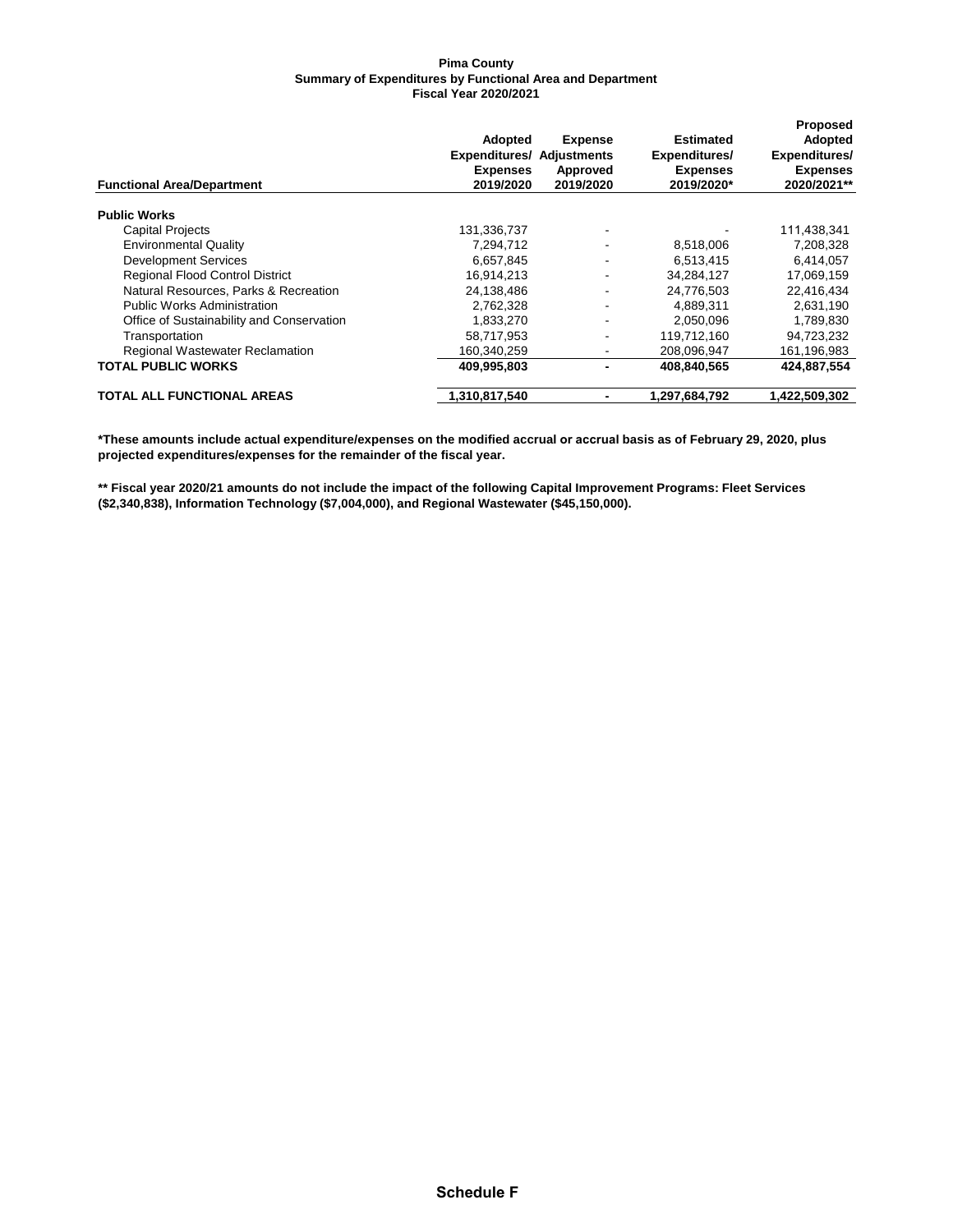#### **Pima County Summary of Expenditures by Functional Area and Department Fiscal Year 2020/2021**

|                                           | <b>Adopted</b><br><b>Expenditures/ Adjustments</b><br><b>Expenses</b> | <b>Expense</b><br>Approved | Estimated<br>Expenditures/<br><b>Expenses</b> | <b>Proposed</b><br>Adopted<br>Expenditures/<br><b>Expenses</b> |
|-------------------------------------------|-----------------------------------------------------------------------|----------------------------|-----------------------------------------------|----------------------------------------------------------------|
| <b>Functional Area/Department</b>         | 2019/2020                                                             | 2019/2020                  | 2019/2020*                                    | 2020/2021**                                                    |
| <b>Public Works</b>                       |                                                                       |                            |                                               |                                                                |
| <b>Capital Projects</b>                   | 131,336,737                                                           |                            |                                               | 111,438,341                                                    |
| <b>Environmental Quality</b>              | 7,294,712                                                             | $\overline{\phantom{a}}$   | 8,518,006                                     | 7,208,328                                                      |
| <b>Development Services</b>               | 6,657,845                                                             | $\overline{\phantom{a}}$   | 6,513,415                                     | 6,414,057                                                      |
| <b>Regional Flood Control District</b>    | 16.914.213                                                            | ۰.                         | 34.284.127                                    | 17,069,159                                                     |
| Natural Resources, Parks & Recreation     | 24,138,486                                                            | ٠                          | 24,776,503                                    | 22,416,434                                                     |
| <b>Public Works Administration</b>        | 2,762,328                                                             | $\overline{\phantom{a}}$   | 4,889,311                                     | 2,631,190                                                      |
| Office of Sustainability and Conservation | 1,833,270                                                             | ٠                          | 2,050,096                                     | 1,789,830                                                      |
| Transportation                            | 58,717,953                                                            | $\overline{\phantom{a}}$   | 119,712,160                                   | 94,723,232                                                     |
| <b>Regional Wastewater Reclamation</b>    | 160.340.259                                                           | $\overline{\phantom{a}}$   | 208.096.947                                   | 161,196,983                                                    |
| <b>TOTAL PUBLIC WORKS</b>                 | 409,995,803                                                           | $\blacksquare$             | 408.840.565                                   | 424,887,554                                                    |
| <b>TOTAL ALL FUNCTIONAL AREAS</b>         | 1,310,817,540                                                         | $\blacksquare$             | 1,297,684,792                                 | 1,422,509,302                                                  |

**\*These amounts include actual expenditure/expenses on the modified accrual or accrual basis as of February 29, 2020, plus projected expenditures/expenses for the remainder of the fiscal year.**

**\*\* Fiscal year 2020/21 amounts do not include the impact of the following Capital Improvement Programs: Fleet Services (\$2,340,838), Information Technology (\$7,004,000), and Regional Wastewater (\$45,150,000).**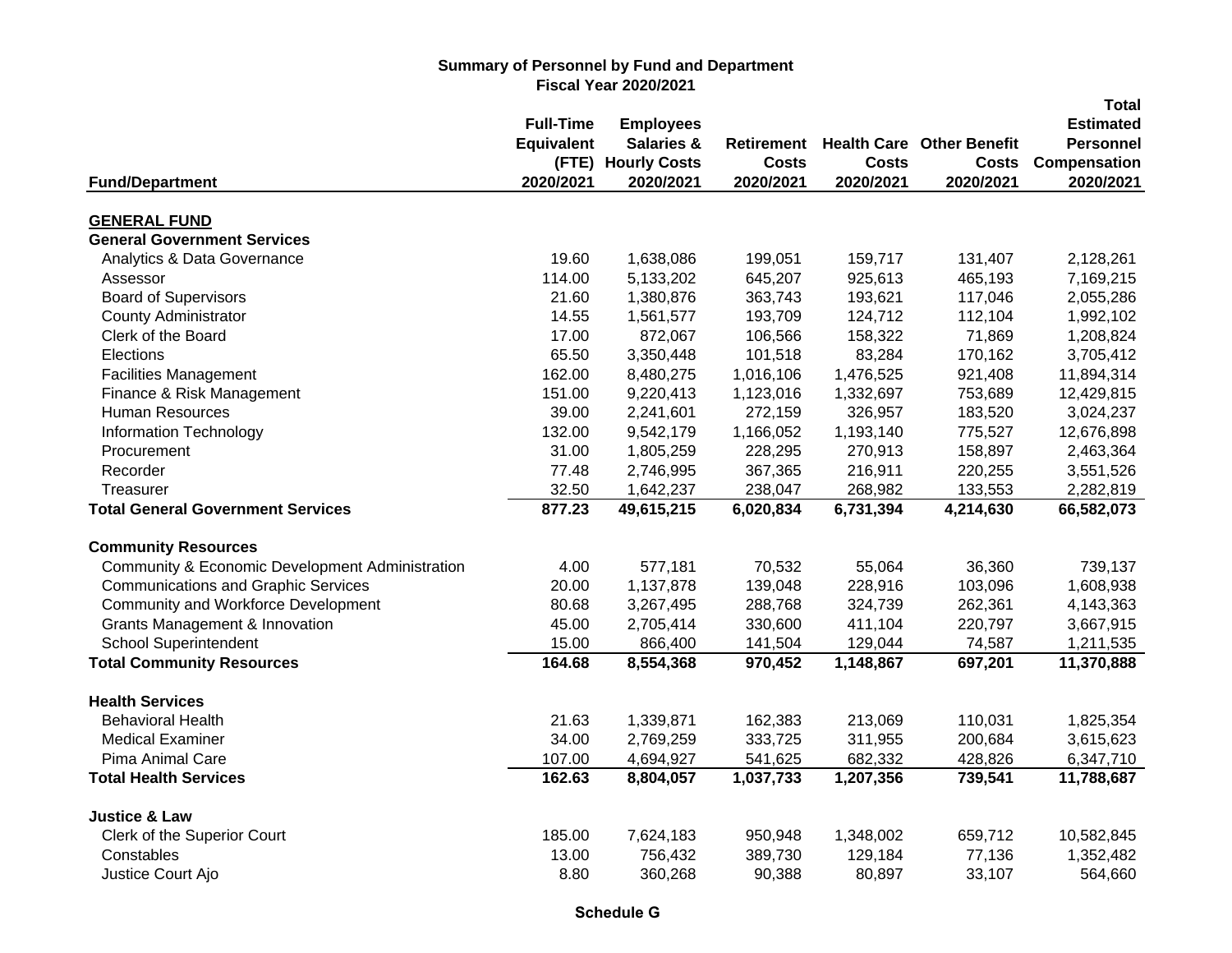|                                                 |                   |                       |                   |              |                                  | <b>Total</b>     |
|-------------------------------------------------|-------------------|-----------------------|-------------------|--------------|----------------------------------|------------------|
|                                                 | <b>Full-Time</b>  | <b>Employees</b>      |                   |              |                                  | <b>Estimated</b> |
|                                                 | <b>Equivalent</b> | <b>Salaries &amp;</b> | <b>Retirement</b> |              | <b>Health Care Other Benefit</b> | <b>Personnel</b> |
|                                                 | (FTE)             | <b>Hourly Costs</b>   | <b>Costs</b>      | <b>Costs</b> | <b>Costs</b>                     | Compensation     |
| <b>Fund/Department</b>                          | 2020/2021         | 2020/2021             | 2020/2021         | 2020/2021    | 2020/2021                        | 2020/2021        |
| <b>GENERAL FUND</b>                             |                   |                       |                   |              |                                  |                  |
| <b>General Government Services</b>              |                   |                       |                   |              |                                  |                  |
| Analytics & Data Governance                     | 19.60             | 1,638,086             | 199,051           | 159,717      | 131,407                          | 2,128,261        |
| Assessor                                        | 114.00            | 5,133,202             | 645,207           | 925,613      | 465,193                          | 7,169,215        |
| <b>Board of Supervisors</b>                     | 21.60             | 1,380,876             | 363,743           | 193,621      | 117,046                          | 2,055,286        |
| <b>County Administrator</b>                     | 14.55             | 1,561,577             | 193,709           | 124,712      | 112,104                          | 1,992,102        |
| Clerk of the Board                              | 17.00             | 872,067               | 106,566           | 158,322      | 71,869                           | 1,208,824        |
| Elections                                       | 65.50             | 3,350,448             | 101,518           | 83,284       | 170,162                          | 3,705,412        |
| <b>Facilities Management</b>                    | 162.00            | 8,480,275             | 1,016,106         | 1,476,525    | 921,408                          | 11,894,314       |
| Finance & Risk Management                       | 151.00            | 9,220,413             | 1,123,016         | 1,332,697    | 753,689                          | 12,429,815       |
| <b>Human Resources</b>                          | 39.00             | 2,241,601             | 272,159           | 326,957      | 183,520                          | 3,024,237        |
| <b>Information Technology</b>                   | 132.00            | 9,542,179             | 1,166,052         | 1,193,140    | 775,527                          | 12,676,898       |
| Procurement                                     | 31.00             | 1,805,259             | 228,295           | 270,913      | 158,897                          | 2,463,364        |
| Recorder                                        | 77.48             | 2,746,995             | 367,365           | 216,911      | 220,255                          | 3,551,526        |
| Treasurer                                       | 32.50             | 1,642,237             | 238,047           | 268,982      | 133,553                          | 2,282,819        |
| <b>Total General Government Services</b>        | 877.23            | 49,615,215            | 6,020,834         | 6,731,394    | 4,214,630                        | 66,582,073       |
| <b>Community Resources</b>                      |                   |                       |                   |              |                                  |                  |
| Community & Economic Development Administration | 4.00              | 577,181               | 70,532            | 55,064       | 36,360                           | 739,137          |
| <b>Communications and Graphic Services</b>      | 20.00             | 1,137,878             | 139,048           | 228,916      | 103,096                          | 1,608,938        |
| Community and Workforce Development             | 80.68             | 3,267,495             | 288,768           | 324,739      | 262,361                          | 4,143,363        |
| <b>Grants Management &amp; Innovation</b>       | 45.00             | 2,705,414             | 330,600           | 411,104      | 220,797                          | 3,667,915        |
| <b>School Superintendent</b>                    | 15.00             | 866,400               | 141,504           | 129,044      | 74,587                           | 1,211,535        |
| <b>Total Community Resources</b>                | 164.68            | 8,554,368             | 970,452           | 1,148,867    | 697,201                          | 11,370,888       |
| <b>Health Services</b>                          |                   |                       |                   |              |                                  |                  |
| <b>Behavioral Health</b>                        | 21.63             | 1,339,871             | 162,383           | 213,069      | 110,031                          | 1,825,354        |
| <b>Medical Examiner</b>                         | 34.00             | 2,769,259             | 333,725           | 311,955      | 200,684                          | 3,615,623        |
| Pima Animal Care                                | 107.00            | 4,694,927             | 541,625           | 682,332      | 428,826                          | 6,347,710        |
| <b>Total Health Services</b>                    | 162.63            | 8,804,057             | 1,037,733         | 1,207,356    | 739,541                          | 11,788,687       |
| <b>Justice &amp; Law</b>                        |                   |                       |                   |              |                                  |                  |
| Clerk of the Superior Court                     | 185.00            | 7,624,183             | 950,948           | 1,348,002    | 659,712                          | 10,582,845       |
| Constables                                      | 13.00             | 756,432               | 389,730           | 129,184      | 77,136                           | 1,352,482        |
| Justice Court Ajo                               | 8.80              | 360,268               | 90,388            | 80,897       | 33,107                           | 564,660          |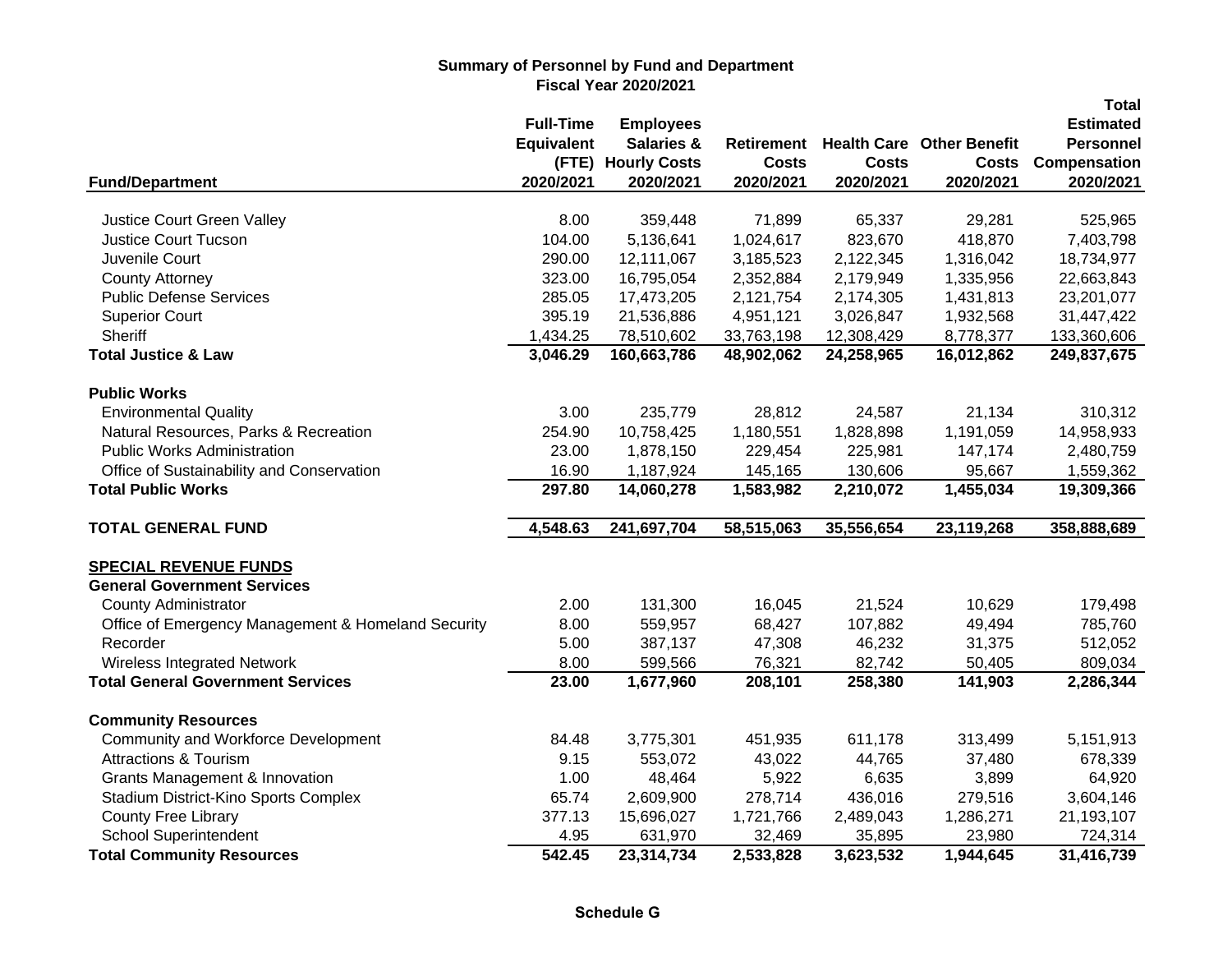|                                                                    |                   |                       |                   |              |                                  | <b>Total</b>     |
|--------------------------------------------------------------------|-------------------|-----------------------|-------------------|--------------|----------------------------------|------------------|
|                                                                    | <b>Full-Time</b>  | <b>Employees</b>      |                   |              |                                  | <b>Estimated</b> |
|                                                                    | <b>Equivalent</b> | <b>Salaries &amp;</b> | <b>Retirement</b> |              | <b>Health Care Other Benefit</b> | <b>Personnel</b> |
|                                                                    | (FTE)             | <b>Hourly Costs</b>   | <b>Costs</b>      | <b>Costs</b> | <b>Costs</b>                     | Compensation     |
| <b>Fund/Department</b>                                             | 2020/2021         | 2020/2021             | 2020/2021         | 2020/2021    | 2020/2021                        | 2020/2021        |
| Justice Court Green Valley                                         | 8.00              | 359,448               | 71,899            | 65,337       | 29,281                           | 525,965          |
| <b>Justice Court Tucson</b>                                        | 104.00            | 5,136,641             | 1,024,617         | 823,670      | 418,870                          | 7,403,798        |
| Juvenile Court                                                     | 290.00            | 12,111,067            | 3,185,523         | 2,122,345    | 1,316,042                        | 18,734,977       |
| <b>County Attorney</b>                                             | 323.00            | 16,795,054            | 2,352,884         | 2,179,949    | 1,335,956                        | 22,663,843       |
|                                                                    | 285.05            |                       |                   |              |                                  |                  |
| <b>Public Defense Services</b>                                     |                   | 17,473,205            | 2,121,754         | 2,174,305    | 1,431,813                        | 23,201,077       |
| <b>Superior Court</b>                                              | 395.19            | 21,536,886            | 4,951,121         | 3,026,847    | 1,932,568                        | 31,447,422       |
| Sheriff                                                            | 1,434.25          | 78,510,602            | 33,763,198        | 12,308,429   | 8,778,377                        | 133,360,606      |
| <b>Total Justice &amp; Law</b>                                     | 3,046.29          | 160,663,786           | 48,902,062        | 24,258,965   | 16,012,862                       | 249,837,675      |
| <b>Public Works</b>                                                |                   |                       |                   |              |                                  |                  |
| <b>Environmental Quality</b>                                       | 3.00              | 235,779               | 28,812            | 24,587       | 21,134                           | 310,312          |
| Natural Resources, Parks & Recreation                              | 254.90            | 10,758,425            | 1,180,551         | 1,828,898    | 1,191,059                        | 14,958,933       |
| <b>Public Works Administration</b>                                 | 23.00             | 1,878,150             | 229,454           | 225,981      | 147,174                          | 2,480,759        |
| Office of Sustainability and Conservation                          | 16.90             | 1,187,924             | 145,165           | 130,606      | 95,667                           | 1,559,362        |
| <b>Total Public Works</b>                                          | 297.80            | 14,060,278            | 1,583,982         | 2,210,072    | 1,455,034                        | 19,309,366       |
| <b>TOTAL GENERAL FUND</b>                                          | 4,548.63          | 241,697,704           | 58,515,063        | 35,556,654   | 23,119,268                       | 358,888,689      |
|                                                                    |                   |                       |                   |              |                                  |                  |
| <b>SPECIAL REVENUE FUNDS</b><br><b>General Government Services</b> |                   |                       |                   |              |                                  |                  |
|                                                                    |                   |                       |                   |              |                                  |                  |
| <b>County Administrator</b>                                        | 2.00              | 131,300               | 16,045            | 21,524       | 10,629                           | 179,498          |
| Office of Emergency Management & Homeland Security                 | 8.00              | 559,957               | 68,427            | 107,882      | 49,494                           | 785,760          |
| Recorder                                                           | 5.00              | 387,137               | 47,308            | 46,232       | 31,375                           | 512,052          |
| Wireless Integrated Network                                        | 8.00              | 599,566               | 76,321            | 82,742       | 50,405                           | 809,034          |
| <b>Total General Government Services</b>                           | 23.00             | 1,677,960             | 208,101           | 258,380      | 141,903                          | 2,286,344        |
| <b>Community Resources</b>                                         |                   |                       |                   |              |                                  |                  |
| Community and Workforce Development                                | 84.48             | 3,775,301             | 451,935           | 611,178      | 313,499                          | 5,151,913        |
| <b>Attractions &amp; Tourism</b>                                   | 9.15              | 553,072               | 43,022            | 44,765       | 37,480                           | 678,339          |
| <b>Grants Management &amp; Innovation</b>                          | 1.00              | 48,464                | 5,922             | 6,635        | 3,899                            | 64,920           |
| Stadium District-Kino Sports Complex                               | 65.74             | 2,609,900             | 278,714           | 436,016      | 279,516                          | 3,604,146        |
| <b>County Free Library</b>                                         | 377.13            | 15,696,027            | 1,721,766         | 2,489,043    | 1,286,271                        | 21,193,107       |
| <b>School Superintendent</b>                                       | 4.95              | 631,970               | 32,469            | 35,895       | 23,980                           | 724,314          |
| <b>Total Community Resources</b>                                   | 542.45            | 23,314,734            | 2,533,828         | 3,623,532    | 1,944,645                        | 31,416,739       |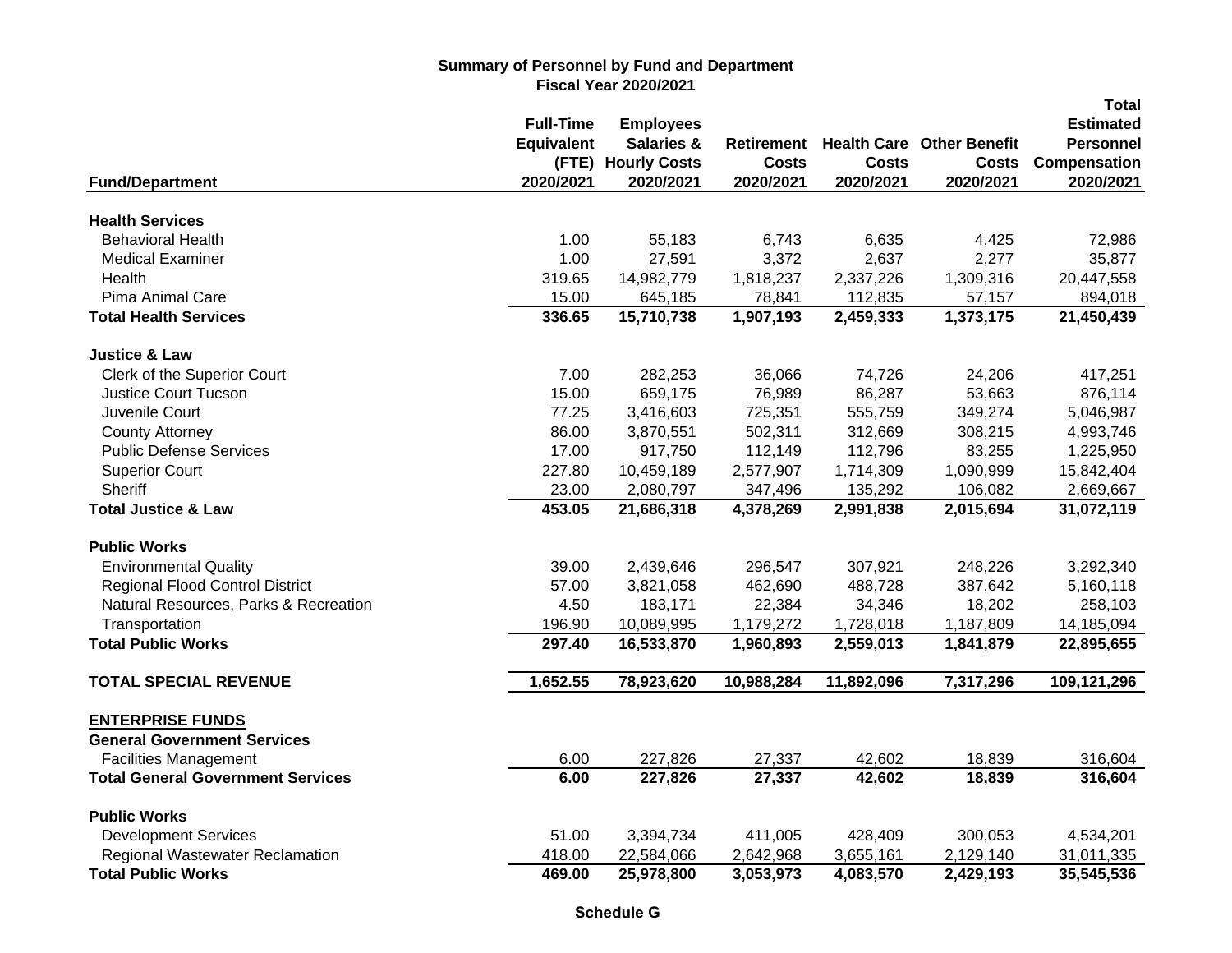|                                          |                   |                       |              |              |                                  | <b>Total</b>     |
|------------------------------------------|-------------------|-----------------------|--------------|--------------|----------------------------------|------------------|
|                                          | <b>Full-Time</b>  | <b>Employees</b>      |              |              |                                  | <b>Estimated</b> |
|                                          | <b>Equivalent</b> | <b>Salaries &amp;</b> | Retirement   |              | <b>Health Care Other Benefit</b> | <b>Personnel</b> |
|                                          | (FTE)             | <b>Hourly Costs</b>   | <b>Costs</b> | <b>Costs</b> | <b>Costs</b>                     | Compensation     |
| <b>Fund/Department</b>                   | 2020/2021         | 2020/2021             | 2020/2021    | 2020/2021    | 2020/2021                        | 2020/2021        |
| <b>Health Services</b>                   |                   |                       |              |              |                                  |                  |
| <b>Behavioral Health</b>                 | 1.00              | 55,183                | 6,743        | 6,635        | 4,425                            | 72,986           |
| <b>Medical Examiner</b>                  | 1.00              | 27,591                | 3,372        | 2,637        | 2,277                            | 35,877           |
| Health                                   | 319.65            | 14,982,779            | 1,818,237    | 2,337,226    | 1,309,316                        | 20,447,558       |
| Pima Animal Care                         | 15.00             | 645,185               | 78,841       | 112,835      | 57,157                           | 894,018          |
| <b>Total Health Services</b>             | 336.65            | 15,710,738            | 1,907,193    | 2,459,333    | 1,373,175                        | 21,450,439       |
| <b>Justice &amp; Law</b>                 |                   |                       |              |              |                                  |                  |
| Clerk of the Superior Court              | 7.00              | 282,253               | 36,066       | 74,726       | 24,206                           | 417,251          |
| <b>Justice Court Tucson</b>              | 15.00             | 659,175               | 76,989       | 86,287       | 53,663                           | 876,114          |
| Juvenile Court                           | 77.25             | 3,416,603             | 725,351      | 555,759      | 349,274                          | 5,046,987        |
| <b>County Attorney</b>                   | 86.00             | 3,870,551             | 502,311      | 312,669      | 308,215                          | 4,993,746        |
| <b>Public Defense Services</b>           | 17.00             | 917,750               | 112,149      | 112,796      | 83,255                           | 1,225,950        |
| <b>Superior Court</b>                    | 227.80            | 10,459,189            | 2,577,907    | 1,714,309    | 1,090,999                        | 15,842,404       |
| Sheriff                                  | 23.00             | 2,080,797             | 347,496      | 135,292      | 106,082                          | 2,669,667        |
| <b>Total Justice &amp; Law</b>           | 453.05            | 21,686,318            | 4,378,269    | 2,991,838    | 2,015,694                        | 31,072,119       |
| <b>Public Works</b>                      |                   |                       |              |              |                                  |                  |
| <b>Environmental Quality</b>             | 39.00             | 2,439,646             | 296,547      | 307,921      | 248,226                          | 3,292,340        |
| <b>Regional Flood Control District</b>   | 57.00             | 3,821,058             | 462,690      | 488,728      | 387,642                          | 5,160,118        |
| Natural Resources, Parks & Recreation    | 4.50              | 183,171               | 22,384       | 34,346       | 18,202                           | 258,103          |
| Transportation                           | 196.90            | 10,089,995            | 1,179,272    | 1,728,018    | 1,187,809                        | 14,185,094       |
| <b>Total Public Works</b>                | 297.40            | 16,533,870            | 1,960,893    | 2,559,013    | 1,841,879                        | 22,895,655       |
| <b>TOTAL SPECIAL REVENUE</b>             | 1,652.55          | 78,923,620            | 10,988,284   | 11,892,096   | 7,317,296                        | 109,121,296      |
| <b>ENTERPRISE FUNDS</b>                  |                   |                       |              |              |                                  |                  |
| <b>General Government Services</b>       |                   |                       |              |              |                                  |                  |
| <b>Facilities Management</b>             | 6.00              | 227,826               | 27,337       | 42,602       | 18,839                           | 316,604          |
| <b>Total General Government Services</b> | 6.00              | 227,826               | 27,337       | 42,602       | 18,839                           | 316,604          |
| <b>Public Works</b>                      |                   |                       |              |              |                                  |                  |
| <b>Development Services</b>              | 51.00             | 3,394,734             | 411,005      | 428,409      | 300,053                          | 4,534,201        |
| <b>Regional Wastewater Reclamation</b>   | 418.00            | 22,584,066            | 2,642,968    | 3,655,161    | 2,129,140                        | 31,011,335       |
| <b>Total Public Works</b>                | 469.00            | 25,978,800            | 3,053,973    | 4,083,570    | 2,429,193                        | 35,545,536       |